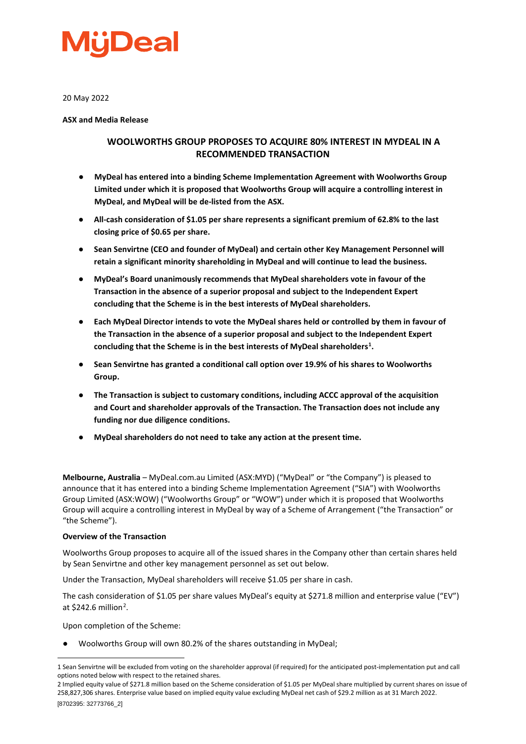

20 May 2022

**ASX and Media Release**

#### **WOOLWORTHS GROUP PROPOSES TO ACQUIRE 80% INTEREST IN MYDEAL IN A RECOMMENDED TRANSACTION**

- **MyDeal has entered into a binding Scheme Implementation Agreement with Woolworths Group Limited under which it is proposed that Woolworths Group will acquire a controlling interest in MyDeal, and MyDeal will be de-listed from the ASX.**
- **All-cash consideration of \$1.05 per share represents a significant premium of 62.8% to the last closing price of \$0.65 per share.**
- **Sean Senvirtne (CEO and founder of MyDeal) and certain other Key Management Personnel will retain a significant minority shareholding in MyDeal and will continue to lead the business.**
- **MyDeal's Board unanimously recommends that MyDeal shareholders vote in favour of the Transaction in the absence of a superior proposal and subject to the Independent Expert concluding that the Scheme is in the best interests of MyDeal shareholders.**
- **Each MyDeal Director intends to vote the MyDeal shares held or controlled by them in favour of the Transaction in the absence of a superior proposal and subject to the Independent Expert concluding that the Scheme is in the best interests of MyDeal shareholders[1](#page-0-0) .**
- **Sean Senvirtne has granted a conditional call option over 19.9% of his shares to Woolworths Group.**
- **The Transaction is subject to customary conditions, including ACCC approval of the acquisition and Court and shareholder approvals of the Transaction. The Transaction does not include any funding nor due diligence conditions.**
- **MyDeal shareholders do not need to take any action at the present time.**

**Melbourne, Australia** – MyDeal.com.au Limited (ASX:MYD) ("MyDeal" or "the Company") is pleased to announce that it has entered into a binding Scheme Implementation Agreement ("SIA") with Woolworths Group Limited (ASX:WOW) ("Woolworths Group" or "WOW") under which it is proposed that Woolworths Group will acquire a controlling interest in MyDeal by way of a Scheme of Arrangement ("the Transaction" or "the Scheme").

#### **Overview of the Transaction**

Woolworths Group proposes to acquire all of the issued shares in the Company other than certain shares held by Sean Senvirtne and other key management personnel as set out below.

Under the Transaction, MyDeal shareholders will receive \$1.05 per share in cash.

The cash consideration of \$1.05 per share values MyDeal's equity at \$271.8 million and enterprise value ("EV") at \$[2](#page-0-1)42.6 million<sup>2</sup>.

Upon completion of the Scheme:

Woolworths Group will own 80.2% of the shares outstanding in MyDeal;

<span id="page-0-0"></span><sup>1</sup> Sean Senvirtne will be excluded from voting on the shareholder approval (if required) for the anticipated post-implementation put and call options noted below with respect to the retained shares.

<span id="page-0-1"></span><sup>[8702395: 32773766</sup>\_2] 2 Implied equity value of \$271.8 million based on the Scheme consideration of \$1.05 per MyDeal share multiplied by current shares on issue of 258,827,306 shares. Enterprise value based on implied equity value excluding MyDeal net cash of \$29.2 million as at 31 March 2022.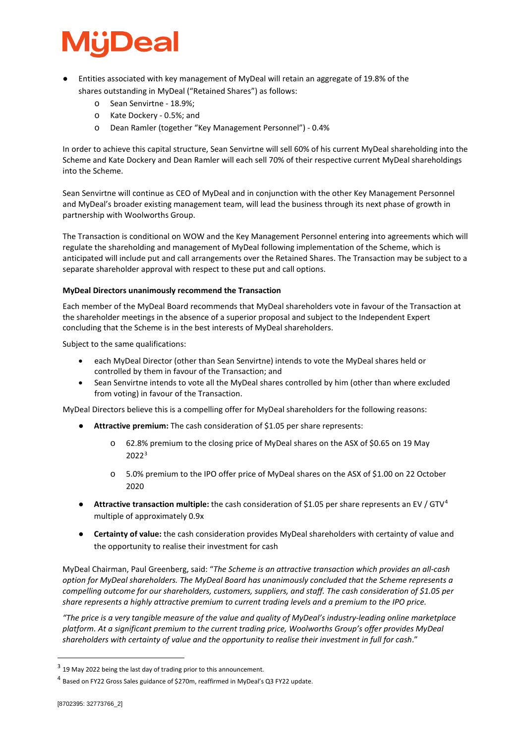## **Deal**

- Entities associated with key management of MyDeal will retain an aggregate of 19.8% of the shares outstanding in MyDeal ("Retained Shares") as follows:
	- o Sean Senvirtne 18.9%;
	- o Kate Dockery 0.5%; and
	- o Dean Ramler (together "Key Management Personnel") 0.4%

In order to achieve this capital structure, Sean Senvirtne will sell 60% of his current MyDeal shareholding into the Scheme and Kate Dockery and Dean Ramler will each sell 70% of their respective current MyDeal shareholdings into the Scheme.

Sean Senvirtne will continue as CEO of MyDeal and in conjunction with the other Key Management Personnel and MyDeal's broader existing management team, will lead the business through its next phase of growth in partnership with Woolworths Group.

The Transaction is conditional on WOW and the Key Management Personnel entering into agreements which will regulate the shareholding and management of MyDeal following implementation of the Scheme, which is anticipated will include put and call arrangements over the Retained Shares. The Transaction may be subject to a separate shareholder approval with respect to these put and call options.

#### **MyDeal Directors unanimously recommend the Transaction**

Each member of the MyDeal Board recommends that MyDeal shareholders vote in favour of the Transaction at the shareholder meetings in the absence of a superior proposal and subject to the Independent Expert concluding that the Scheme is in the best interests of MyDeal shareholders.

Subject to the same qualifications:

- each MyDeal Director (other than Sean Senvirtne) intends to vote the MyDeal shares held or controlled by them in favour of the Transaction; and
- Sean Senvirtne intends to vote all the MyDeal shares controlled by him (other than where excluded from voting) in favour of the Transaction.

MyDeal Directors believe this is a compelling offer for MyDeal shareholders for the following reasons:

- **Attractive premium:** The cash consideration of \$1.05 per share represents:
	- o 62.8% premium to the closing price of MyDeal shares on the ASX of \$0.65 on 19 May 2022[3](#page-1-0)
	- o 5.0% premium to the IPO offer price of MyDeal shares on the ASX of \$1.00 on 22 October 2020
- **Attractive transaction multiple:** the cash consideration of \$1.05 per share represents an EV / GTV[4](#page-1-1) multiple of approximately 0.9x
- **Certainty of value:** the cash consideration provides MyDeal shareholders with certainty of value and the opportunity to realise their investment for cash

MyDeal Chairman, Paul Greenberg, said: "*The Scheme is an attractive transaction which provides an all-cash option for MyDeal shareholders. The MyDeal Board has unanimously concluded that the Scheme represents a compelling outcome for our shareholders, customers, suppliers, and staff. The cash consideration of \$1.05 per share represents a highly attractive premium to current trading levels and a premium to the IPO price.*

*"The price is a very tangible measure of the value and quality of MyDeal's industry-leading online marketplace platform. At a significant premium to the current trading price, Woolworths Group's offer provides MyDeal shareholders with certainty of value and the opportunity to realise their investment in full for cash*."

<span id="page-1-0"></span><sup>&</sup>lt;sup>3</sup> 19 May 2022 being the last day of trading prior to this announcement.

<span id="page-1-1"></span><sup>4</sup> Based on FY22 Gross Sales guidance of \$270m, reaffirmed in MyDeal's Q3 FY22 update.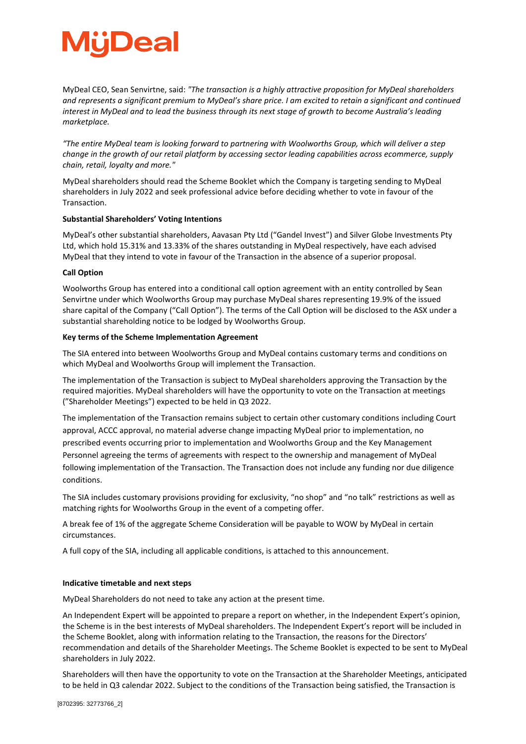## Deal

MyDeal CEO, Sean Senvirtne, said: *"The transaction is a highly attractive proposition for MyDeal shareholders and represents a significant premium to MyDeal's share price. I am excited to retain a significant and continued interest in MyDeal and to lead the business through its next stage of growth to become Australia's leading marketplace.*

*"The entire MyDeal team is looking forward to partnering with Woolworths Group, which will deliver a step change in the growth of our retail platform by accessing sector leading capabilities across ecommerce, supply chain, retail, loyalty and more."*

MyDeal shareholders should read the Scheme Booklet which the Company is targeting sending to MyDeal shareholders in July 2022 and seek professional advice before deciding whether to vote in favour of the Transaction.

#### **Substantial Shareholders' Voting Intentions**

MyDeal's other substantial shareholders, Aavasan Pty Ltd ("Gandel Invest") and Silver Globe Investments Pty Ltd, which hold 15.31% and 13.33% of the shares outstanding in MyDeal respectively, have each advised MyDeal that they intend to vote in favour of the Transaction in the absence of a superior proposal.

#### **Call Option**

Woolworths Group has entered into a conditional call option agreement with an entity controlled by Sean Senvirtne under which Woolworths Group may purchase MyDeal shares representing 19.9% of the issued share capital of the Company ("Call Option"). The terms of the Call Option will be disclosed to the ASX under a substantial shareholding notice to be lodged by Woolworths Group.

#### **Key terms of the Scheme Implementation Agreement**

The SIA entered into between Woolworths Group and MyDeal contains customary terms and conditions on which MyDeal and Woolworths Group will implement the Transaction.

The implementation of the Transaction is subject to MyDeal shareholders approving the Transaction by the required majorities. MyDeal shareholders will have the opportunity to vote on the Transaction at meetings ("Shareholder Meetings") expected to be held in Q3 2022.

The implementation of the Transaction remains subject to certain other customary conditions including Court approval, ACCC approval, no material adverse change impacting MyDeal prior to implementation, no prescribed events occurring prior to implementation and Woolworths Group and the Key Management Personnel agreeing the terms of agreements with respect to the ownership and management of MyDeal following implementation of the Transaction. The Transaction does not include any funding nor due diligence conditions.

The SIA includes customary provisions providing for exclusivity, "no shop" and "no talk" restrictions as well as matching rights for Woolworths Group in the event of a competing offer.

A break fee of 1% of the aggregate Scheme Consideration will be payable to WOW by MyDeal in certain circumstances.

A full copy of the SIA, including all applicable conditions, is attached to this announcement.

#### **Indicative timetable and next steps**

MyDeal Shareholders do not need to take any action at the present time.

An Independent Expert will be appointed to prepare a report on whether, in the Independent Expert's opinion, the Scheme is in the best interests of MyDeal shareholders. The Independent Expert's report will be included in the Scheme Booklet, along with information relating to the Transaction, the reasons for the Directors' recommendation and details of the Shareholder Meetings. The Scheme Booklet is expected to be sent to MyDeal shareholders in July 2022.

Shareholders will then have the opportunity to vote on the Transaction at the Shareholder Meetings, anticipated to be held in Q3 calendar 2022. Subject to the conditions of the Transaction being satisfied, the Transaction is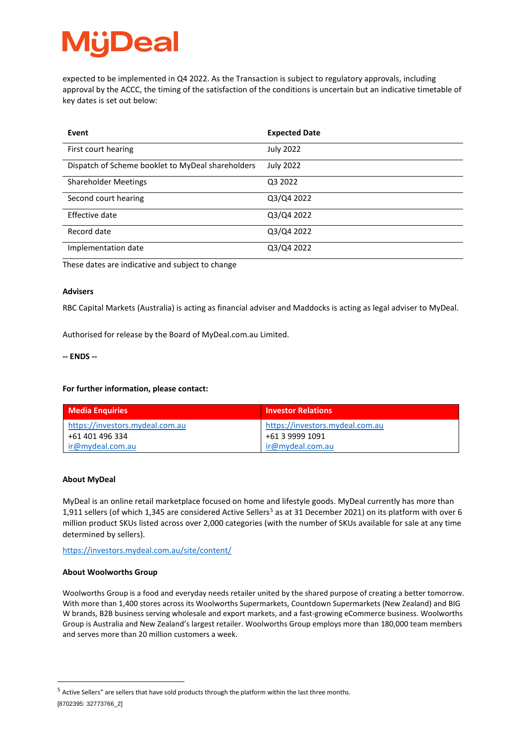## Deal

expected to be implemented in Q4 2022. As the Transaction is subject to regulatory approvals, including approval by the ACCC, the timing of the satisfaction of the conditions is uncertain but an indicative timetable of key dates is set out below:

| Event                                             | <b>Expected Date</b> |
|---------------------------------------------------|----------------------|
| First court hearing                               | <b>July 2022</b>     |
| Dispatch of Scheme booklet to MyDeal shareholders | <b>July 2022</b>     |
| <b>Shareholder Meetings</b>                       | Q3 2022              |
| Second court hearing                              | Q3/Q4 2022           |
| Effective date                                    | Q3/Q4 2022           |
| Record date                                       | Q3/Q4 2022           |
| Implementation date                               | Q3/Q4 2022           |

These dates are indicative and subject to change

#### **Advisers**

RBC Capital Markets (Australia) is acting as financial adviser and Maddocks is acting as legal adviser to MyDeal.

Authorised for release by the Board of MyDeal.com.au Limited.

#### **-- ENDS --**

#### **For further information, please contact:**

| <b>Media Enquiries</b>                             | <b>Investor Relations</b>                          |
|----------------------------------------------------|----------------------------------------------------|
| https://investors.mydeal.com.au<br>+61 401 496 334 | https://investors.mydeal.com.au<br>+61 3 9999 1091 |
| ir@mydeal.com.au                                   | ir@mydeal.com.au                                   |

#### **About MyDeal**

MyDeal is an online retail marketplace focused on home and lifestyle goods. MyDeal currently has more than 1,911 sellers (of which 1,34[5](#page-3-0) are considered Active Sellers<sup>5</sup> as at 31 December 2021) on its platform with over 6 million product SKUs listed across over 2,000 categories (with the number of SKUs available for sale at any time determined by sellers).

<https://investors.mydeal.com.au/site/content/>

#### **About Woolworths Group**

Woolworths Group is a food and everyday needs retailer united by the shared purpose of creating a better tomorrow. With more than 1,400 stores across its Woolworths Supermarkets, Countdown Supermarkets (New Zealand) and BIG W brands, B2B business serving wholesale and export markets, and a fast-growing eCommerce business. Woolworths Group is Australia and New Zealand's largest retailer. Woolworths Group employs more than 180,000 team members and serves more than 20 million customers a week.

<span id="page-3-0"></span><sup>[8702395: 32773766</sup>\_2]  $<sup>5</sup>$  Active Sellers" are sellers that have sold products through the platform within the last three months.</sup>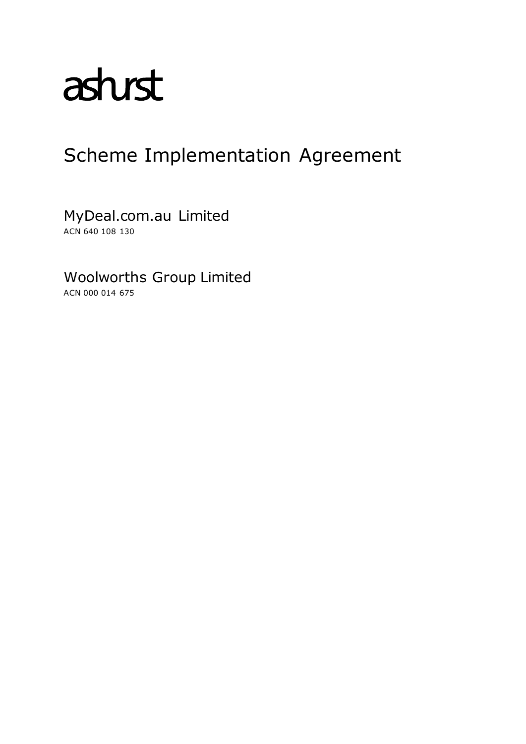# astust

### Scheme Implementation Agreement

MyDeal.com.au Limited ACN 640 108 130

Woolworths Group Limited

ACN 000 014 675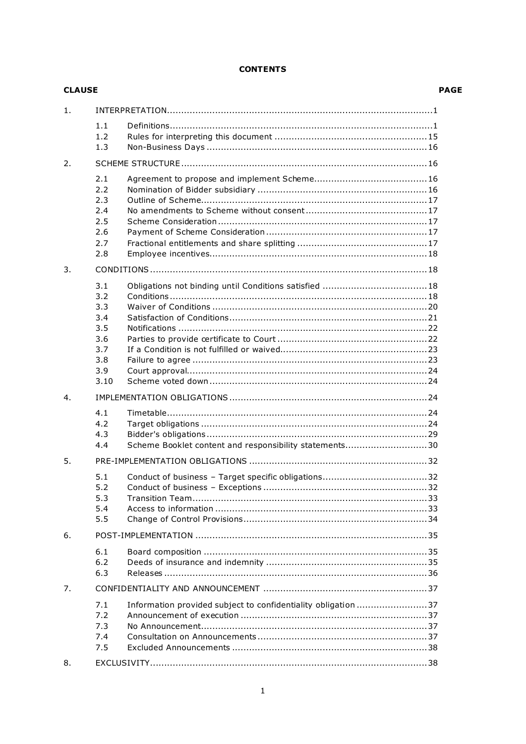#### **CONTENTS**

| <b>CLAUSE</b> |                                                                     |                                                               | <b>PAGE</b> |
|---------------|---------------------------------------------------------------------|---------------------------------------------------------------|-------------|
| 1.            |                                                                     |                                                               |             |
|               | 1.1<br>1.2<br>1.3                                                   |                                                               |             |
| 2.            |                                                                     |                                                               |             |
|               | 2.1<br>2.2<br>2.3<br>2.4<br>2.5<br>2.6<br>2.7<br>2.8                |                                                               |             |
| 3.            |                                                                     |                                                               |             |
|               | 3.1<br>3.2<br>3.3<br>3.4<br>3.5<br>3.6<br>3.7<br>3.8<br>3.9<br>3.10 |                                                               |             |
| 4.            |                                                                     |                                                               |             |
|               | 4.1<br>4.2<br>4.3<br>4.4                                            | Scheme Booklet content and responsibility statements30        |             |
| 5.            |                                                                     |                                                               |             |
|               | 5.1<br>5.2<br>5.3<br>5.4<br>5.5                                     |                                                               |             |
| 6.            |                                                                     |                                                               |             |
|               | 6.1<br>6.2<br>6.3                                                   |                                                               |             |
| 7.            |                                                                     |                                                               |             |
|               | 7.1<br>7.2<br>7.3<br>7.4<br>7.5                                     | Information provided subject to confidentiality obligation 37 |             |
| 8.            |                                                                     |                                                               |             |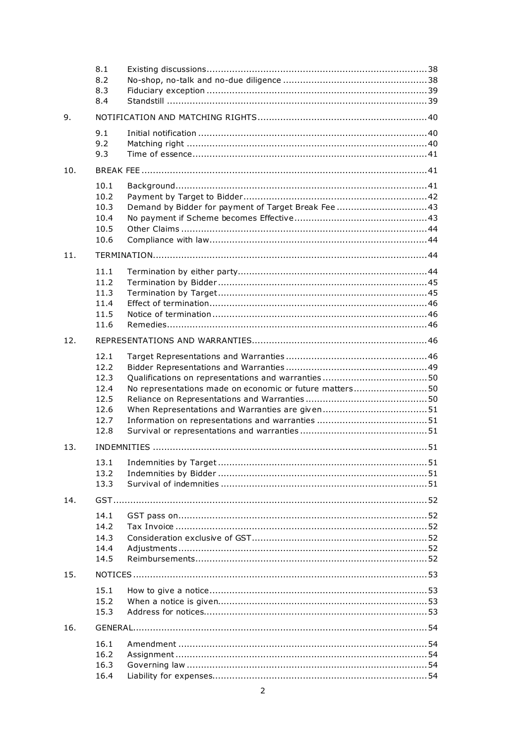|     | 8.1<br>8.2<br>8.3<br>8.4                                     |                                                         |
|-----|--------------------------------------------------------------|---------------------------------------------------------|
| 9.  |                                                              |                                                         |
|     | 9.1<br>9.2<br>9.3                                            |                                                         |
| 10. |                                                              |                                                         |
|     | 10.1<br>10.2<br>10.3<br>10.4<br>10.5<br>10.6                 | Demand by Bidder for payment of Target Break Fee  43    |
| 11. |                                                              |                                                         |
|     | 11.1<br>11.2<br>11.3<br>11.4<br>11.5<br>11.6                 |                                                         |
| 12. |                                                              |                                                         |
|     | 12.1<br>12.2<br>12.3<br>12.4<br>12.5<br>12.6<br>12.7<br>12.8 | No representations made on economic or future matters50 |
| 13. |                                                              |                                                         |
|     | 13.1<br>13.2<br>13.3                                         |                                                         |
| 14. |                                                              |                                                         |
|     | 14.1<br>14.2<br>14.3<br>14.4<br>14.5                         |                                                         |
| 15. |                                                              |                                                         |
|     | 15.1<br>15.2<br>15.3                                         |                                                         |
| 16. |                                                              |                                                         |
|     | 16.1<br>16.2<br>16.3<br>16.4                                 |                                                         |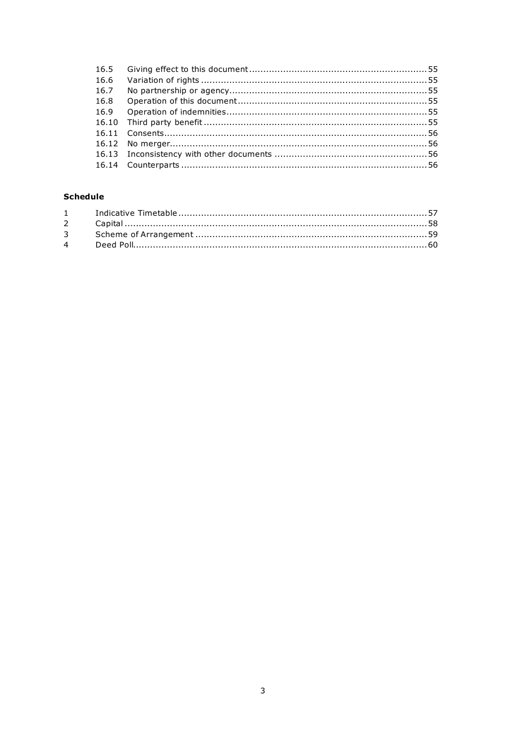| 16.6 |  |
|------|--|
| 16.7 |  |
| 16.8 |  |
| 16.9 |  |
|      |  |
|      |  |
|      |  |
|      |  |
|      |  |

#### **Schedule**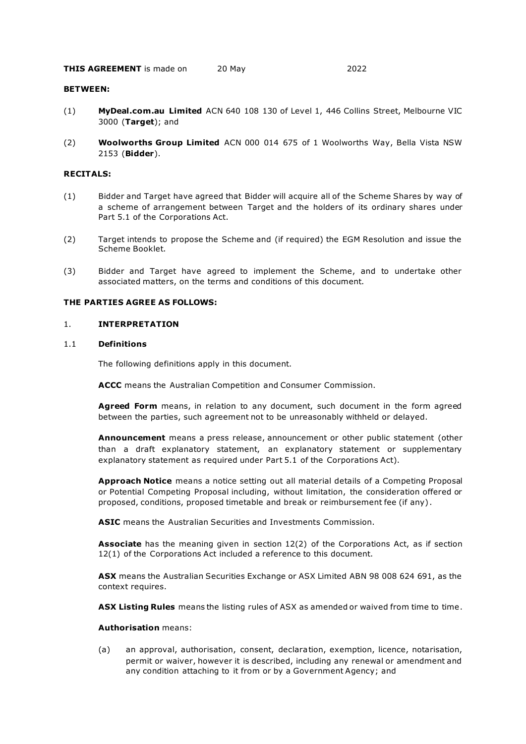#### BETWEEN:

- (1) MyDeal.com.au Limited ACN 640 108 130 of Level 1, 446 Collins Street, Melbourne VIC 3000 (Target); and
- (2) Woolworths Group Limited ACN 000 014 675 of 1 Woolworths Way, Bella Vista NSW 2153 (Bidder).

#### RECITALS:

- (1) Bidder and Target have agreed that Bidder will acquire all of the Scheme Shares by way of a scheme of arrangement between Target and the holders of its ordinary shares under Part 5.1 of the Corporations Act.
- (2) Target intends to propose the Scheme and (if required) the EGM Resolution and issue the Scheme Booklet.
- (3) Bidder and Target have agreed to implement the Scheme, and to undertake other associated matters, on the terms and conditions of this document.

#### THE PARTIES AGREE AS FOLLOWS:

#### 1. INTERPRETATION

#### 1.1 Definitions

The following definitions apply in this document.

ACCC means the Australian Competition and Consumer Commission.

Agreed Form means, in relation to any document, such document in the form agreed between the parties, such agreement not to be unreasonably withheld or delayed.

Announcement means a press release, announcement or other public statement (other than a draft explanatory statement, an explanatory statement or supplementary explanatory statement as required under Part 5.1 of the Corporations Act).

Approach Notice means a notice setting out all material details of a Competing Proposal or Potential Competing Proposal including, without limitation, the consideration offered or proposed, conditions, proposed timetable and break or reimbursement fee (if any) .

ASIC means the Australian Securities and Investments Commission.

Associate has the meaning given in section 12(2) of the Corporations Act, as if section 12(1) of the Corporations Act included a reference to this document.

ASX means the Australian Securities Exchange or ASX Limited ABN 98 008 624 691, as the context requires.

ASX Listing Rules means the listing rules of ASX as amended or waived from time to time.

#### Authorisation means:

(a) an approval, authorisation, consent, declara tion, exemption, licence, notarisation, permit or waiver, however it is described, including any renewal or amendment and any condition attaching to it from or by a Government Agency; and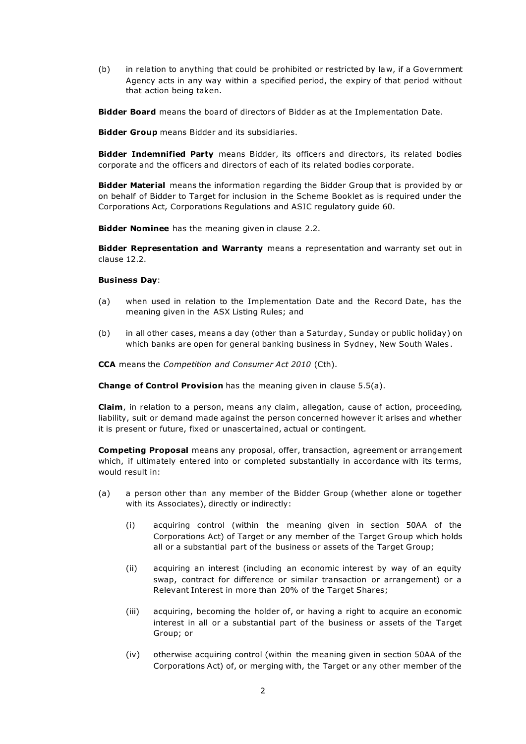(b) in relation to anything that could be prohibited or restricted by la w, if a Government Agency acts in any way within a specified period, the expiry of that period without that action being taken.

Bidder Board means the board of directors of Bidder as at the Implementation Date.

**Bidder Group** means Bidder and its subsidiaries.

Bidder Indemnified Party means Bidder, its officers and directors, its related bodies corporate and the officers and directors of each of its related bodies corporate.

**Bidder Material** means the information regarding the Bidder Group that is provided by or on behalf of Bidder to Target for inclusion in the Scheme Booklet as is required under the Corporations Act, Corporations Regulations and ASIC regulatory guide 60.

**Bidder Nominee** has the meaning given in clause 2.2.

Bidder Representation and Warranty means a representation and warranty set out in clause 12.2.

#### Business Day:

- (a) when used in relation to the Implementation Date and the Record Date, has the meaning given in the ASX Listing Rules; and
- (b) in all other cases, means a day (other than a Saturday , Sunday or public holiday) on which banks are open for general banking business in Sydney, New South Wales .

CCA means the Competition and Consumer Act 2010 (Cth).

Change of Control Provision has the meaning given in clause 5.5(a).

Claim, in relation to a person, means any claim, allegation, cause of action, proceeding, liability, suit or demand made against the person concerned however it arises and whether it is present or future, fixed or unascertained, actual or contingent.

Competing Proposal means any proposal, offer, transaction, agreement or arrangement which, if ultimately entered into or completed substantially in accordance with its terms, would result in:

- (a) a person other than any member of the Bidder Group (whether alone or together with its Associates), directly or indirectly:
	- (i) acquiring control (within the meaning given in section 50AA of the Corporations Act) of Target or any member of the Target Gro up which holds all or a substantial part of the business or assets of the Target Group;
	- (ii) acquiring an interest (including an economic interest by way of an equity swap, contract for difference or similar transaction or arrangement) or a Relevant Interest in more than 20% of the Target Shares;
	- (iii) acquiring, becoming the holder of, or having a right to acquire an economic interest in all or a substantial part of the business or assets of the Target Group; or
	- (iv) otherwise acquiring control (within the meaning given in section 50AA of the Corporations Act) of, or merging with, the Target or any other member of the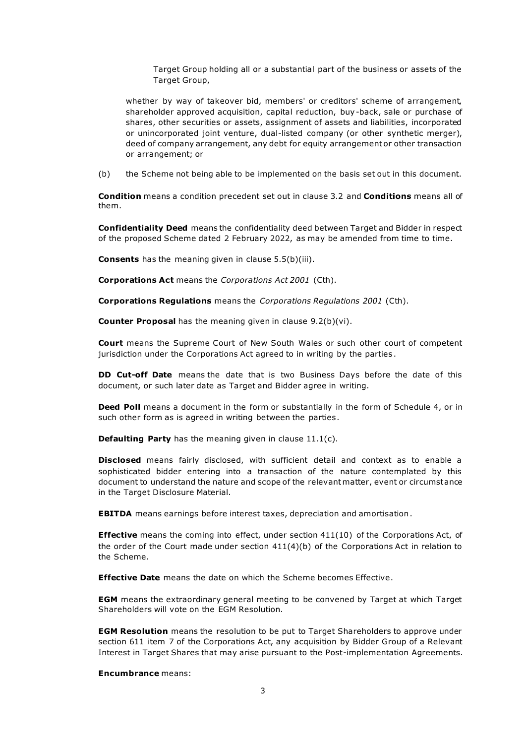Target Group holding all or a substantial part of the business or assets of the Target Group,

whether by way of takeover bid, members' or creditors' scheme of arrangement, shareholder approved acquisition, capital reduction, buy -back, sale or purchase of shares, other securities or assets, assignment of assets and liabilities, incorporated or unincorporated joint venture, dual-listed company (or other synthetic merger), deed of company arrangement, any debt for equity arrangement or other transaction or arrangement; or

(b) the Scheme not being able to be implemented on the basis set out in this document.

Condition means a condition precedent set out in clause 3.2 and Conditions means all of them.

Confidentiality Deed means the confidentiality deed between Target and Bidder in respect of the proposed Scheme dated 2 February 2022, as may be amended from time to time.

Consents has the meaning given in clause 5.5(b)(iii).

Corporations Act means the Corporations Act 2001 (Cth).

Corporations Regulations means the Corporations Regulations 2001 (Cth).

Counter Proposal has the meaning given in clause 9.2(b)(vi).

Court means the Supreme Court of New South Wales or such other court of competent jurisdiction under the Corporations Act agreed to in writing by the parties .

**DD Cut-off Date** means the date that is two Business Days before the date of this document, or such later date as Target and Bidder agree in writing.

**Deed Poll** means a document in the form or substantially in the form of Schedule 4, or in such other form as is agreed in writing between the parties .

Defaulting Party has the meaning given in clause 11.1(c).

Disclosed means fairly disclosed, with sufficient detail and context as to enable a sophisticated bidder entering into a transaction of the nature contemplated by this document to understand the nature and scope of the relevant matter, event or circumstance in the Target Disclosure Material.

EBITDA means earnings before interest taxes, depreciation and amortisation .

**Effective** means the coming into effect, under section 411(10) of the Corporations Act, of the order of the Court made under section 411(4)(b) of the Corporations Act in relation to the Scheme.

**Effective Date** means the date on which the Scheme becomes Effective.

EGM means the extraordinary general meeting to be convened by Target at which Target Shareholders will vote on the EGM Resolution.

**EGM Resolution** means the resolution to be put to Target Shareholders to approve under section 611 item 7 of the Corporations Act, any acquisition by Bidder Group of a Relevant Interest in Target Shares that may arise pursuant to the Post-implementation Agreements.

Encumbrance means: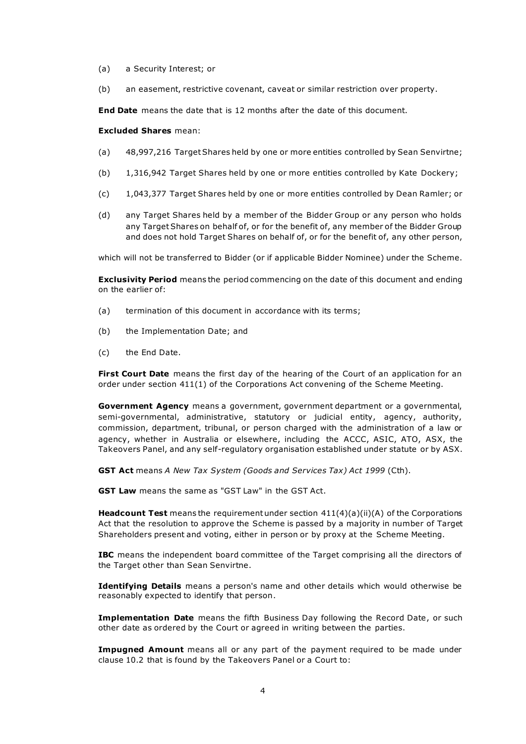- (a) a Security Interest; or
- (b) an easement, restrictive covenant, caveat or similar restriction over property.

End Date means the date that is 12 months after the date of this document.

#### Excluded Shares mean:

- (a) 48,997,216 Target Shares held by one or more entities controlled by Sean Senvirtne;
- (b) 1,316,942 Target Shares held by one or more entities controlled by Kate Dockery;
- (c) 1,043,377 Target Shares held by one or more entities controlled by Dean Ramler; or
- (d) any Target Shares held by a member of the Bidder Group or any person who holds any Target Shares on behalf of, or for the benefit of, any member of the Bidder Group and does not hold Target Shares on behalf of, or for the benefit of, any other person,

which will not be transferred to Bidder (or if applicable Bidder Nominee) under the Scheme.

**Exclusivity Period** means the period commencing on the date of this document and ending on the earlier of:

- (a) termination of this document in accordance with its terms;
- (b) the Implementation Date; and
- (c) the End Date.

First Court Date means the first day of the hearing of the Court of an application for an order under section 411(1) of the Corporations Act convening of the Scheme Meeting.

Government Agency means a government, government department or a governmental, semi-governmental, administrative, statutory or judicial entity, agency, authority, commission, department, tribunal, or person charged with the administration of a law or agency, whether in Australia or elsewhere, including the ACCC, ASIC, ATO, ASX, the Takeovers Panel, and any self-regulatory organisation established under statute or by ASX.

GST Act means A New Tax System (Goods and Services Tax) Act 1999 (Cth).

GST Law means the same as "GST Law" in the GST Act.

**Headcount Test** means the requirement under section  $411(4)(a)(ii)(A)$  of the Corporations Act that the resolution to approve the Scheme is passed by a majority in number of Target Shareholders present and voting, either in person or by proxy at the Scheme Meeting.

IBC means the independent board committee of the Target comprising all the directors of the Target other than Sean Senvirtne.

Identifying Details means a person's name and other details which would otherwise be reasonably expected to identify that person.

Implementation Date means the fifth Business Day following the Record Date, or such other date as ordered by the Court or agreed in writing between the parties.

**Impugned Amount** means all or any part of the payment required to be made under clause 10.2 that is found by the Takeovers Panel or a Court to: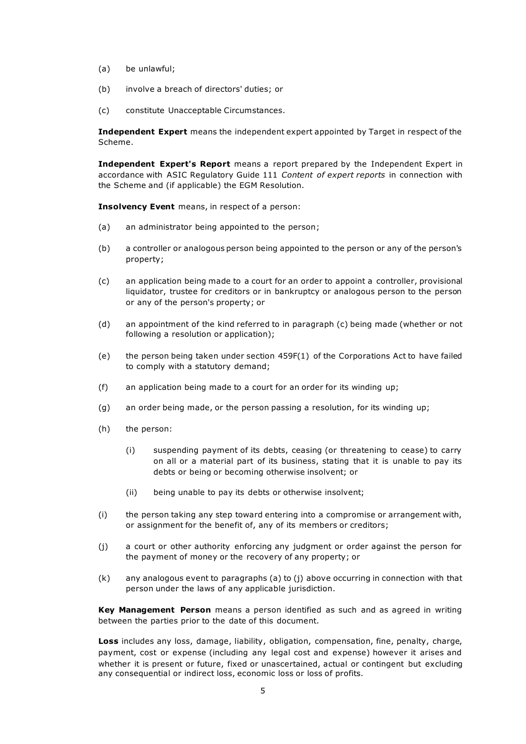- (a) be unlawful;
- (b) involve a breach of directors' duties; or
- (c) constitute Unacceptable Circumstances.

Independent Expert means the independent expert appointed by Target in respect of the Scheme.

Independent Expert's Report means a report prepared by the Independent Expert in accordance with ASIC Regulatory Guide 111 Content of expert reports in connection with the Scheme and (if applicable) the EGM Resolution.

Insolvency Event means, in respect of a person:

- (a) an administrator being appointed to the person;
- (b) a controller or analogous person being appointed to the person or any of the person's property;
- (c) an application being made to a court for an order to appoint a controller, provisional liquidator, trustee for creditors or in bankruptcy or analogous person to the person or any of the person's property; or
- (d) an appointment of the kind referred to in paragraph (c) being made (whether or not following a resolution or application);
- (e) the person being taken under section 459F(1) of the Corporations Act to have failed to comply with a statutory demand;
- (f) an application being made to a court for an order for its winding up;
- (g) an order being made, or the person passing a resolution, for its winding up;
- (h) the person:
	- (i) suspending payment of its debts, ceasing (or threatening to cease) to carry on all or a material part of its business, stating that it is unable to pay its debts or being or becoming otherwise insolvent; or
	- (ii) being unable to pay its debts or otherwise insolvent;
- (i) the person taking any step toward entering into a compromise or arrangement with, or assignment for the benefit of, any of its members or creditors;
- (j) a court or other authority enforcing any judgment or order against the person for the payment of money or the recovery of any property; or
- $(k)$  any analogous event to paragraphs (a) to (j) above occurring in connection with that person under the laws of any applicable jurisdiction.

Key Management Person means a person identified as such and as agreed in writing between the parties prior to the date of this document.

Loss includes any loss, damage, liability, obligation, compensation, fine, penalty, charge, payment, cost or expense (including any legal cost and expense) however it arises and whether it is present or future, fixed or unascertained, actual or contingent but excluding any consequential or indirect loss, economic loss or loss of profits.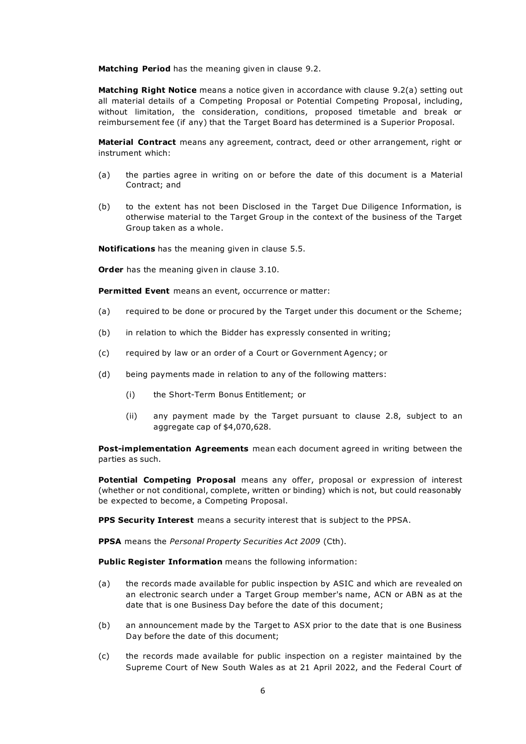Matching Period has the meaning given in clause 9.2.

Matching Right Notice means a notice given in accordance with clause 9.2(a) setting out all material details of a Competing Proposal or Potential Competing Proposal, including, without limitation, the consideration, conditions, proposed timetable and break or reimbursement fee (if any) that the Target Board has determined is a Superior Proposal.

Material Contract means any agreement, contract, deed or other arrangement, right or instrument which:

- (a) the parties agree in writing on or before the date of this document is a Material Contract; and
- (b) to the extent has not been Disclosed in the Target Due Diligence Information, is otherwise material to the Target Group in the context of the business of the Target Group taken as a whole.

Notifications has the meaning given in clause 5.5.

**Order** has the meaning given in clause 3.10.

Permitted Event means an event, occurrence or matter:

- (a) required to be done or procured by the Target under this document or the Scheme;
- (b) in relation to which the Bidder has expressly consented in writing;
- (c) required by law or an order of a Court or Government Agency; or
- (d) being payments made in relation to any of the following matters:
	- (i) the Short-Term Bonus Entitlement; or
	- (ii) any payment made by the Target pursuant to clause 2.8, subject to an aggregate cap of \$4,070,628.

Post-implementation Agreements mean each document agreed in writing between the parties as such.

Potential Competing Proposal means any offer, proposal or expression of interest (whether or not conditional, complete, written or binding) which is not, but could reasonably be expected to become, a Competing Proposal.

PPS Security Interest means a security interest that is subject to the PPSA.

PPSA means the Personal Property Securities Act 2009 (Cth).

Public Register Information means the following information:

- (a) the records made available for public inspection by ASIC and which are revealed on an electronic search under a Target Group member's name, ACN or ABN as at the date that is one Business Day before the date of this document;
- (b) an announcement made by the Target to ASX prior to the date that is one Business Day before the date of this document;
- (c) the records made available for public inspection on a register maintained by the Supreme Court of New South Wales as at 21 April 2022, and the Federal Court of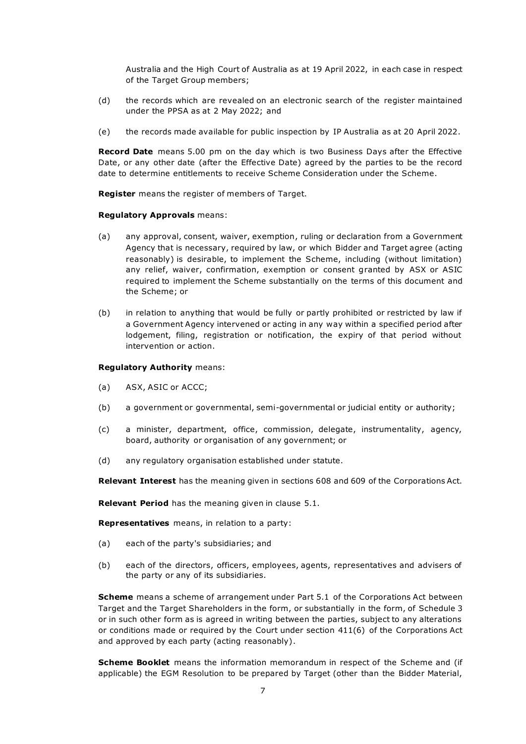Australia and the High Court of Australia as at 19 April 2022, in each case in respect of the Target Group members;

- (d) the records which are revealed on an electronic search of the register maintained under the PPSA as at 2 May 2022; and
- (e) the records made available for public inspection by IP Australia as at 20 April 2022.

**Record Date** means 5.00 pm on the day which is two Business Days after the Effective Date, or any other date (after the Effective Date) agreed by the parties to be the record date to determine entitlements to receive Scheme Consideration under the Scheme.

**Register** means the register of members of Target.

#### Regulatory Approvals means:

- (a) any approval, consent, waiver, exemption, ruling or declaration from a Government Agency that is necessary, required by law, or which Bidder and Target agree (acting reasonably) is desirable, to implement the Scheme, including (without limitation) any relief, waiver, confirmation, exemption or consent granted by ASX or ASIC required to implement the Scheme substantially on the terms of this document and the Scheme; or
- (b) in relation to anything that would be fully or partly prohibited or restricted by law if a Government Agency intervened or acting in any way within a specified period after lodgement, filing, registration or notification, the expiry of that period without intervention or action.

#### Regulatory Authority means:

- (a) ASX, ASIC or ACCC;
- (b) a government or governmental, semi-governmental or judicial entity or authority;
- (c) a minister, department, office, commission, delegate, instrumentality, agency, board, authority or organisation of any government; or
- (d) any regulatory organisation established under statute.

Relevant Interest has the meaning given in sections 608 and 609 of the Corporations Act.

Relevant Period has the meaning given in clause 5.1.

Representatives means, in relation to a party:

- (a) each of the party's subsidiaries; and
- (b) each of the directors, officers, employees, agents, representatives and advisers of the party or any of its subsidiaries.

**Scheme** means a scheme of arrangement under Part 5.1 of the Corporations Act between Target and the Target Shareholders in the form, or substantially in the form, of Schedule 3 or in such other form as is agreed in writing between the parties, subject to any alterations or conditions made or required by the Court under section 411(6) of the Corporations Act and approved by each party (acting reasonably).

Scheme Booklet means the information memorandum in respect of the Scheme and (if applicable) the EGM Resolution to be prepared by Target (other than the Bidder Material,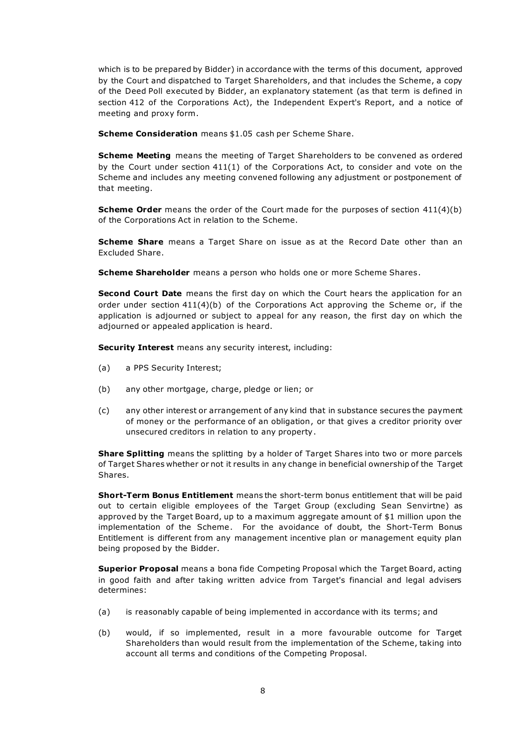which is to be prepared by Bidder) in accordance with the terms of this document, approved by the Court and dispatched to Target Shareholders, and that includes the Scheme, a copy of the Deed Poll executed by Bidder, an explanatory statement (as that term is defined in section 412 of the Corporations Act), the Independent Expert's Report, and a notice of meeting and proxy form.

Scheme Consideration means \$1.05 cash per Scheme Share.

**Scheme Meeting** means the meeting of Target Shareholders to be convened as ordered by the Court under section 411(1) of the Corporations Act, to consider and vote on the Scheme and includes any meeting convened following any adjustment or postponement of that meeting.

**Scheme Order** means the order of the Court made for the purposes of section 411(4)(b) of the Corporations Act in relation to the Scheme.

**Scheme Share** means a Target Share on issue as at the Record Date other than an Excluded Share.

Scheme Shareholder means a person who holds one or more Scheme Shares.

Second Court Date means the first day on which the Court hears the application for an order under section  $411(4)(b)$  of the Corporations Act approving the Scheme or, if the application is adjourned or subject to appeal for any reason, the first day on which the adjourned or appealed application is heard.

Security Interest means any security interest, including:

- (a) a PPS Security Interest;
- (b) any other mortgage, charge, pledge or lien; or
- (c) any other interest or arrangement of any kind that in substance secures the payment of money or the performance of an obligation, or that gives a creditor priority over unsecured creditors in relation to any property .

**Share Splitting** means the splitting by a holder of Target Shares into two or more parcels of Target Shares whether or not it results in any change in beneficial ownership of the Target Shares.

Short-Term Bonus Entitlement means the short-term bonus entitlement that will be paid out to certain eligible employees of the Target Group (excluding Sean Senvirtne) as approved by the Target Board, up to a maximum aggregate amount of \$1 million upon the implementation of the Scheme. For the avoidance of doubt, the Short-Term Bonus Entitlement is different from any management incentive plan or management equity plan being proposed by the Bidder.

Superior Proposal means a bona fide Competing Proposal which the Target Board, acting in good faith and after taking written advice from Target's financial and legal advisers determines:

- (a) is reasonably capable of being implemented in accordance with its terms; and
- (b) would, if so implemented, result in a more favourable outcome for Target Shareholders than would result from the implementation of the Scheme, taking into account all terms and conditions of the Competing Proposal.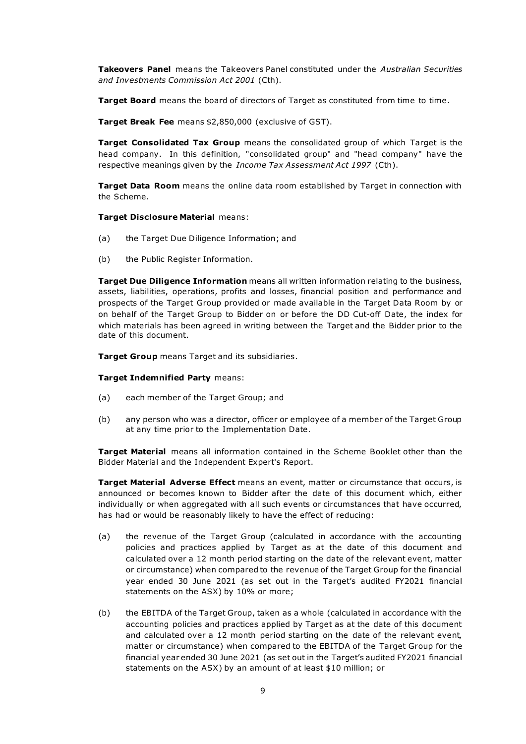Takeovers Panel means the Takeovers Panel constituted under the Australian Securities and Investments Commission Act 2001 (Cth).

Target Board means the board of directors of Target as constituted from time to time.

Target Break Fee means \$2,850,000 (exclusive of GST).

**Target Consolidated Tax Group** means the consolidated group of which Target is the head company. In this definition, "consolidated group" and "head company" have the respective meanings given by the Income Tax Assessment Act 1997 (Cth).

Target Data Room means the online data room established by Target in connection with the Scheme.

Target Disclosure Material means:

- (a) the Target Due Diligence Information; and
- (b) the Public Register Information.

**Target Due Diligence Information** means all written information relating to the business, assets, liabilities, operations, profits and losses, financial position and performance and prospects of the Target Group provided or made available in the Target Data Room by or on behalf of the Target Group to Bidder on or before the DD Cut-off Date, the index for which materials has been agreed in writing between the Target and the Bidder prior to the date of this document.

Target Group means Target and its subsidiaries.

#### Target Indemnified Party means:

- (a) each member of the Target Group; and
- (b) any person who was a director, officer or employee of a member of the Target Group at any time prior to the Implementation Date.

**Target Material** means all information contained in the Scheme Booklet other than the Bidder Material and the Independent Expert's Report.

Target Material Adverse Effect means an event, matter or circumstance that occurs, is announced or becomes known to Bidder after the date of this document which, either individually or when aggregated with all such events or circumstances that have occurred, has had or would be reasonably likely to have the effect of reducing:

- (a) the revenue of the Target Group (calculated in accordance with the accounting policies and practices applied by Target as at the date of this document and calculated over a 12 month period starting on the date of the relevant event, matter or circumstance) when compared to the revenue of the Target Group for the financial year ended 30 June 2021 (as set out in the Target's audited FY2021 financial statements on the ASX) by 10% or more;
- (b) the EBITDA of the Target Group, taken as a whole (calculated in accordance with the accounting policies and practices applied by Target as at the date of this document and calculated over a 12 month period starting on the date of the relevant event, matter or circumstance) when compared to the EBITDA of the Target Group for the financial year ended 30 June 2021 (as set out in the Target's audited FY2021 financial statements on the ASX) by an amount of at least \$10 million; or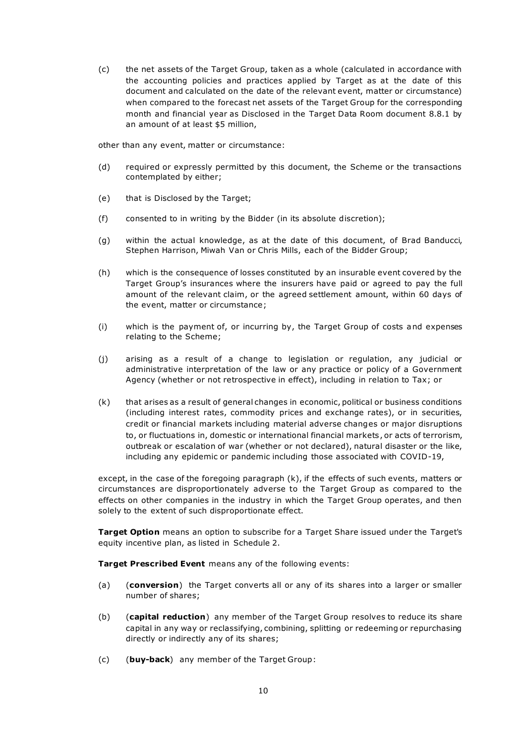(c) the net assets of the Target Group, taken as a whole (calculated in accordance with the accounting policies and practices applied by Target as at the date of this document and calculated on the date of the relevant event, matter or circumstance) when compared to the forecast net assets of the Target Group for the corresponding month and financial year as Disclosed in the Target Data Room document 8.8.1 by an amount of at least \$5 million,

other than any event, matter or circumstance:

- (d) required or expressly permitted by this document, the Scheme or the transactions contemplated by either;
- (e) that is Disclosed by the Target;
- (f) consented to in writing by the Bidder (in its absolute discretion);
- (g) within the actual knowledge, as at the date of this document, of Brad Banducci, Stephen Harrison, Miwah Van or Chris Mills, each of the Bidder Group;
- (h) which is the consequence of losses constituted by an insurable event covered by the Target Group's insurances where the insurers have paid or agreed to pay the full amount of the relevant claim, or the agreed settlement amount, within 60 days of the event, matter or circumstance;
- (i) which is the payment of, or incurring by, the Target Group of costs a nd expenses relating to the Scheme;
- (j) arising as a result of a change to legislation or regulation, any judicial or administrative interpretation of the law or any practice or policy of a Government Agency (whether or not retrospective in effect), including in relation to Tax; or
- (k) that arises as a result of general changes in economic, political or business conditions (including interest rates, commodity prices and exchange rates), or in securities, credit or financial markets including material adverse changes or major disruptions to, or fluctuations in, domestic or international financial markets , or acts of terrorism, outbreak or escalation of war (whether or not declared), natural disaster or the like, including any epidemic or pandemic including those associated with COVID-19,

except, in the case of the foregoing paragraph (k), if the effects of such events, matters or circumstances are disproportionately adverse to the Target Group as compared to the effects on other companies in the industry in which the Target Group operates, and then solely to the extent of such disproportionate effect.

**Target Option** means an option to subscribe for a Target Share issued under the Target's equity incentive plan, as listed in Schedule 2.

Target Prescribed Event means any of the following events:

- (a) (conversion) the Target converts all or any of its shares into a larger or smaller number of shares;
- (b) (capital reduction) any member of the Target Group resolves to reduce its share capital in any way or reclassifying, combining, splitting or redeeming or repurchasing directly or indirectly any of its shares;
- (c) (buy-back) any member of the Target Group: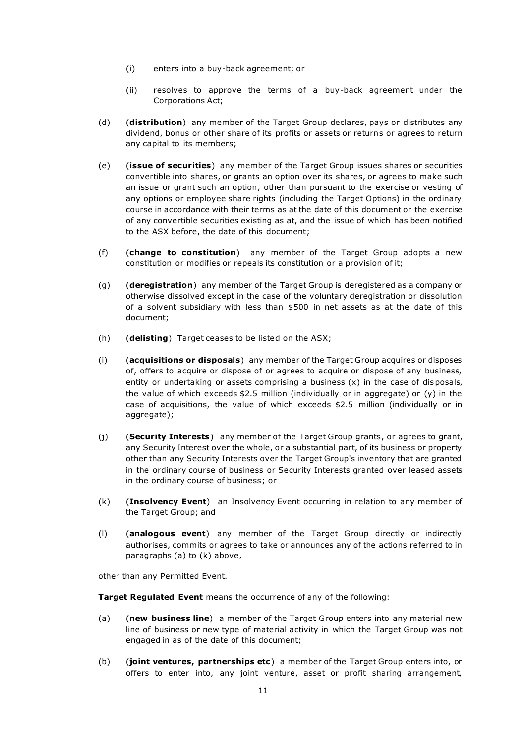- (i) enters into a buy-back agreement; or
- (ii) resolves to approve the terms of a buy-back agreement under the Corporations Act;
- (d) (distribution) any member of the Target Group declares, pays or distributes any dividend, bonus or other share of its profits or assets or return s or agrees to return any capital to its members;
- (e) (issue of securities) any member of the Target Group issues shares or securities convertible into shares, or grants an option over its shares, or agrees to make such an issue or grant such an option, other than pursuant to the exercise or vesting of any options or employee share rights (including the Target Options) in the ordinary course in accordance with their terms as at the date of this document or the exercise of any convertible securities existing as at, and the issue of which has been notified to the ASX before, the date of this document;
- (f) (change to constitution) any member of the Target Group adopts a new constitution or modifies or repeals its constitution or a provision of it;
- (g) (deregistration) any member of the Target Group is deregistered as a company or otherwise dissolved except in the case of the voluntary deregistration or dissolution of a solvent subsidiary with less than \$500 in net assets as at the date of this document;
- (h) (delisting) Target ceases to be listed on the ASX;
- (i) (acquisitions or disposals) any member of the Target Group acquires or disposes of, offers to acquire or dispose of or agrees to acquire or dispose of any business, entity or undertaking or assets comprising a business  $(x)$  in the case of disposals, the value of which exceeds  $$2.5$  million (individually or in aggregate) or (y) in the case of acquisitions, the value of which exceeds \$2.5 million (individually or in aggregate);
- (i) (Security Interests) any member of the Target Group grants, or agrees to grant, any Security Interest over the whole, or a substantial part, of its business or property other than any Security Interests over the Target Group's inventory that are granted in the ordinary course of business or Security Interests granted over leased assets in the ordinary course of business; or
- (k) (Insolvency Event) an Insolvency Event occurring in relation to any member of the Target Group; and
- (l) (analogous event) any member of the Target Group directly or indirectly authorises, commits or agrees to take or announces any of the actions referred to in paragraphs (a) to (k) above,

other than any Permitted Event.

**Target Regulated Event** means the occurrence of any of the following:

- (a) (new business line) a member of the Target Group enters into any material new line of business or new type of material activity in which the Target Group was not engaged in as of the date of this document;
- (b) (joint ventures, partnerships etc) a member of the Target Group enters into, or offers to enter into, any joint venture, asset or profit sharing arrangement,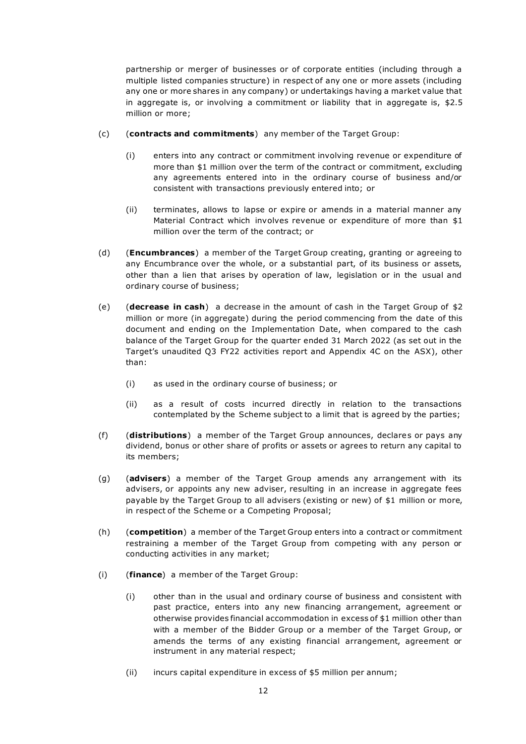partnership or merger of businesses or of corporate entities (including through a multiple listed companies structure) in respect of any one or more assets (including any one or more shares in any company) or undertakings having a market value that in aggregate is, or involving a commitment or liability that in aggregate is, \$2.5 million or more;

- (c) (contracts and commitments) any member of the Target Group:
	- (i) enters into any contract or commitment involving revenue or expenditure of more than \$1 million over the term of the contract or commitment, excluding any agreements entered into in the ordinary course of business and/or consistent with transactions previously entered into; or
	- (ii) terminates, allows to lapse or expire or amends in a material manner any Material Contract which involves revenue or expenditure of more than \$1 million over the term of the contract; or
- (d) **(Encumbrances)** a member of the Target Group creating, granting or agreeing to any Encumbrance over the whole, or a substantial part, of its business or assets, other than a lien that arises by operation of law, legislation or in the usual and ordinary course of business;
- (e) (decrease in cash) a decrease in the amount of cash in the Target Group of  $$2$ million or more (in aggregate) during the period commencing from the date of this document and ending on the Implementation Date, when compared to the cash balance of the Target Group for the quarter ended 31 March 2022 (as set out in the Target's unaudited Q3 FY22 activities report and Appendix 4C on the ASX), other than:
	- (i) as used in the ordinary course of business; or
	- (ii) as a result of costs incurred directly in relation to the transactions contemplated by the Scheme subject to a limit that is agreed by the parties;
- (f) (distributions) a member of the Target Group announces, declares or pays any dividend, bonus or other share of profits or assets or agrees to return any capital to its members;
- (g) (advisers) a member of the Target Group amends any arrangement with its advisers, or appoints any new adviser, resulting in an increase in aggregate fees payable by the Target Group to all advisers (existing or new) of \$1 million or more, in respect of the Scheme or a Competing Proposal;
- (h) (competition) a member of the Target Group enters into a contract or commitment restraining a member of the Target Group from competing with any person or conducting activities in any market;
- (i) (finance) a member of the Target Group:
	- (i) other than in the usual and ordinary course of business and consistent with past practice, enters into any new financing arrangement, agreement or otherwise provides financial accommodation in excess of \$1 million other than with a member of the Bidder Group or a member of the Target Group, or amends the terms of any existing financial arrangement, agreement or instrument in any material respect;
	- (ii) incurs capital expenditure in excess of \$5 million per annum;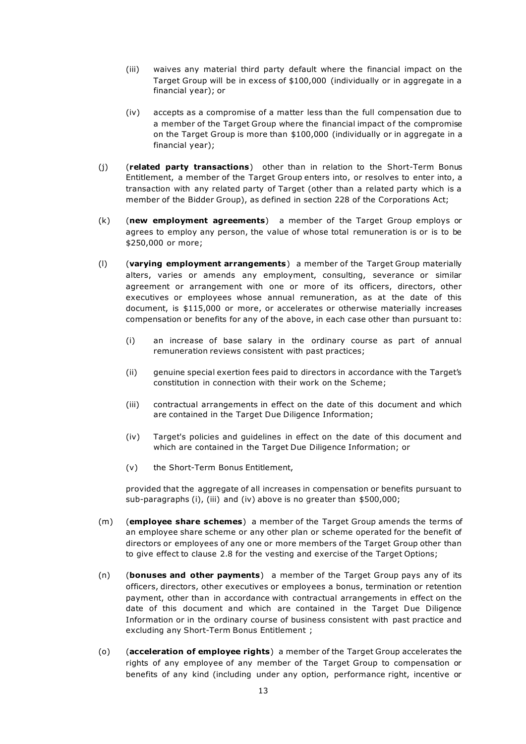- (iii) waives any material third party default where the financial impact on the Target Group will be in excess of \$100,000 (individually or in aggregate in a financial year); or
- (iv) accepts as a compromise of a matter less than the full compensation due to a member of the Target Group where the financial impact of the compromise on the Target Group is more than \$100,000 (individually or in aggregate in a financial year);
- (j) (related party transactions) other than in relation to the Short-Term Bonus Entitlement, a member of the Target Group enters into, or resolves to enter into, a transaction with any related party of Target (other than a related party which is a member of the Bidder Group), as defined in section 228 of the Corporations Act;
- (k) (new employment agreements) a member of the Target Group employs or agrees to employ any person, the value of whose total remuneration is or is to be \$250,000 or more;
- (I) (varying employment arrangements) a member of the Target Group materially alters, varies or amends any employment, consulting, severance or similar agreement or arrangement with one or more of its officers, directors, other executives or employees whose annual remuneration, as at the date of this document, is \$115,000 or more, or accelerates or otherwise materially increases compensation or benefits for any of the above, in each case other than pursuant to:
	- (i) an increase of base salary in the ordinary course as part of annual remuneration reviews consistent with past practices;
	- (ii) genuine special exertion fees paid to directors in accordance with the Target's constitution in connection with their work on the Scheme;
	- (iii) contractual arrangements in effect on the date of this document and which are contained in the Target Due Diligence Information;
	- (iv) Target's policies and guidelines in effect on the date of this document and which are contained in the Target Due Diligence Information; or
	- (v) the Short-Term Bonus Entitlement,

provided that the aggregate of all increases in compensation or benefits pursuant to sub-paragraphs (i), (iii) and (iv) above is no greater than \$500,000;

- (m) (**employee share schemes**) a member of the Target Group amends the terms of an employee share scheme or any other plan or scheme operated for the benefit of directors or employees of any one or more members of the Target Group other than to give effect to clause 2.8 for the vesting and exercise of the Target Options;
- (n) (bonuses and other payments) a member of the Target Group pays any of its officers, directors, other executives or employees a bonus, termination or retention payment, other than in accordance with contractual arrangements in effect on the date of this document and which are contained in the Target Due Diligence Information or in the ordinary course of business consistent with past practice and excluding any Short-Term Bonus Entitlement ;
- (o) (acceleration of employee rights) a member of the Target Group accelerates the rights of any employee of any member of the Target Group to compensation or benefits of any kind (including under any option, performance right, incentive or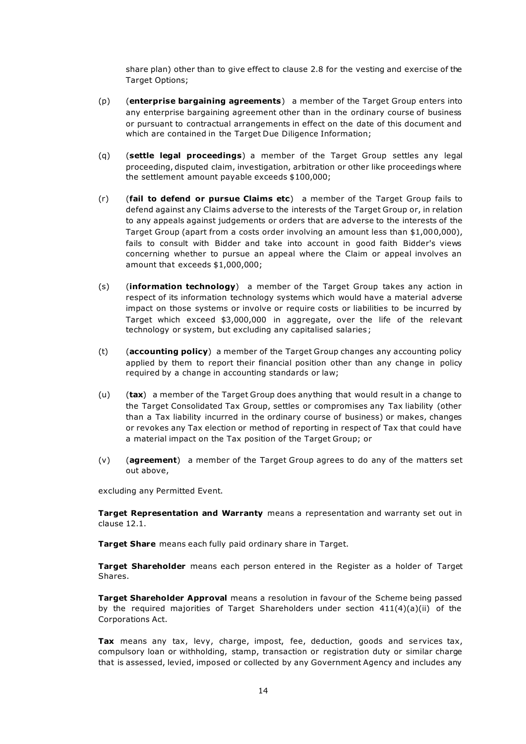share plan) other than to give effect to clause 2.8 for the vesting and exercise of the Target Options;

- (p) (enterprise bargaining agreements) a member of the Target Group enters into any enterprise bargaining agreement other than in the ordinary course of business or pursuant to contractual arrangements in effect on the date of this document and which are contained in the Target Due Diligence Information;
- (g) (settle legal proceedings) a member of the Target Group settles any legal proceeding, disputed claim, investigation, arbitration or other like proceedings where the settlement amount payable exceeds \$100,000;
- $(r)$  (fail to defend or pursue Claims etc) a member of the Target Group fails to defend against any Claims adverse to the interests of the Target Group or, in relation to any appeals against judgements or orders that are adverse to the interests of the Target Group (apart from a costs order involving an amount less than \$1,000,000), fails to consult with Bidder and take into account in good faith Bidder's views concerning whether to pursue an appeal where the Claim or appeal involves an amount that exceeds \$1,000,000;
- (s) (information technology) a member of the Target Group takes any action in respect of its information technology systems which would have a material adverse impact on those systems or involve or require costs or liabilities to be incurred by Target which exceed \$3,000,000 in aggregate, over the life of the relevant technology or system, but excluding any capitalised salaries ;
- (t) (accounting policy) a member of the Target Group changes any accounting policy applied by them to report their financial position other than any change in policy required by a change in accounting standards or law;
- (u)  $(tax)$  a member of the Target Group does anything that would result in a change to the Target Consolidated Tax Group, settles or compromises any Tax liability (other than a Tax liability incurred in the ordinary course of business) or makes, changes or revokes any Tax election or method of reporting in respect of Tax that could have a material impact on the Tax position of the Target Group; or
- (v)  $($ agreement) a member of the Target Group agrees to do any of the matters set out above,

excluding any Permitted Event.

Target Representation and Warranty means a representation and warranty set out in clause 12.1.

Target Share means each fully paid ordinary share in Target.

Target Shareholder means each person entered in the Register as a holder of Target Shares.

**Target Shareholder Approval** means a resolution in favour of the Scheme being passed by the required majorities of Target Shareholders under section 411(4)(a)(ii) of the Corporations Act.

Tax means any tax, levy, charge, impost, fee, deduction, goods and services tax, compulsory loan or withholding, stamp, transaction or registration duty or similar charge that is assessed, levied, imposed or collected by any Government Agency and includes any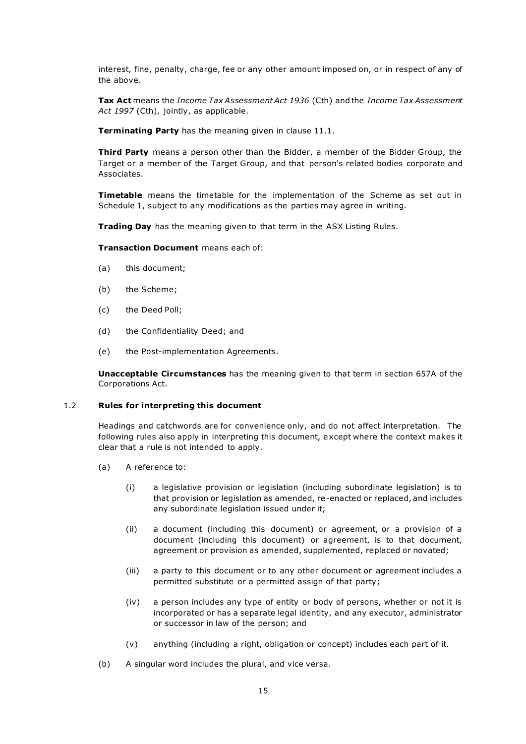interest, fine, penalty, charge, fee or any other amount imposed on, or in respect of any of the above.

Tax Act means the Income Tax Assessment Act 1936 (Cth) and the Income Tax Assessment Act 1997 (Cth), jointly, as applicable.

Terminating Party has the meaning given in clause 11.1.

Third Party means a person other than the Bidder, a member of the Bidder Group, the Target or a member of the Target Group, and that person's related bodies corporate and Associates.

**Timetable** means the timetable for the implementation of the Scheme as set out in Schedule 1, subject to any modifications as the parties may agree in writing.

Trading Day has the meaning given to that term in the ASX Listing Rules.

Transaction Document means each of:

- (a) this document;
- (b) the Scheme;
- (c) the Deed Poll;
- (d) the Confidentiality Deed; and
- (e) the Post-implementation Agreements.

Unacceptable Circumstances has the meaning given to that term in section 657A of the Corporations Act.

#### 1.2 Rules for interpreting this document

Headings and catchwords are for convenience only, and do not affect interpretation. The following rules also apply in interpreting this document, e xcept where the context makes it clear that a rule is not intended to apply.

- (a) A reference to:
	- (i) a legislative provision or legislation (including subordinate legislation) is to that provision or legislation as amended, re-enacted or replaced, and includes any subordinate legislation issued under it;
	- (ii) a document (including this document) or agreement, or a provision of a document (including this document) or agreement, is to that document, agreement or provision as amended, supplemented, replaced or novated;
	- (iii) a party to this document or to any other document or agreement includes a permitted substitute or a permitted assign of that party;
	- (iv) a person includes any type of entity or body of persons, whether or not it is incorporated or has a separate legal identity, and any executor, administrator or successor in law of the person; and
	- (v) anything (including a right, obligation or concept) includes each part of it.
- (b) A singular word includes the plural, and vice versa.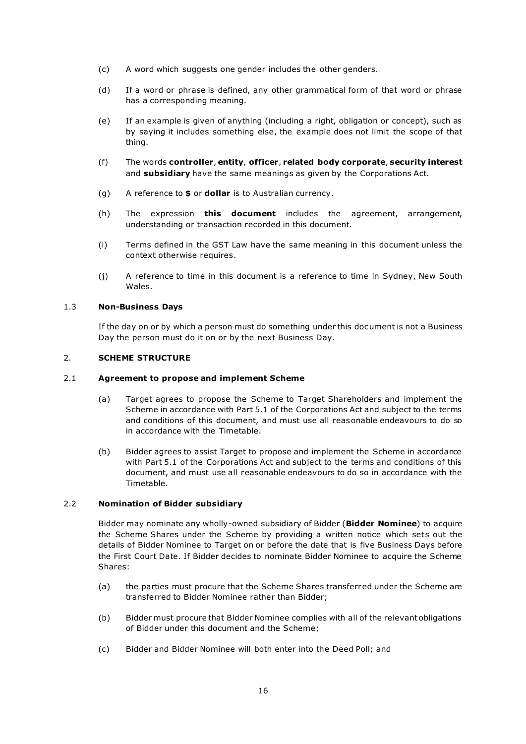- (c) A word which suggests one gender includes the other genders.
- (d) If a word or phrase is defined, any other grammatical form of that word or phrase has a corresponding meaning.
- (e) If an example is given of anything (including a right, obligation or concept), such as by saying it includes something else, the example does not limit the scope of that thing.
- (f) The words controller, entity, officer, related body corporate, security interest and subsidiary have the same meanings as given by the Corporations Act.
- (g) A reference to  $\oint$  or **dollar** is to Australian currency.
- (h) The expression **this document** includes the agreement, arrangement, understanding or transaction recorded in this document.
- (i) Terms defined in the GST Law have the same meaning in this document unless the context otherwise requires.
- (j) A reference to time in this document is a reference to time in Sydney, New South Wales.

#### 1.3 Non-Business Days

If the day on or by which a person must do something under this doc ument is not a Business Day the person must do it on or by the next Business Day.

#### 2. SCHEME STRUCTURE

#### 2.1 Agreement to propose and implement Scheme

- (a) Target agrees to propose the Scheme to Target Shareholders and implement the Scheme in accordance with Part 5.1 of the Corporations Act and subject to the terms and conditions of this document, and must use all reasonable endeavours to do so in accordance with the Timetable.
- (b) Bidder agrees to assist Target to propose and implement the Scheme in accordance with Part 5.1 of the Corporations Act and subject to the terms and conditions of this document, and must use all reasonable endeavours to do so in accordance with the Timetable.

#### 2.2 Nomination of Bidder subsidiary

Bidder may nominate any wholly-owned subsidiary of Bidder (Bidder Nominee) to acquire the Scheme Shares under the Scheme by providing a written notice which sets out the details of Bidder Nominee to Target on or before the date that is five Business Days before the First Court Date. If Bidder decides to nominate Bidder Nominee to acquire the Scheme Shares:

- (a) the parties must procure that the Scheme Shares transferr ed under the Scheme are transferred to Bidder Nominee rather than Bidder;
- (b) Bidder must procure that Bidder Nominee complies with all of the relevant obligations of Bidder under this document and the Scheme;
- (c) Bidder and Bidder Nominee will both enter into the Deed Poll; and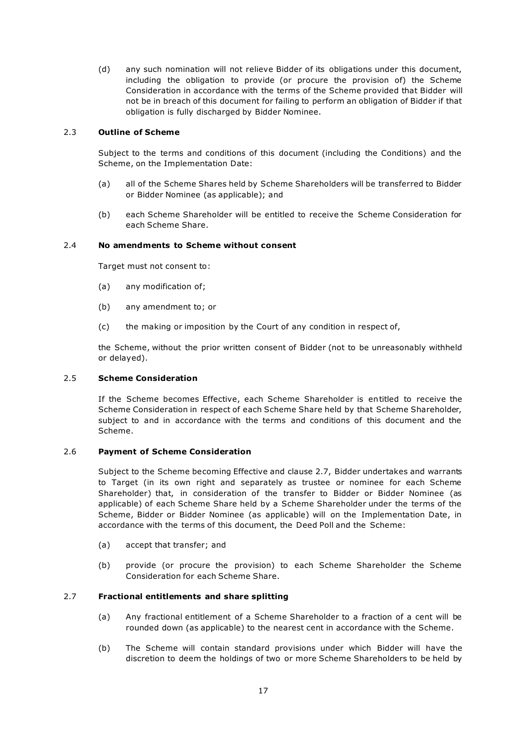(d) any such nomination will not relieve Bidder of its obligations under this document, including the obligation to provide (or procure the provision of) the Scheme Consideration in accordance with the terms of the Scheme provided that Bidder will not be in breach of this document for failing to perform an obligation of Bidder if that obligation is fully discharged by Bidder Nominee.

#### 2.3 Outline of Scheme

Subject to the terms and conditions of this document (including the Conditions) and the Scheme, on the Implementation Date:

- (a) all of the Scheme Shares held by Scheme Shareholders will be transferred to Bidder or Bidder Nominee (as applicable); and
- (b) each Scheme Shareholder will be entitled to receive the Scheme Consideration for each Scheme Share.

#### 2.4 No amendments to Scheme without consent

Target must not consent to:

- (a) any modification of;
- (b) any amendment to; or
- (c) the making or imposition by the Court of any condition in respect of,

the Scheme, without the prior written consent of Bidder (not to be unreasonably withheld or delayed).

#### 2.5 Scheme Consideration

If the Scheme becomes Effective, each Scheme Shareholder is en titled to receive the Scheme Consideration in respect of each Scheme Share held by that Scheme Shareholder, subject to and in accordance with the terms and conditions of this document and the Scheme.

#### 2.6 Payment of Scheme Consideration

Subject to the Scheme becoming Effective and clause 2.7, Bidder undertakes and warrants to Target (in its own right and separately as trustee or nominee for each Scheme Shareholder) that, in consideration of the transfer to Bidder or Bidder Nominee (as applicable) of each Scheme Share held by a Scheme Shareholder under the terms of the Scheme, Bidder or Bidder Nominee (as applicable) will on the Implementation Date, in accordance with the terms of this document, the Deed Poll and the Scheme:

- (a) accept that transfer; and
- (b) provide (or procure the provision) to each Scheme Shareholder the Scheme Consideration for each Scheme Share.

#### 2.7 Fractional entitlements and share splitting

- (a) Any fractional entitlement of a Scheme Shareholder to a fraction of a cent will be rounded down (as applicable) to the nearest cent in accordance with the Scheme.
- (b) The Scheme will contain standard provisions under which Bidder will have the discretion to deem the holdings of two or more Scheme Shareholders to be held by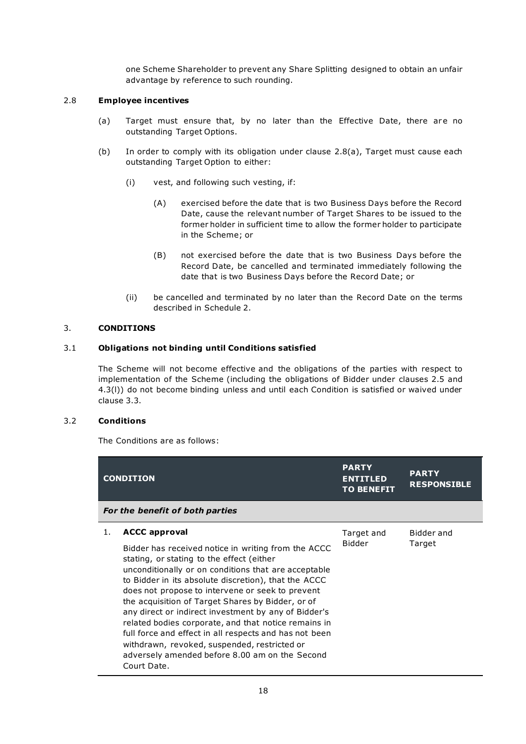one Scheme Shareholder to prevent any Share Splitting designed to obtain an unfair advantage by reference to such rounding.

#### 2.8 Employee incentives

- (a) Target must ensure that, by no later than the Effective Date, there are no outstanding Target Options.
- (b) In order to comply with its obligation under clause 2.8(a), Target must cause each outstanding Target Option to either:
	- (i) vest, and following such vesting, if:
		- (A) exercised before the date that is two Business Days before the Record Date, cause the relevant number of Target Shares to be issued to the former holder in sufficient time to allow the former holder to participate in the Scheme; or
		- (B) not exercised before the date that is two Business Days before the Record Date, be cancelled and terminated immediately following the date that is two Business Days before the Record Date; or
	- (ii) be cancelled and terminated by no later than the Record Date on the terms described in Schedule 2.

#### 3. CONDITIONS

#### 3.1 Obligations not binding until Conditions satisfied

The Scheme will not become effective and the obligations of the parties with respect to implementation of the Scheme (including the obligations of Bidder under clauses 2.5 and 4.3(l)) do not become binding unless and until each Condition is satisfied or waived under clause 3.3.

#### 3.2 Conditions

The Conditions are as follows:

|    | <b>CONDITION</b>                                                                                                                                                                                                                                                                                                                                                                                                                                                                                                                                                                                                                             | <b>PARTY</b><br><b>ENTITLED</b><br><b>TO BENEFIT</b> | <b>PARTY</b><br><b>RESPONSIBLE</b> |  |  |
|----|----------------------------------------------------------------------------------------------------------------------------------------------------------------------------------------------------------------------------------------------------------------------------------------------------------------------------------------------------------------------------------------------------------------------------------------------------------------------------------------------------------------------------------------------------------------------------------------------------------------------------------------------|------------------------------------------------------|------------------------------------|--|--|
|    | For the benefit of both parties                                                                                                                                                                                                                                                                                                                                                                                                                                                                                                                                                                                                              |                                                      |                                    |  |  |
| 1. | <b>ACCC approval</b><br>Bidder has received notice in writing from the ACCC<br>stating, or stating to the effect (either<br>unconditionally or on conditions that are acceptable<br>to Bidder in its absolute discretion), that the ACCC<br>does not propose to intervene or seek to prevent<br>the acquisition of Target Shares by Bidder, or of<br>any direct or indirect investment by any of Bidder's<br>related bodies corporate, and that notice remains in<br>full force and effect in all respects and has not been<br>withdrawn, revoked, suspended, restricted or<br>adversely amended before 8.00 am on the Second<br>Court Date. | Target and<br><b>Bidder</b>                          | Bidder and<br>Target               |  |  |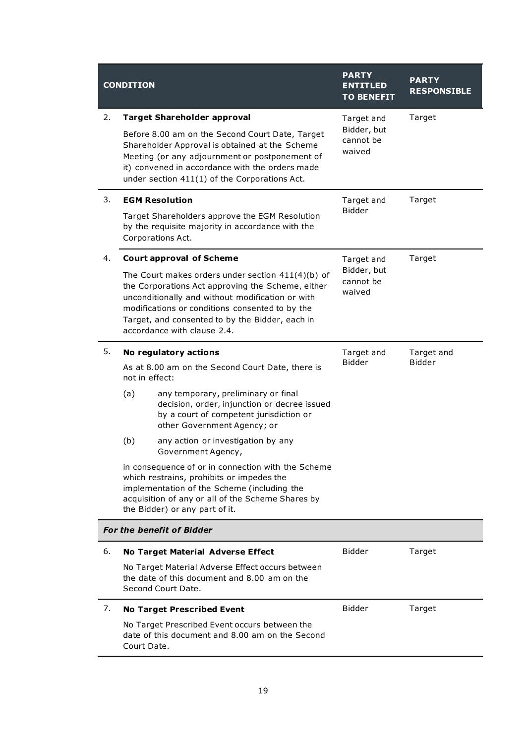| <b>CONDITION</b> |                                                                                                                                                                                                                                                                                                   | <b>PARTY</b><br><b>ENTITLED</b><br><b>TO BENEFIT</b> | <b>PARTY</b><br><b>RESPONSIBLE</b> |  |
|------------------|---------------------------------------------------------------------------------------------------------------------------------------------------------------------------------------------------------------------------------------------------------------------------------------------------|------------------------------------------------------|------------------------------------|--|
| 2.               | <b>Target Shareholder approval</b>                                                                                                                                                                                                                                                                | Target and                                           | Target                             |  |
|                  | Before 8.00 am on the Second Court Date, Target<br>Shareholder Approval is obtained at the Scheme<br>Meeting (or any adjournment or postponement of<br>it) convened in accordance with the orders made<br>under section 411(1) of the Corporations Act.                                           | Bidder, but<br>cannot be<br>waived                   |                                    |  |
| 3.               | <b>EGM Resolution</b>                                                                                                                                                                                                                                                                             | Target and                                           | Target                             |  |
|                  | Target Shareholders approve the EGM Resolution<br>by the requisite majority in accordance with the<br>Corporations Act.                                                                                                                                                                           | <b>Bidder</b>                                        |                                    |  |
| 4.               | <b>Court approval of Scheme</b>                                                                                                                                                                                                                                                                   | Target and                                           | Target                             |  |
|                  | The Court makes orders under section $411(4)(b)$ of<br>the Corporations Act approving the Scheme, either<br>unconditionally and without modification or with<br>modifications or conditions consented to by the<br>Target, and consented to by the Bidder, each in<br>accordance with clause 2.4. | Bidder, but<br>cannot be<br>waived                   |                                    |  |
| 5.               | No regulatory actions                                                                                                                                                                                                                                                                             | Target and                                           | Target and<br><b>Bidder</b>        |  |
|                  | As at 8.00 am on the Second Court Date, there is<br>not in effect:                                                                                                                                                                                                                                | <b>Bidder</b>                                        |                                    |  |
|                  | any temporary, preliminary or final<br>(a)<br>decision, order, injunction or decree issued<br>by a court of competent jurisdiction or<br>other Government Agency; or                                                                                                                              |                                                      |                                    |  |
|                  | (b)<br>any action or investigation by any<br>Government Agency,                                                                                                                                                                                                                                   |                                                      |                                    |  |
|                  | in consequence of or in connection with the Scheme<br>which restrains, prohibits or impedes the<br>implementation of the Scheme (including the<br>acquisition of any or all of the Scheme Shares by<br>the Bidder) or any part of it.                                                             |                                                      |                                    |  |
|                  | <b>For the benefit of Bidder</b>                                                                                                                                                                                                                                                                  |                                                      |                                    |  |
| 6.               | <b>No Target Material Adverse Effect</b>                                                                                                                                                                                                                                                          | <b>Bidder</b>                                        | Target                             |  |
|                  | No Target Material Adverse Effect occurs between<br>the date of this document and 8.00 am on the<br>Second Court Date.                                                                                                                                                                            |                                                      |                                    |  |
| 7.               | <b>No Target Prescribed Event</b>                                                                                                                                                                                                                                                                 | <b>Bidder</b>                                        | Target                             |  |
|                  | No Target Prescribed Event occurs between the<br>date of this document and 8.00 am on the Second<br>Court Date.                                                                                                                                                                                   |                                                      |                                    |  |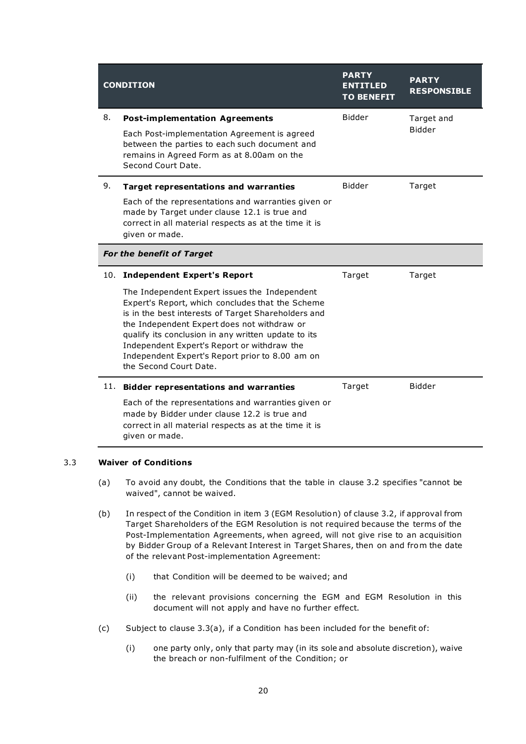| <b>CONDITION</b>                 |                                                                                                                                                                                                                                                                                                                                                                                            | <b>PARTY</b><br><b>ENTITLED</b><br><b>TO BENEFIT</b> | <b>PARTY</b><br><b>RESPONSIBLE</b> |
|----------------------------------|--------------------------------------------------------------------------------------------------------------------------------------------------------------------------------------------------------------------------------------------------------------------------------------------------------------------------------------------------------------------------------------------|------------------------------------------------------|------------------------------------|
| 8.                               | <b>Post-implementation Agreements</b>                                                                                                                                                                                                                                                                                                                                                      | <b>Bidder</b>                                        | Target and                         |
|                                  | Each Post-implementation Agreement is agreed<br>between the parties to each such document and<br>remains in Agreed Form as at 8.00am on the<br>Second Court Date.                                                                                                                                                                                                                          |                                                      | <b>Bidder</b>                      |
| 9.                               | <b>Target representations and warranties</b>                                                                                                                                                                                                                                                                                                                                               | <b>Bidder</b>                                        | Target                             |
|                                  | Each of the representations and warranties given or<br>made by Target under clause 12.1 is true and<br>correct in all material respects as at the time it is<br>given or made.                                                                                                                                                                                                             |                                                      |                                    |
| <b>For the benefit of Target</b> |                                                                                                                                                                                                                                                                                                                                                                                            |                                                      |                                    |
| 10.                              | <b>Independent Expert's Report</b>                                                                                                                                                                                                                                                                                                                                                         | Target                                               | Target                             |
|                                  | The Independent Expert issues the Independent<br>Expert's Report, which concludes that the Scheme<br>is in the best interests of Target Shareholders and<br>the Independent Expert does not withdraw or<br>qualify its conclusion in any written update to its<br>Independent Expert's Report or withdraw the<br>Independent Expert's Report prior to 8.00 am on<br>the Second Court Date. |                                                      |                                    |
| 11.                              | <b>Bidder representations and warranties</b>                                                                                                                                                                                                                                                                                                                                               | Target                                               | <b>Bidder</b>                      |
|                                  | Each of the representations and warranties given or<br>made by Bidder under clause 12.2 is true and<br>correct in all material respects as at the time it is<br>given or made.                                                                                                                                                                                                             |                                                      |                                    |

#### 3.3 Waiver of Conditions

- (a) To avoid any doubt, the Conditions that the table in clause 3.2 specifies "cannot be waived", cannot be waived.
- (b) In respect of the Condition in item 3 (EGM Resolution) of clause 3.2, if approval from Target Shareholders of the EGM Resolution is not required because the terms of the Post-Implementation Agreements, when agreed, will not give rise to an acquisition by Bidder Group of a Relevant Interest in Target Shares, then on and from the date of the relevant Post-implementation Agreement:
	- (i) that Condition will be deemed to be waived; and
	- (ii) the relevant provisions concerning the EGM and EGM Resolution in this document will not apply and have no further effect.
- (c) Subject to clause 3.3(a), if a Condition has been included for the benefit of:
	- (i) one party only, only that party may (in its sole and absolute discretion), waive the breach or non-fulfilment of the Condition; or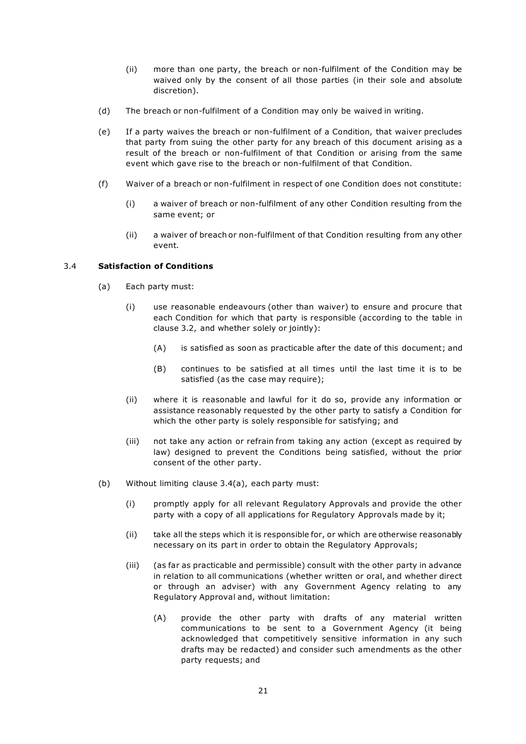- (ii) more than one party, the breach or non-fulfilment of the Condition may be waived only by the consent of all those parties (in their sole and absolute discretion).
- (d) The breach or non-fulfilment of a Condition may only be waived in writing.
- (e) If a party waives the breach or non-fulfilment of a Condition, that waiver precludes that party from suing the other party for any breach of this document arising as a result of the breach or non-fulfilment of that Condition or arising from the same event which gave rise to the breach or non-fulfilment of that Condition.
- (f) Waiver of a breach or non-fulfilment in respect of one Condition does not constitute:
	- (i) a waiver of breach or non-fulfilment of any other Condition resulting from the same event; or
	- (ii) a waiver of breach or non-fulfilment of that Condition resulting from any other event.

#### 3.4 Satisfaction of Conditions

- (a) Each party must:
	- (i) use reasonable endeavours (other than waiver) to ensure and procure that each Condition for which that party is responsible (according to the table in clause 3.2, and whether solely or jointly):
		- (A) is satisfied as soon as practicable after the date of this document; and
		- (B) continues to be satisfied at all times until the last time it is to be satisfied (as the case may require);
	- (ii) where it is reasonable and lawful for it do so, provide any information or assistance reasonably requested by the other party to satisfy a Condition for which the other party is solely responsible for satisfying; and
	- (iii) not take any action or refrain from taking any action (except as required by law) designed to prevent the Conditions being satisfied, without the prior consent of the other party.
- (b) Without limiting clause 3.4(a), each party must:
	- (i) promptly apply for all relevant Regulatory Approvals and provide the other party with a copy of all applications for Regulatory Approvals made by it;
	- (ii) take all the steps which it is responsible for, or which are otherwise reasonably necessary on its part in order to obtain the Regulatory Approvals;
	- (iii) (as far as practicable and permissible) consult with the other party in advance in relation to all communications (whether written or oral, and whether direct or through an adviser) with any Government Agency relating to any Regulatory Approval and, without limitation:
		- (A) provide the other party with drafts of any material written communications to be sent to a Government Agency (it being acknowledged that competitively sensitive information in any such drafts may be redacted) and consider such amendments as the other party requests; and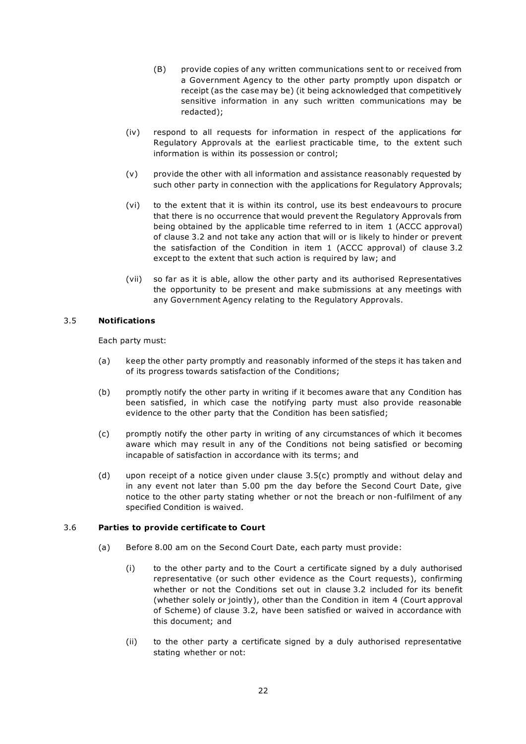- (B) provide copies of any written communications sent to or received from a Government Agency to the other party promptly upon dispatch or receipt (as the case may be) (it being acknowledged that competitively sensitive information in any such written communications may be redacted);
- (iv) respond to all requests for information in respect of the applications for Regulatory Approvals at the earliest practicable time, to the extent such information is within its possession or control;
- (v) provide the other with all information and assistance reasonably requested by such other party in connection with the applications for Regulatory Approvals;
- (vi) to the extent that it is within its control, use its best endeavours to procure that there is no occurrence that would prevent the Regulatory Approvals from being obtained by the applicable time referred to in item 1 (ACCC approval) of clause 3.2 and not take any action that will or is likely to hinder or prevent the satisfaction of the Condition in item 1 (ACCC approval) of clause 3.2 except to the extent that such action is required by law; and
- (vii) so far as it is able, allow the other party and its authorised Representatives the opportunity to be present and make submissions at any meetings with any Government Agency relating to the Regulatory Approvals.

#### 3.5 Notifications

Each party must:

- (a) keep the other party promptly and reasonably informed of the steps it has taken and of its progress towards satisfaction of the Conditions;
- (b) promptly notify the other party in writing if it becomes aware that any Condition has been satisfied, in which case the notifying party must also provide reasonable evidence to the other party that the Condition has been satisfied;
- (c) promptly notify the other party in writing of any circumstances of which it becomes aware which may result in any of the Conditions not being satisfied or becoming incapable of satisfaction in accordance with its terms; and
- (d) upon receipt of a notice given under clause 3.5(c) promptly and without delay and in any event not later than 5.00 pm the day before the Second Court Date, give notice to the other party stating whether or not the breach or non-fulfilment of any specified Condition is waived.

#### 3.6 Parties to provide certificate to Court

- (a) Before 8.00 am on the Second Court Date, each party must provide:
	- (i) to the other party and to the Court a certificate signed by a duly authorised representative (or such other evidence as the Court requests), confirming whether or not the Conditions set out in clause 3.2 included for its benefit (whether solely or jointly), other than the Condition in item 4 (Court approval of Scheme) of clause 3.2, have been satisfied or waived in accordance with this document; and
	- (ii) to the other party a certificate signed by a duly authorised representative stating whether or not: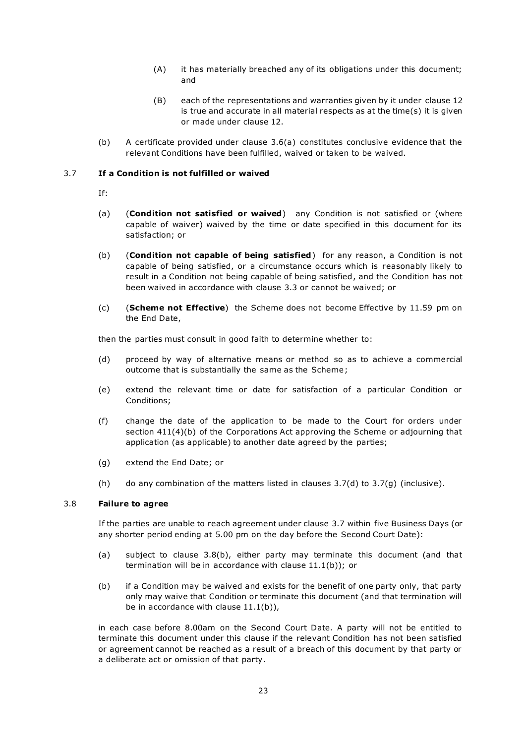- (A) it has materially breached any of its obligations under this document; and
- (B) each of the representations and warranties given by it under clause 12 is true and accurate in all material respects as at the time(s) it is given or made under clause 12.
- (b) A certificate provided under clause 3.6(a) constitutes conclusive evidence that the relevant Conditions have been fulfilled, waived or taken to be waived.

#### 3.7 If a Condition is not fulfilled or waived

- If:
- (a) (Condition not satisfied or waived) any Condition is not satisfied or (where capable of waiver) waived by the time or date specified in this document for its satisfaction; or
- (b) (Condition not capable of being satisfied) for any reason, a Condition is not capable of being satisfied, or a circumstance occurs which is reasonably likely to result in a Condition not being capable of being satisfied , and the Condition has not been waived in accordance with clause 3.3 or cannot be waived; or
- (c) (Scheme not Effective) the Scheme does not become Effective by 11.59 pm on the End Date,

then the parties must consult in good faith to determine whether to:

- (d) proceed by way of alternative means or method so as to achieve a commercial outcome that is substantially the same as the Scheme ;
- (e) extend the relevant time or date for satisfaction of a particular Condition or Conditions;
- (f) change the date of the application to be made to the Court for orders under section 411(4)(b) of the Corporations Act approving the Scheme or adjourning that application (as applicable) to another date agreed by the parties;
- (g) extend the End Date; or
- (h) do any combination of the matters listed in clauses  $3.7(d)$  to  $3.7(q)$  (inclusive).

#### 3.8 Failure to agree

If the parties are unable to reach agreement under clause 3.7 within five Business Days (or any shorter period ending at 5.00 pm on the day before the Second Court Date):

- (a) subject to clause 3.8(b), either party may terminate this document (and that termination will be in accordance with clause 11.1(b)); or
- (b) if a Condition may be waived and exists for the benefit of one party only, that party only may waive that Condition or terminate this document (and that termination will be in accordance with clause  $11.1(b)$ ),

in each case before 8.00am on the Second Court Date. A party will not be entitled to terminate this document under this clause if the relevant Condition has not been satisfied or agreement cannot be reached as a result of a breach of this document by that party or a deliberate act or omission of that party.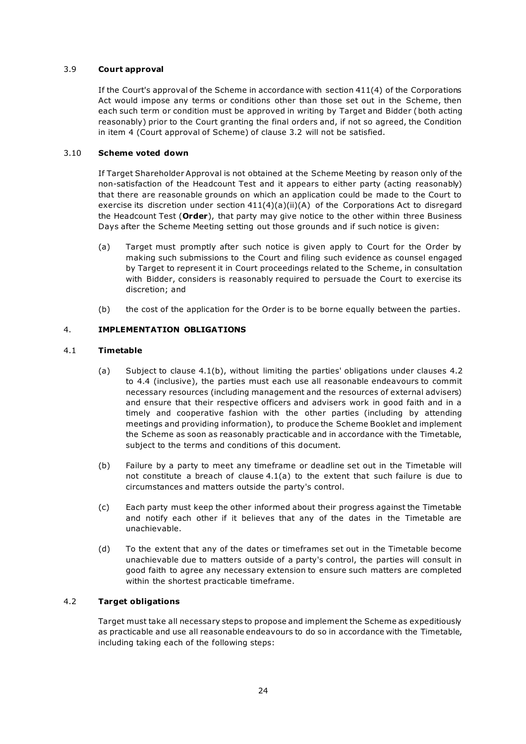#### 3.9 Court approval

If the Court's approval of the Scheme in accordance with section 411(4) of the Corporations Act would impose any terms or conditions other than those set out in the Scheme, then each such term or condition must be approved in writing by Target and Bidder (both acting reasonably) prior to the Court granting the final orders and, if not so agreed, the Condition in item 4 (Court approval of Scheme) of clause 3.2 will not be satisfied.

#### 3.10 Scheme voted down

If Target Shareholder Approval is not obtained at the Scheme Meeting by reason only of the non-satisfaction of the Headcount Test and it appears to either party (acting reasonably) that there are reasonable grounds on which an application could be made to the Court to exercise its discretion under section  $411(4)(a)(ii)(A)$  of the Corporations Act to disregard the Headcount Test (Order), that party may give notice to the other within three Business Days after the Scheme Meeting setting out those grounds and if such notice is given:

- (a) Target must promptly after such notice is given apply to Court for the Order by making such submissions to the Court and filing such evidence as counsel engaged by Target to represent it in Court proceedings related to the Scheme, in consultation with Bidder, considers is reasonably required to persuade the Court to exercise its discretion; and
- (b) the cost of the application for the Order is to be borne equally between the parties.

#### 4. IMPLEMENTATION OBLIGATIONS

#### 4.1 Timetable

- (a) Subject to clause 4.1(b), without limiting the parties' obligations under clauses 4.2 to 4.4 (inclusive), the parties must each use all reasonable endeavours to commit necessary resources (including management and the resources of external advisers) and ensure that their respective officers and advisers work in good faith and in a timely and cooperative fashion with the other parties (including by attending meetings and providing information), to produce the Scheme Booklet and implement the Scheme as soon as reasonably practicable and in accordance with the Timetable, subject to the terms and conditions of this document.
- (b) Failure by a party to meet any timeframe or deadline set out in the Timetable will not constitute a breach of clause 4.1(a) to the extent that such failure is due to circumstances and matters outside the party's control.
- (c) Each party must keep the other informed about their progress against the Timetable and notify each other if it believes that any of the dates in the Timetable are unachievable.
- (d) To the extent that any of the dates or timeframes set out in the Timetable become unachievable due to matters outside of a party's control, the parties will consult in good faith to agree any necessary extension to ensure such matters are completed within the shortest practicable timeframe.

#### 4.2 Target obligations

Target must take all necessary steps to propose and implement the Scheme as expeditiously as practicable and use all reasonable endeavours to do so in accordance with the Timetable, including taking each of the following steps: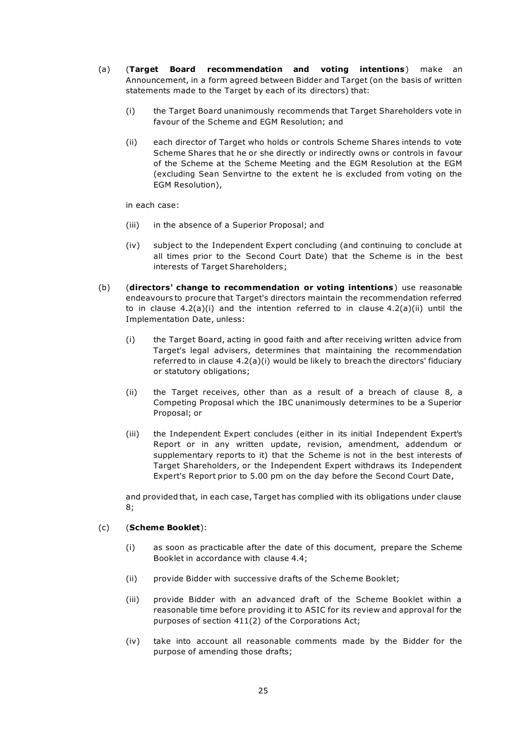- (a) (Target Board recommendation and voting intentions) make an Announcement, in a form agreed between Bidder and Target (on the basis of written statements made to the Target by each of its directors) that:
	- (i) the Target Board unanimously recommends that Target Shareholders vote in favour of the Scheme and EGM Resolution; and
	- (ii) each director of Target who holds or controls Scheme Shares intends to vote Scheme Shares that he or she directly or indirectly owns or controls in favour of the Scheme at the Scheme Meeting and the EGM Resolution at the EGM (excluding Sean Senvirtne to the extent he is excluded from voting on the EGM Resolution),

in each case:

- (iii) in the absence of a Superior Proposal; and
- (iv) subject to the Independent Expert concluding (and continuing to conclude at all times prior to the Second Court Date) that the Scheme is in the best interests of Target Shareholders;
- (b) (directors' change to recommendation or voting intentions) use reasonable endeavours to procure that Target's directors maintain the recommendation referred to in clause  $4.2(a)(i)$  and the intention referred to in clause  $4.2(a)(ii)$  until the Implementation Date, unless:
	- (i) the Target Board, acting in good faith and after receiving written advice from Target's legal advisers, determines that maintaining the recommendation referred to in clause 4.2(a)(i) would be likely to breach the directors' fiduciary or statutory obligations;
	- (ii) the Target receives, other than as a result of a breach of clause 8, a Competing Proposal which the IBC unanimously determines to be a Superior Proposal; or
	- (iii) the Independent Expert concludes (either in its initial Independent Expert's Report or in any written update, revision, amendment, addendum or supplementary reports to it) that the Scheme is not in the best interests of Target Shareholders, or the Independent Expert withdraws its Independent Expert's Report prior to 5.00 pm on the day before the Second Court Date,

and provided that, in each case, Target has complied with its obligations under clause 8;

#### (c) (Scheme Booklet):

- (i) as soon as practicable after the date of this document, prepare the Scheme Booklet in accordance with clause 4.4;
- (ii) provide Bidder with successive drafts of the Scheme Booklet;
- (iii) provide Bidder with an advanced draft of the Scheme Booklet within a reasonable time before providing it to ASIC for its review and approval for the purposes of section 411(2) of the Corporations Act;
- (iv) take into account all reasonable comments made by the Bidder for the purpose of amending those drafts;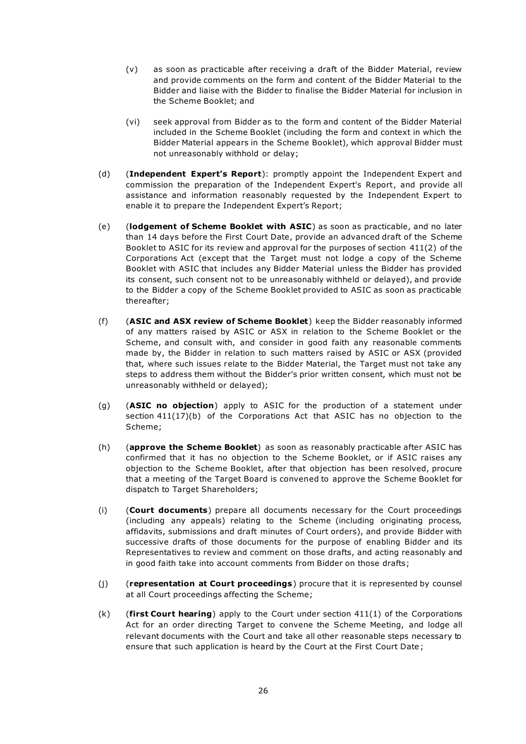- (v) as soon as practicable after receiving a draft of the Bidder Material, review and provide comments on the form and content of the Bidder Material to the Bidder and liaise with the Bidder to finalise the Bidder Material for inclusion in the Scheme Booklet; and
- (vi) seek approval from Bidder as to the form and content of the Bidder Material included in the Scheme Booklet (including the form and context in which the Bidder Material appears in the Scheme Booklet), which approval Bidder must not unreasonably withhold or delay;
- (d) (Independent Expert's Report): promptly appoint the Independent Expert and commission the preparation of the Independent Expert's Report, and provide all assistance and information reasonably requested by the Independent Expert to enable it to prepare the Independent Expert's Report;
- (e) (lodgement of Scheme Booklet with ASIC) as soon as practicable, and no later than 14 days before the First Court Date, provide an advanced draft of the Scheme Booklet to ASIC for its review and approval for the purposes of section 411(2) of the Corporations Act (except that the Target must not lodge a copy of the Scheme Booklet with ASIC that includes any Bidder Material unless the Bidder has provided its consent, such consent not to be unreasonably withheld or delayed), and provide to the Bidder a copy of the Scheme Booklet provided to ASIC as soon as practicable thereafter;
- (f) (ASIC and ASX review of Scheme Booklet) keep the Bidder reasonably informed of any matters raised by ASIC or ASX in relation to the Scheme Booklet or the Scheme, and consult with, and consider in good faith any reasonable comments made by, the Bidder in relation to such matters raised by ASIC or ASX (provided that, where such issues relate to the Bidder Material, the Target must not take any steps to address them without the Bidder's prior written consent, which must not be unreasonably withheld or delayed);
- (g) (ASIC no objection) apply to ASIC for the production of a statement under section 411(17)(b) of the Corporations Act that ASIC has no objection to the Scheme;
- (h) (approve the Scheme Booklet) as soon as reasonably practicable after ASIC has confirmed that it has no objection to the Scheme Booklet, or if ASIC raises any objection to the Scheme Booklet, after that objection has been resolved, procure that a meeting of the Target Board is convened to approve the Scheme Booklet for dispatch to Target Shareholders:
- (i) (Court documents) prepare all documents necessary for the Court proceedings (including any appeals) relating to the Scheme (including originating process, affidavits, submissions and draft minutes of Court orders), and provide Bidder with successive drafts of those documents for the purpose of enabling Bidder and its Representatives to review and comment on those drafts, and acting reasonably and in good faith take into account comments from Bidder on those drafts;
- (j) (representation at Court proceedings) procure that it is represented by counsel at all Court proceedings affecting the Scheme;
- $(k)$  (first Court hearing) apply to the Court under section 411(1) of the Corporations Act for an order directing Target to convene the Scheme Meeting, and lodge all relevant documents with the Court and take all other reasonable steps necessary to ensure that such application is heard by the Court at the First Court Date ;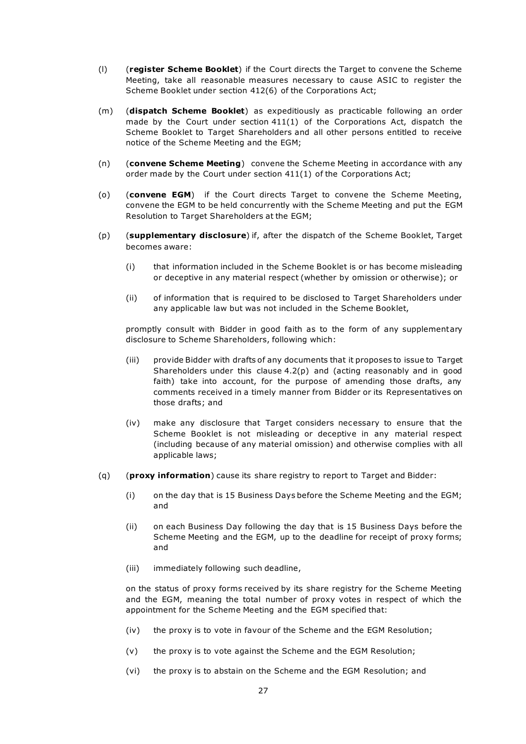- (I) (register Scheme Booklet) if the Court directs the Target to convene the Scheme Meeting, take all reasonable measures necessary to cause ASIC to register the Scheme Booklet under section 412(6) of the Corporations Act;
- (m) (dispatch Scheme Booklet) as expeditiously as practicable following an order made by the Court under section  $411(1)$  of the Corporations Act, dispatch the Scheme Booklet to Target Shareholders and all other persons entitled to receive notice of the Scheme Meeting and the EGM;
- (n) (convene Scheme Meeting) convene the Scheme Meeting in accordance with any order made by the Court under section 411(1) of the Corporations Act;
- (o) (convene EGM) if the Court directs Target to convene the Scheme Meeting, convene the EGM to be held concurrently with the Scheme Meeting and put the EGM Resolution to Target Shareholders at the EGM;
- (p) (supplementary disclosure) if, after the dispatch of the Scheme Booklet, Target becomes aware:
	- (i) that information included in the Scheme Booklet is or has become misleading or deceptive in any material respect (whether by omission or otherwise); or
	- (ii) of information that is required to be disclosed to Target Shareholders under any applicable law but was not included in the Scheme Booklet,

promptly consult with Bidder in good faith as to the form of any supplementary disclosure to Scheme Shareholders, following which:

- (iii) provide Bidder with drafts of any documents that it proposes to issue to Target Shareholders under this clause  $4.2(p)$  and (acting reasonably and in good faith) take into account, for the purpose of amending those drafts, any comments received in a timely manner from Bidder or its Representatives on those drafts; and
- (iv) make any disclosure that Target considers necessary to ensure that the Scheme Booklet is not misleading or deceptive in any material respect (including because of any material omission) and otherwise complies with all applicable laws;
- (q) (proxy information) cause its share registry to report to Target and Bidder:
	- (i) on the day that is 15 Business Days before the Scheme Meeting and the EGM; and
	- (ii) on each Business Day following the day that is 15 Business Days before the Scheme Meeting and the EGM, up to the deadline for receipt of proxy forms; and
	- (iii) immediately following such deadline,

on the status of proxy forms received by its share registry for the Scheme Meeting and the EGM, meaning the total number of proxy votes in respect of which the appointment for the Scheme Meeting and the EGM specified that:

- (iv) the proxy is to vote in favour of the Scheme and the EGM Resolution;
- (v) the proxy is to vote against the Scheme and the EGM Resolution;
- (vi) the proxy is to abstain on the Scheme and the EGM Resolution; and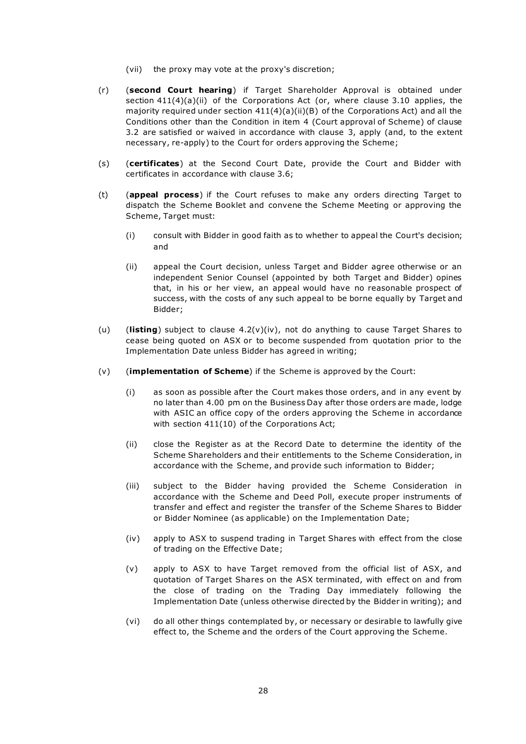- (vii) the proxy may vote at the proxy's discretion;
- (r) (second Court hearing) if Target Shareholder Approval is obtained under section  $411(4)(a)(ii)$  of the Corporations Act (or, where clause 3.10 applies, the majority required under section  $411(4)(a)(ii)(B)$  of the Corporations Act) and all the Conditions other than the Condition in item 4 (Court approval of Scheme) of clause 3.2 are satisfied or waived in accordance with clause 3, apply (and, to the extent necessary, re-apply) to the Court for orders approving the Scheme;
- (s) (certificates) at the Second Court Date, provide the Court and Bidder with certificates in accordance with clause 3.6;
- (t) (appeal process) if the Court refuses to make any orders directing Target to dispatch the Scheme Booklet and convene the Scheme Meeting or approving the Scheme, Target must:
	- (i) consult with Bidder in good faith as to whether to appeal the Court's decision; and
	- (ii) appeal the Court decision, unless Target and Bidder agree otherwise or an independent Senior Counsel (appointed by both Target and Bidder) opines that, in his or her view, an appeal would have no reasonable prospect of success, with the costs of any such appeal to be borne equally by Target and Bidder;
- (u) (listing) subject to clause  $4.2(v)(iv)$ , not do anything to cause Target Shares to cease being quoted on ASX or to become suspended from quotation prior to the Implementation Date unless Bidder has agreed in writing;
- $(v)$  (implementation of Scheme) if the Scheme is approved by the Court:
	- (i) as soon as possible after the Court makes those orders, and in any event by no later than 4.00 pm on the Business Day after those orders are made, lodge with ASIC an office copy of the orders approving the Scheme in accordance with section 411(10) of the Corporations Act;
	- (ii) close the Register as at the Record Date to determine the identity of the Scheme Shareholders and their entitlements to the Scheme Consideration, in accordance with the Scheme, and provide such information to Bidder;
	- (iii) subject to the Bidder having provided the Scheme Consideration in accordance with the Scheme and Deed Poll, execute proper instruments of transfer and effect and register the transfer of the Scheme Shares to Bidder or Bidder Nominee (as applicable) on the Implementation Date;
	- (iv) apply to ASX to suspend trading in Target Shares with effect from the close of trading on the Effective Date;
	- (v) apply to ASX to have Target removed from the official list of ASX, and quotation of Target Shares on the ASX terminated, with effect on and from the close of trading on the Trading Day immediately following the Implementation Date (unless otherwise directed by the Bidder in writing); and
	- (vi) do all other things contemplated by, or necessary or desirable to lawfully give effect to, the Scheme and the orders of the Court approving the Scheme.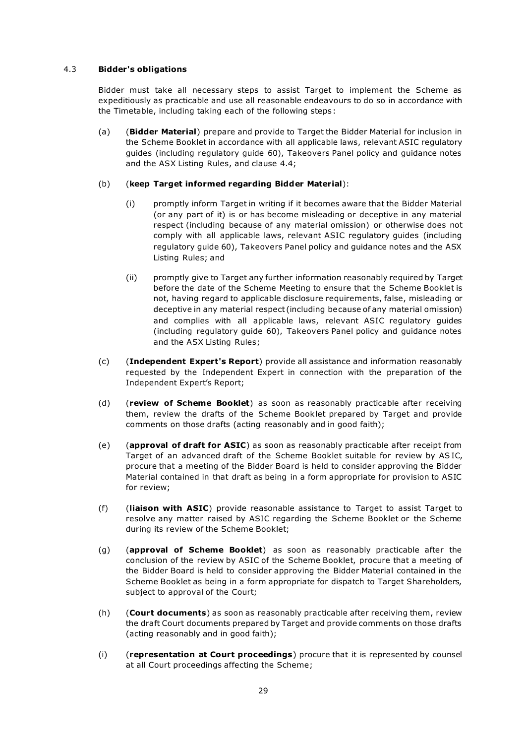#### 4.3 Bidder's obligations

Bidder must take all necessary steps to assist Target to implement the Scheme as expeditiously as practicable and use all reasonable endeavours to do so in accordance with the Timetable, including taking each of the following steps :

(a) (Bidder Material) prepare and provide to Target the Bidder Material for inclusion in the Scheme Booklet in accordance with all applicable laws, relevant ASIC regulatory guides (including regulatory guide 60), Takeovers Panel policy and guidance notes and the ASX Listing Rules, and clause 4.4;

# (b) (keep Target informed regarding Bidder Material):

- (i) promptly inform Target in writing if it becomes aware that the Bidder Material (or any part of it) is or has become misleading or deceptive in any material respect (including because of any material omission) or otherwise does not comply with all applicable laws, relevant ASIC regulatory guides (including regulatory guide 60), Takeovers Panel policy and guidance notes and the ASX Listing Rules; and
- (ii) promptly give to Target any further information reasonably required by Target before the date of the Scheme Meeting to ensure that the Scheme Booklet is not, having regard to applicable disclosure requirements, false, misleading or deceptive in any material respect (including because of any material omission) and complies with all applicable laws, relevant ASIC regulatory guides (including regulatory guide 60), Takeovers Panel policy and guidance notes and the ASX Listing Rules;
- (c) (Independent Expert's Report) provide all assistance and information reasonably requested by the Independent Expert in connection with the preparation of the Independent Expert's Report;
- (d) (review of Scheme Booklet) as soon as reasonably practicable after receiving them, review the drafts of the Scheme Booklet prepared by Target and provide comments on those drafts (acting reasonably and in good faith);
- (e) (approval of draft for ASIC) as soon as reasonably practicable after receipt from Target of an advanced draft of the Scheme Booklet suitable for review by AS IC, procure that a meeting of the Bidder Board is held to consider approving the Bidder Material contained in that draft as being in a form appropriate for provision to ASIC for review;
- (f) (liaison with ASIC) provide reasonable assistance to Target to assist Target to resolve any matter raised by ASIC regarding the Scheme Booklet or the Scheme during its review of the Scheme Booklet;
- (g) (approval of Scheme Booklet) as soon as reasonably practicable after the conclusion of the review by ASIC of the Scheme Booklet, procure that a meeting of the Bidder Board is held to consider approving the Bidder Material contained in the Scheme Booklet as being in a form appropriate for dispatch to Target Shareholders, subject to approval of the Court;
- (h) (**Court documents**) as soon as reasonably practicable after receiving them, review the draft Court documents prepared by Target and provide comments on those drafts (acting reasonably and in good faith);
- $(i)$  (representation at Court proceedings) procure that it is represented by counsel at all Court proceedings affecting the Scheme;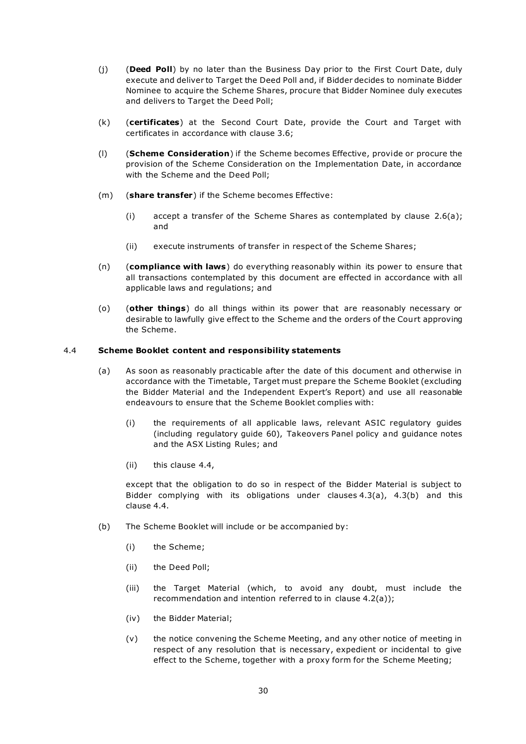- (i) (Deed Poll) by no later than the Business Day prior to the First Court Date, duly execute and deliver to Target the Deed Poll and, if Bidder decides to nominate Bidder Nominee to acquire the Scheme Shares, procure that Bidder Nominee duly executes and delivers to Target the Deed Poll;
- (k) (certificates) at the Second Court Date, provide the Court and Target with certificates in accordance with clause 3.6;
- (I) (Scheme Consideration) if the Scheme becomes Effective, provide or procure the provision of the Scheme Consideration on the Implementation Date, in accordance with the Scheme and the Deed Poll;
- (m) (share transfer) if the Scheme becomes Effective:
	- (i) accept a transfer of the Scheme Shares as contemplated by clause  $2.6(a)$ ; and
	- (ii) execute instruments of transfer in respect of the Scheme Shares;
- (n) (compliance with laws) do everything reasonably within its power to ensure that all transactions contemplated by this document are effected in accordance with all applicable laws and regulations; and
- (o) (other things) do all things within its power that are reasonably necessary or desirable to lawfully give effect to the Scheme and the orders of the Court approving the Scheme.

#### 4.4 Scheme Booklet content and responsibility statements

- (a) As soon as reasonably practicable after the date of this document and otherwise in accordance with the Timetable, Target must prepare the Scheme Booklet (excluding the Bidder Material and the Independent Expert's Report) and use all reasonable endeavours to ensure that the Scheme Booklet complies with:
	- (i) the requirements of all applicable laws, relevant ASIC regulatory guides (including regulatory guide 60), Takeovers Panel policy and guidance notes and the ASX Listing Rules; and
	- (ii) this clause 4.4,

except that the obligation to do so in respect of the Bidder Material is subject to Bidder complying with its obligations under clauses 4.3(a), 4.3(b) and this clause 4.4.

- (b) The Scheme Booklet will include or be accompanied by:
	- (i) the Scheme;
	- (ii) the Deed Poll;
	- (iii) the Target Material (which, to avoid any doubt, must include the recommendation and intention referred to in clause 4.2(a));
	- (iv) the Bidder Material;
	- (v) the notice convening the Scheme Meeting, and any other notice of meeting in respect of any resolution that is necessary, expedient or incidental to give effect to the Scheme, together with a proxy form for the Scheme Meeting;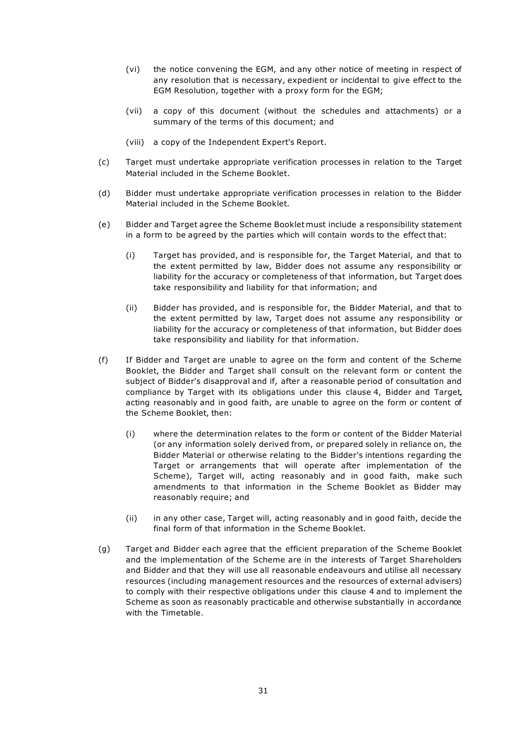- (vi) the notice convening the EGM, and any other notice of meeting in respect of any resolution that is necessary, expedient or incidental to give effect to the EGM Resolution, together with a proxy form for the EGM;
- (vii) a copy of this document (without the schedules and attachments) or a summary of the terms of this document; and
- (viii) a copy of the Independent Expert's Report.
- (c) Target must undertake appropriate verification processes in relation to the Target Material included in the Scheme Booklet.
- (d) Bidder must undertake appropriate verification processes in relation to the Bidder Material included in the Scheme Booklet.
- (e) Bidder and Target agree the Scheme Booklet must include a responsibility statement in a form to be agreed by the parties which will contain words to the effect that:
	- (i) Target has provided, and is responsible for, the Target Material, and that to the extent permitted by law, Bidder does not assume any responsibility or liability for the accuracy or completeness of that information, but Target does take responsibility and liability for that information; and
	- (ii) Bidder has provided, and is responsible for, the Bidder Material, and that to the extent permitted by law, Target does not assume any responsibility or liability for the accuracy or completeness of that information, but Bidder does take responsibility and liability for that information.
- (f) If Bidder and Target are unable to agree on the form and content of the Scheme Booklet, the Bidder and Target shall consult on the relevant form or content the subject of Bidder's disapproval and if, after a reasonable period of consultation and compliance by Target with its obligations under this clause 4, Bidder and Target, acting reasonably and in good faith, are unable to agree on the form or content of the Scheme Booklet, then:
	- (i) where the determination relates to the form or content of the Bidder Material (or any information solely derived from, or prepared solely in reliance on, the Bidder Material or otherwise relating to the Bidder's intentions regarding the Target or arrangements that will operate after implementation of the Scheme), Target will, acting reasonably and in good faith, make such amendments to that information in the Scheme Booklet as Bidder may reasonably require; and
	- (ii) in any other case, Target will, acting reasonably and in good faith, decide the final form of that information in the Scheme Booklet.
- (g) Target and Bidder each agree that the efficient preparation of the Scheme Booklet and the implementation of the Scheme are in the interests of Target Shareholders and Bidder and that they will use all reasonable endeavours and utilise all necessary resources (including management resources and the resources of external advisers) to comply with their respective obligations under this clause 4 and to implement the Scheme as soon as reasonably practicable and otherwise substantially in accordance with the Timetable.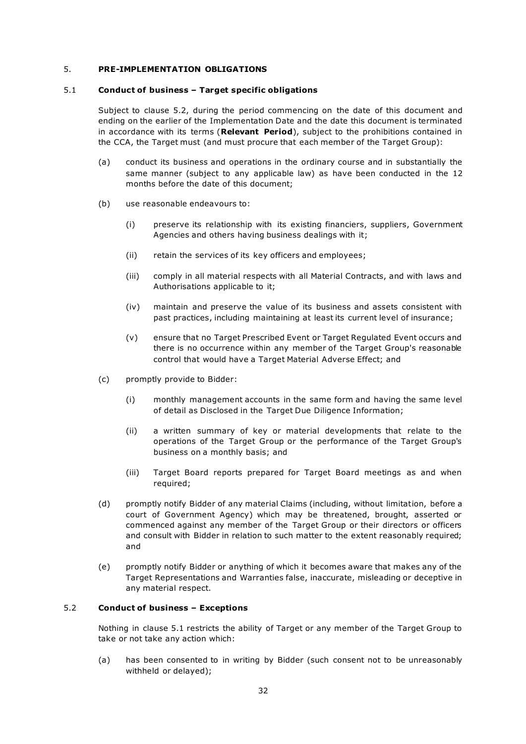#### 5. PRE-IMPLEMENTATION OBLIGATIONS

#### 5.1 Conduct of business – Target specific obligations

Subject to clause 5.2, during the period commencing on the date of this document and ending on the earlier of the Implementation Date and the date this document is terminated in accordance with its terms (Relevant Period), subject to the prohibitions contained in the CCA, the Target must (and must procure that each member of the Target Group):

- (a) conduct its business and operations in the ordinary course and in substantially the same manner (subject to any applicable law) as have been conducted in the 12 months before the date of this document;
- (b) use reasonable endeavours to:
	- (i) preserve its relationship with its existing financiers, suppliers, Government Agencies and others having business dealings with it;
	- (ii) retain the services of its key officers and employees;
	- (iii) comply in all material respects with all Material Contracts, and with laws and Authorisations applicable to it;
	- (iv) maintain and preserve the value of its business and assets consistent with past practices, including maintaining at least its current level of insurance;
	- (v) ensure that no Target Prescribed Event or Target Regulated Event occurs and there is no occurrence within any member of the Target Group's reasonable control that would have a Target Material Adverse Effect; and
- (c) promptly provide to Bidder:
	- (i) monthly management accounts in the same form and having the same level of detail as Disclosed in the Target Due Diligence Information;
	- (ii) a written summary of key or material developments that relate to the operations of the Target Group or the performance of the Target Group's business on a monthly basis; and
	- (iii) Target Board reports prepared for Target Board meetings as and when required;
- (d) promptly notify Bidder of any material Claims (including, without limitation, before a court of Government Agency) which may be threatened, brought, asserted or commenced against any member of the Target Group or their directors or officers and consult with Bidder in relation to such matter to the extent reasonably required; and
- (e) promptly notify Bidder or anything of which it becomes aware that makes any of the Target Representations and Warranties false, inaccurate, misleading or deceptive in any material respect.

#### 5.2 Conduct of business – Exceptions

Nothing in clause 5.1 restricts the ability of Target or any member of the Target Group to take or not take any action which:

(a) has been consented to in writing by Bidder (such consent not to be unreasonably withheld or delayed);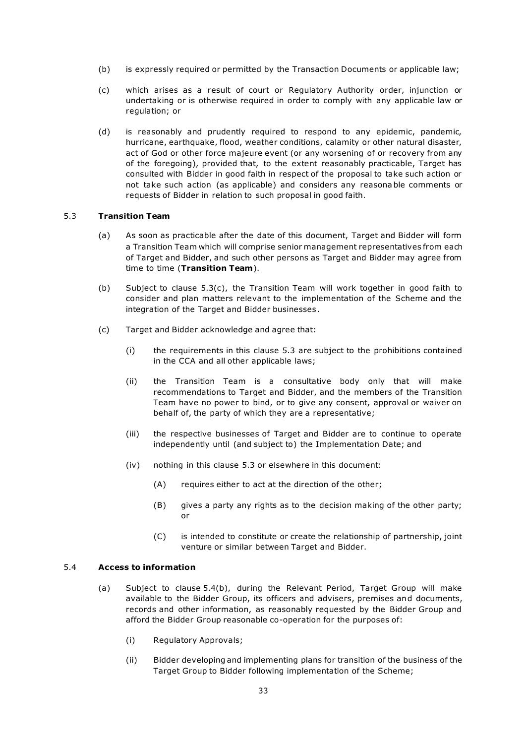- (b) is expressly required or permitted by the Transaction Documents or applicable law;
- (c) which arises as a result of court or Regulatory Authority order, injunction or undertaking or is otherwise required in order to comply with any applicable law or regulation; or
- (d) is reasonably and prudently required to respond to any epidemic, pandemic, hurricane, earthquake, flood, weather conditions, calamity or other natural disaster, act of God or other force majeure event (or any worsening of or recovery from any of the foregoing), provided that, to the extent reasonably practicable, Target has consulted with Bidder in good faith in respect of the proposal to take such action or not take such action (as applicable) and considers any reasona ble comments or requests of Bidder in relation to such proposal in good faith.

#### 5.3 Transition Team

- (a) As soon as practicable after the date of this document, Target and Bidder will form a Transition Team which will comprise senior management representatives from each of Target and Bidder, and such other persons as Target and Bidder may agree from time to time (Transition Team).
- (b) Subject to clause 5.3(c), the Transition Team will work together in good faith to consider and plan matters relevant to the implementation of the Scheme and the integration of the Target and Bidder businesses .
- (c) Target and Bidder acknowledge and agree that:
	- (i) the requirements in this clause 5.3 are subject to the prohibitions contained in the CCA and all other applicable laws;
	- (ii) the Transition Team is a consultative body only that will make recommendations to Target and Bidder, and the members of the Transition Team have no power to bind, or to give any consent, approval or waiver on behalf of, the party of which they are a representative;
	- (iii) the respective businesses of Target and Bidder are to continue to operate independently until (and subject to) the Implementation Date; and
	- (iv) nothing in this clause 5.3 or elsewhere in this document:
		- (A) requires either to act at the direction of the other;
		- (B) gives a party any rights as to the decision making of the other party; or
		- (C) is intended to constitute or create the relationship of partnership, joint venture or similar between Target and Bidder.

#### 5.4 Access to information

- (a) Subject to clause 5.4(b), during the Relevant Period, Target Group will make available to the Bidder Group, its officers and advisers, premises and documents, records and other information, as reasonably requested by the Bidder Group and afford the Bidder Group reasonable co-operation for the purposes of:
	- (i) Regulatory Approvals;
	- (ii) Bidder developing and implementing plans for transition of the business of the Target Group to Bidder following implementation of the Scheme;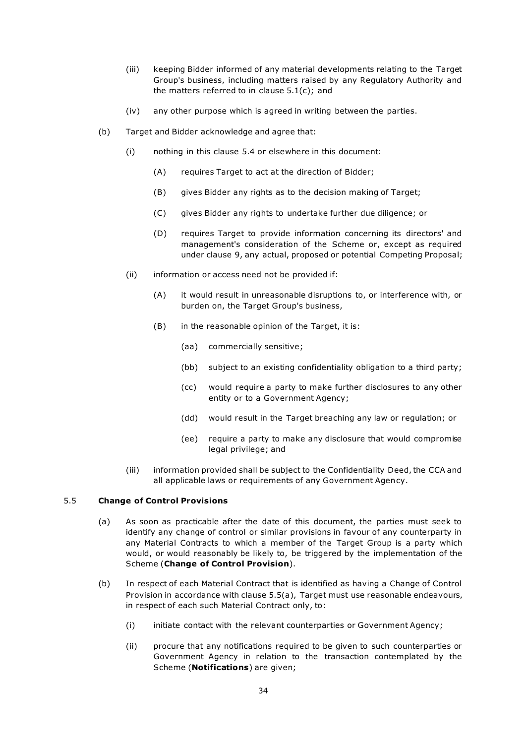- (iii) keeping Bidder informed of any material developments relating to the Target Group's business, including matters raised by any Regulatory Authority and the matters referred to in clause 5.1(c); and
- (iv) any other purpose which is agreed in writing between the parties.
- (b) Target and Bidder acknowledge and agree that:
	- (i) nothing in this clause 5.4 or elsewhere in this document:
		- (A) requires Target to act at the direction of Bidder;
		- (B) gives Bidder any rights as to the decision making of Target;
		- (C) gives Bidder any rights to undertake further due diligence; or
		- (D) requires Target to provide information concerning its directors' and management's consideration of the Scheme or, except as required under clause 9, any actual, proposed or potential Competing Proposal;
	- (ii) information or access need not be provided if:
		- (A) it would result in unreasonable disruptions to, or interference with, or burden on, the Target Group's business,
		- (B) in the reasonable opinion of the Target, it is:
			- (aa) commercially sensitive;
			- (bb) subject to an existing confidentiality obligation to a third party;
			- (cc) would require a party to make further disclosures to any other entity or to a Government Agency;
			- (dd) would result in the Target breaching any law or regulation; or
			- (ee) require a party to make any disclosure that would compromise legal privilege; and
	- (iii) information provided shall be subject to the Confidentiality Deed, the CCA and all applicable laws or requirements of any Government Agency.

# 5.5 Change of Control Provisions

- (a) As soon as practicable after the date of this document, the parties must seek to identify any change of control or similar provisions in favour of any counterparty in any Material Contracts to which a member of the Target Group is a party which would, or would reasonably be likely to, be triggered by the implementation of the Scheme (Change of Control Provision).
- (b) In respect of each Material Contract that is identified as having a Change of Control Provision in accordance with clause 5.5(a), Target must use reasonable endeavours, in respect of each such Material Contract only, to:
	- (i) initiate contact with the relevant counterparties or Government Agency;
	- (ii) procure that any notifications required to be given to such counterparties or Government Agency in relation to the transaction contemplated by the Scheme (Notifications) are given;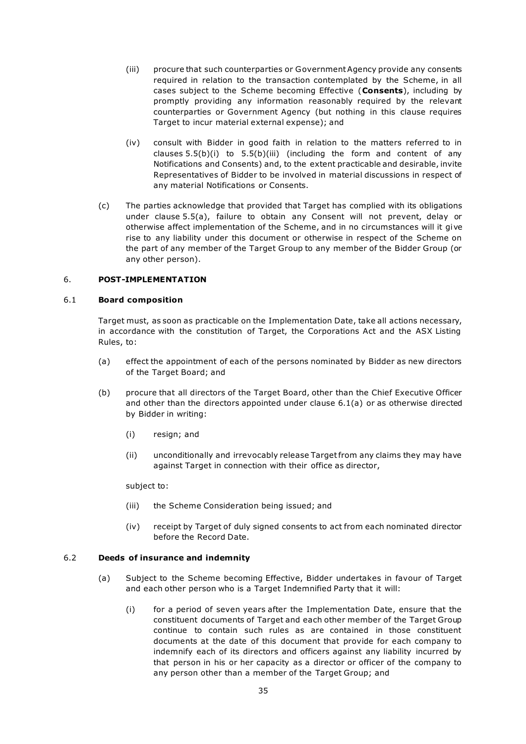- (iii) procure that such counterparties or Government Agency provide any consents required in relation to the transaction contemplated by the Scheme, in all cases subject to the Scheme becoming Effective (Consents), including by promptly providing any information reasonably required by the relevant counterparties or Government Agency (but nothing in this clause requires Target to incur material external expense); and
- (iv) consult with Bidder in good faith in relation to the matters referred to in clauses  $5.5(b)(i)$  to  $5.5(b)(iii)$  (including the form and content of any Notifications and Consents) and, to the extent practicable and desirable, invite Representatives of Bidder to be involved in material discussions in respect of any material Notifications or Consents.
- (c) The parties acknowledge that provided that Target has complied with its obligations under clause 5.5(a), failure to obtain any Consent will not prevent, delay or otherwise affect implementation of the Scheme, and in no circumstances will it gi ve rise to any liability under this document or otherwise in respect of the Scheme on the part of any member of the Target Group to any member of the Bidder Group (or any other person).

#### 6. POST-IMPLEMENTATION

#### 6.1 Board composition

Target must, as soon as practicable on the Implementation Date, take all actions necessary, in accordance with the constitution of Target, the Corporations Act and the ASX Listing Rules, to:

- (a) effect the appointment of each of the persons nominated by Bidder as new directors of the Target Board; and
- (b) procure that all directors of the Target Board, other than the Chief Executive Officer and other than the directors appointed under clause 6.1(a) or as otherwise directed by Bidder in writing:
	- (i) resign; and
	- (ii) unconditionally and irrevocably release Target from any claims they may have against Target in connection with their office as director,

subject to:

- (iii) the Scheme Consideration being issued; and
- (iv) receipt by Target of duly signed consents to act from each nominated director before the Record Date.

#### 6.2 Deeds of insurance and indemnity

- (a) Subject to the Scheme becoming Effective, Bidder undertakes in favour of Target and each other person who is a Target Indemnified Party that it will:
	- (i) for a period of seven years after the Implementation Date, ensure that the constituent documents of Target and each other member of the Target Group continue to contain such rules as are contained in those constituent documents at the date of this document that provide for each company to indemnify each of its directors and officers against any liability incurred by that person in his or her capacity as a director or officer of the company to any person other than a member of the Target Group; and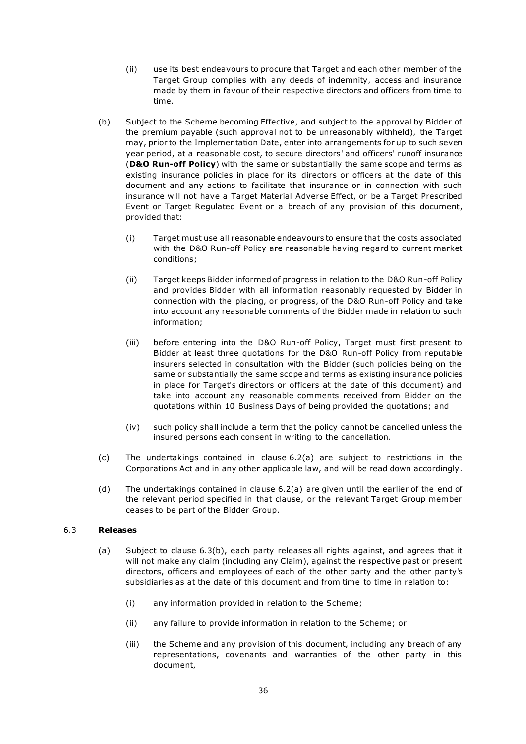- (ii) use its best endeavours to procure that Target and each other member of the Target Group complies with any deeds of indemnity, access and insurance made by them in favour of their respective directors and officers from time to time.
- (b) Subject to the Scheme becoming Effective, and subject to the approval by Bidder of the premium payable (such approval not to be unreasonably withheld), the Target may, prior to the Implementation Date, enter into arrangements for up to such seven year period, at a reasonable cost, to secure directors' and officers' runoff insurance (D&O Run-off Policy) with the same or substantially the same scope and terms as existing insurance policies in place for its directors or officers at the date of this document and any actions to facilitate that insurance or in connection with such insurance will not have a Target Material Adverse Effect, or be a Target Prescribed Event or Target Regulated Event or a breach of any provision of this document, provided that:
	- (i) Target must use all reasonable endeavours to ensure that the costs associated with the D&O Run-off Policy are reasonable having regard to current market conditions;
	- (ii) Target keeps Bidder informed of progress in relation to the D&O Run-off Policy and provides Bidder with all information reasonably requested by Bidder in connection with the placing, or progress, of the D&O Run-off Policy and take into account any reasonable comments of the Bidder made in relation to such information;
	- (iii) before entering into the D&O Run-off Policy, Target must first present to Bidder at least three quotations for the D&O Run-off Policy from reputable insurers selected in consultation with the Bidder (such policies being on the same or substantially the same scope and terms as existing insurance policies in place for Target's directors or officers at the date of this document) and take into account any reasonable comments received from Bidder on the quotations within 10 Business Days of being provided the quotations; and
	- (iv) such policy shall include a term that the policy cannot be cancelled unless the insured persons each consent in writing to the cancellation.
- (c) The undertakings contained in clause 6.2(a) are subject to restrictions in the Corporations Act and in any other applicable law, and will be read down accordingly.
- (d) The undertakings contained in clause 6.2(a) are given until the earlier of the end of the relevant period specified in that clause, or the relevant Target Group member ceases to be part of the Bidder Group.

# 6.3 Releases

- (a) Subject to clause 6.3(b), each party releases all rights against, and agrees that it will not make any claim (including any Claim), against the respective past or present directors, officers and employees of each of the other party and the other par ty's subsidiaries as at the date of this document and from time to time in relation to:
	- (i) any information provided in relation to the Scheme;
	- (ii) any failure to provide information in relation to the Scheme; or
	- (iii) the Scheme and any provision of this document, including any breach of any representations, covenants and warranties of the other party in this document,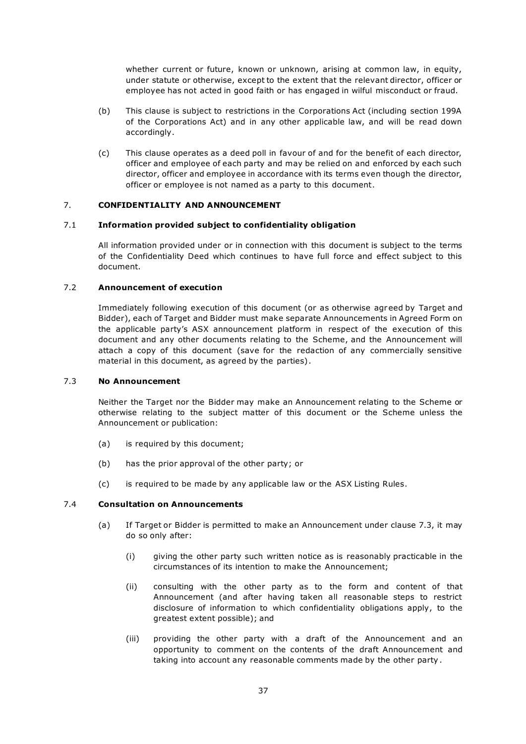whether current or future, known or unknown, arising at common law, in equity, under statute or otherwise, except to the extent that the relevant director, officer or employee has not acted in good faith or has engaged in wilful misconduct or fraud.

- (b) This clause is subject to restrictions in the Corporations Act (including section 199A of the Corporations Act) and in any other applicable law, and will be read down accordingly.
- (c) This clause operates as a deed poll in favour of and for the benefit of each director, officer and employee of each party and may be relied on and enforced by each such director, officer and employee in accordance with its terms even though the director, officer or employee is not named as a party to this document.

# 7. CONFIDENTIALITY AND ANNOUNCEMENT

#### 7.1 Information provided subject to confidentiality obligation

All information provided under or in connection with this document is subject to the terms of the Confidentiality Deed which continues to have full force and effect subject to this document.

# 7.2 Announcement of execution

Immediately following execution of this document (or as otherwise agreed by Target and Bidder), each of Target and Bidder must make separate Announcements in Agreed Form on the applicable party's ASX announcement platform in respect of the execution of this document and any other documents relating to the Scheme, and the Announcement will attach a copy of this document (save for the redaction of any commercially sensitive material in this document, as agreed by the parties) .

# 7.3 No Announcement

Neither the Target nor the Bidder may make an Announcement relating to the Scheme or otherwise relating to the subject matter of this document or the Scheme unless the Announcement or publication:

- (a) is required by this document;
- (b) has the prior approval of the other party; or
- (c) is required to be made by any applicable law or the ASX Listing Rules.

#### 7.4 Consultation on Announcements

- (a) If Target or Bidder is permitted to make an Announcement under clause 7.3, it may do so only after:
	- (i) giving the other party such written notice as is reasonably practicable in the circumstances of its intention to make the Announcement;
	- (ii) consulting with the other party as to the form and content of that Announcement (and after having taken all reasonable steps to restrict disclosure of information to which confidentiality obligations apply, to the greatest extent possible); and
	- (iii) providing the other party with a draft of the Announcement and an opportunity to comment on the contents of the draft Announcement and taking into account any reasonable comments made by the other party .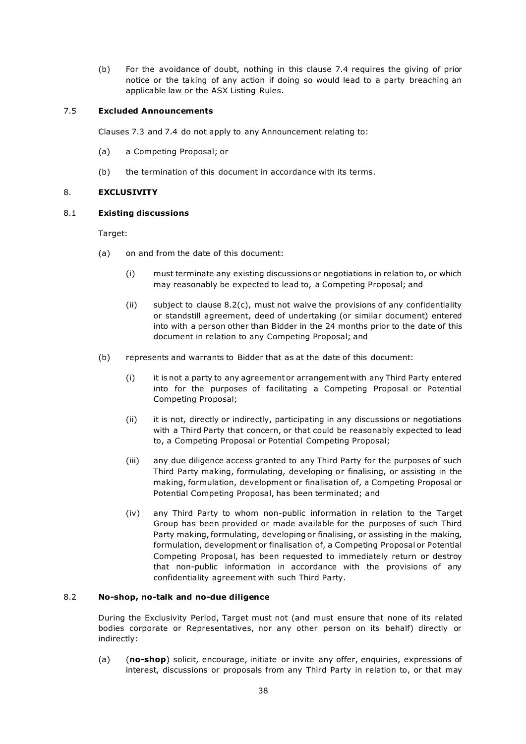(b) For the avoidance of doubt, nothing in this clause 7.4 requires the giving of prior notice or the taking of any action if doing so would lead to a party breaching an applicable law or the ASX Listing Rules.

#### 7.5 Excluded Announcements

Clauses 7.3 and 7.4 do not apply to any Announcement relating to:

- (a) a Competing Proposal; or
- (b) the termination of this document in accordance with its terms.

# 8. EXCLUSIVITY

#### 8.1 Existing discussions

Target:

- (a) on and from the date of this document:
	- (i) must terminate any existing discussions or negotiations in relation to, or which may reasonably be expected to lead to, a Competing Proposal; and
	- (ii) subject to clause 8.2(c), must not waive the provisions of any confidentiality or standstill agreement, deed of undertaking (or similar document) entered into with a person other than Bidder in the 24 months prior to the date of this document in relation to any Competing Proposal; and
- (b) represents and warrants to Bidder that as at the date of this document:
	- (i) it is not a party to any agreement or arrangement with any Third Party entered into for the purposes of facilitating a Competing Proposal or Potential Competing Proposal;
	- (ii) it is not, directly or indirectly, participating in any discussions or negotiations with a Third Party that concern, or that could be reasonably expected to lead to, a Competing Proposal or Potential Competing Proposal;
	- (iii) any due diligence access granted to any Third Party for the purposes of such Third Party making, formulating, developing or finalising, or assisting in the making, formulation, development or finalisation of, a Competing Proposal or Potential Competing Proposal, has been terminated; and
	- (iv) any Third Party to whom non-public information in relation to the Target Group has been provided or made available for the purposes of such Third Party making, formulating, developing or finalising, or assisting in the making, formulation, development or finalisation of, a Competing Proposal or Potential Competing Proposal, has been requested to immediately return or destroy that non-public information in accordance with the provisions of any confidentiality agreement with such Third Party.

#### 8.2 No-shop, no-talk and no-due diligence

During the Exclusivity Period, Target must not (and must ensure that none of its related bodies corporate or Representatives, nor any other person on its behalf) directly or indirectly:

(a) (no-shop) solicit, encourage, initiate or invite any offer, enquiries, expressions of interest, discussions or proposals from any Third Party in relation to, or that may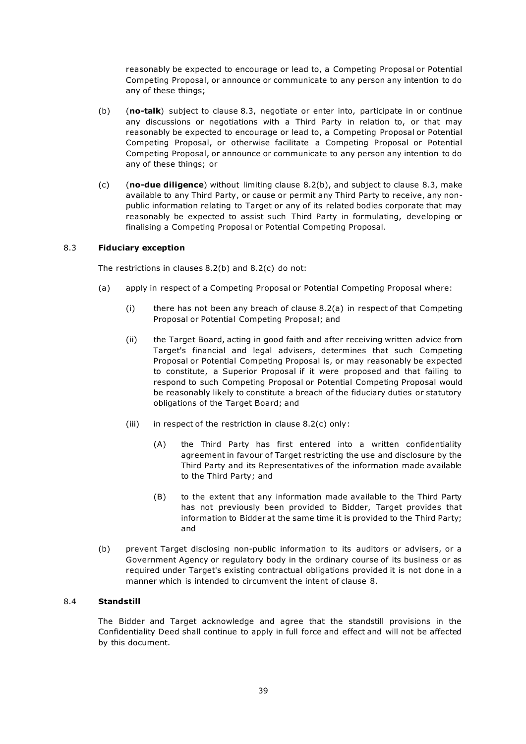reasonably be expected to encourage or lead to, a Competing Proposal or Potential Competing Proposal, or announce or communicate to any person any intention to do any of these things;

- (b) (no-talk) subject to clause 8.3, negotiate or enter into, participate in or continue any discussions or negotiations with a Third Party in relation to, or that may reasonably be expected to encourage or lead to, a Competing Proposal or Potential Competing Proposal, or otherwise facilitate a Competing Proposal or Potential Competing Proposal, or announce or communicate to any person any intention to do any of these things; or
- (c)  $(nc)$  (no-due diligence) without limiting clause 8.2(b), and subject to clause 8.3, make available to any Third Party, or cause or permit any Third Party to receive, any nonpublic information relating to Target or any of its related bodies corporate that may reasonably be expected to assist such Third Party in formulating, developing or finalising a Competing Proposal or Potential Competing Proposal.

#### 8.3 Fiduciary exception

The restrictions in clauses 8.2(b) and 8.2(c) do not:

- (a) apply in respect of a Competing Proposal or Potential Competing Proposal where:
	- (i) there has not been any breach of clause 8.2(a) in respect of that Competing Proposal or Potential Competing Proposal; and
	- (ii) the Target Board, acting in good faith and after receiving written advice from Target's financial and legal advisers, determines that such Competing Proposal or Potential Competing Proposal is, or may reasonably be expected to constitute, a Superior Proposal if it were proposed and that failing to respond to such Competing Proposal or Potential Competing Proposal would be reasonably likely to constitute a breach of the fiduciary duties or statutory obligations of the Target Board; and
	- (iii) in respect of the restriction in clause  $8.2(c)$  only:
		- (A) the Third Party has first entered into a written confidentiality agreement in favour of Target restricting the use and disclosure by the Third Party and its Representatives of the information made available to the Third Party; and
		- (B) to the extent that any information made available to the Third Party has not previously been provided to Bidder, Target provides that information to Bidder at the same time it is provided to the Third Party; and
- (b) prevent Target disclosing non-public information to its auditors or advisers, or a Government Agency or regulatory body in the ordinary course of its business or as required under Target's existing contractual obligations provided it is not done in a manner which is intended to circumvent the intent of clause 8.

# 8.4 Standstill

The Bidder and Target acknowledge and agree that the standstill provisions in the Confidentiality Deed shall continue to apply in full force and effect and will not be affected by this document.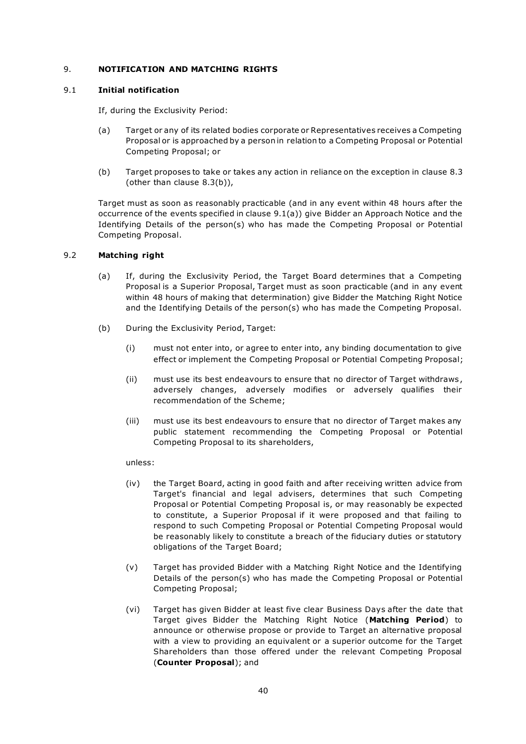# 9. NOTIFICATION AND MATCHING RIGHTS

#### 9.1 Initial notification

If, during the Exclusivity Period:

- (a) Target or any of its related bodies corporate or Representatives receives a Competing Proposal or is approached by a person in relation to a Competing Proposal or Potential Competing Proposal; or
- (b) Target proposes to take or takes any action in reliance on the exception in clause 8.3 (other than clause 8.3(b)),

Target must as soon as reasonably practicable (and in any event within 48 hours after the occurrence of the events specified in clause 9.1(a)) give Bidder an Approach Notice and the Identifying Details of the person(s) who has made the Competing Proposal or Potential Competing Proposal.

#### 9.2 Matching right

- (a) If, during the Exclusivity Period, the Target Board determines that a Competing Proposal is a Superior Proposal, Target must as soon practicable (and in any event within 48 hours of making that determination) give Bidder the Matching Right Notice and the Identifying Details of the person(s) who has made the Competing Proposal.
- (b) During the Exclusivity Period, Target:
	- (i) must not enter into, or agree to enter into, any binding documentation to give effect or implement the Competing Proposal or Potential Competing Proposal;
	- (ii) must use its best endeavours to ensure that no director of Target withdraws , adversely changes, adversely modifies or adversely qualifies their recommendation of the Scheme;
	- (iii) must use its best endeavours to ensure that no director of Target makes any public statement recommending the Competing Proposal or Potential Competing Proposal to its shareholders,

#### unless:

- (iv) the Target Board, acting in good faith and after receiving written advice from Target's financial and legal advisers, determines that such Competing Proposal or Potential Competing Proposal is, or may reasonably be expected to constitute, a Superior Proposal if it were proposed and that failing to respond to such Competing Proposal or Potential Competing Proposal would be reasonably likely to constitute a breach of the fiduciary duties or statutory obligations of the Target Board;
- (v) Target has provided Bidder with a Matching Right Notice and the Identifying Details of the person(s) who has made the Competing Proposal or Potential Competing Proposal;
- (vi) Target has given Bidder at least five clear Business Days after the date that Target gives Bidder the Matching Right Notice (Matching Period) to announce or otherwise propose or provide to Target an alternative proposal with a view to providing an equivalent or a superior outcome for the Target Shareholders than those offered under the relevant Competing Proposal (Counter Proposal); and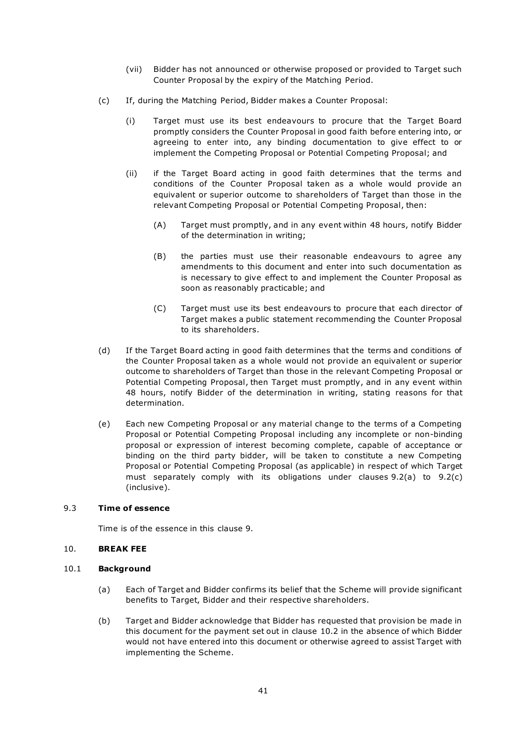- (vii) Bidder has not announced or otherwise proposed or provided to Target such Counter Proposal by the expiry of the Matching Period.
- (c) If, during the Matching Period, Bidder makes a Counter Proposal:
	- (i) Target must use its best endeavours to procure that the Target Board promptly considers the Counter Proposal in good faith before entering into, or agreeing to enter into, any binding documentation to give effect to or implement the Competing Proposal or Potential Competing Proposal; and
	- (ii) if the Target Board acting in good faith determines that the terms and conditions of the Counter Proposal taken as a whole would provide an equivalent or superior outcome to shareholders of Target than those in the relevant Competing Proposal or Potential Competing Proposal, then:
		- (A) Target must promptly, and in any event within 48 hours, notify Bidder of the determination in writing;
		- (B) the parties must use their reasonable endeavours to agree any amendments to this document and enter into such documentation as is necessary to give effect to and implement the Counter Proposal as soon as reasonably practicable; and
		- (C) Target must use its best endeavours to procure that each director of Target makes a public statement recommending the Counter Proposal to its shareholders.
- (d) If the Target Board acting in good faith determines that the terms and conditions of the Counter Proposal taken as a whole would not provide an equivalent or superior outcome to shareholders of Target than those in the relevant Competing Proposal or Potential Competing Proposal, then Target must promptly, and in any event within 48 hours, notify Bidder of the determination in writing, stating reasons for that determination.
- (e) Each new Competing Proposal or any material change to the terms of a Competing Proposal or Potential Competing Proposal including any incomplete or non-binding proposal or expression of interest becoming complete, capable of acceptance or binding on the third party bidder, will be taken to constitute a new Competing Proposal or Potential Competing Proposal (as applicable) in respect of which Target must separately comply with its obligations under clauses 9.2(a) to 9.2(c) (inclusive).

#### 9.3 Time of essence

Time is of the essence in this clause 9.

# 10. BREAK FEE

#### 10.1 Background

- (a) Each of Target and Bidder confirms its belief that the Scheme will provide significant benefits to Target, Bidder and their respective shareholders.
- (b) Target and Bidder acknowledge that Bidder has requested that provision be made in this document for the payment set out in clause 10.2 in the absence of which Bidder would not have entered into this document or otherwise agreed to assist Target with implementing the Scheme.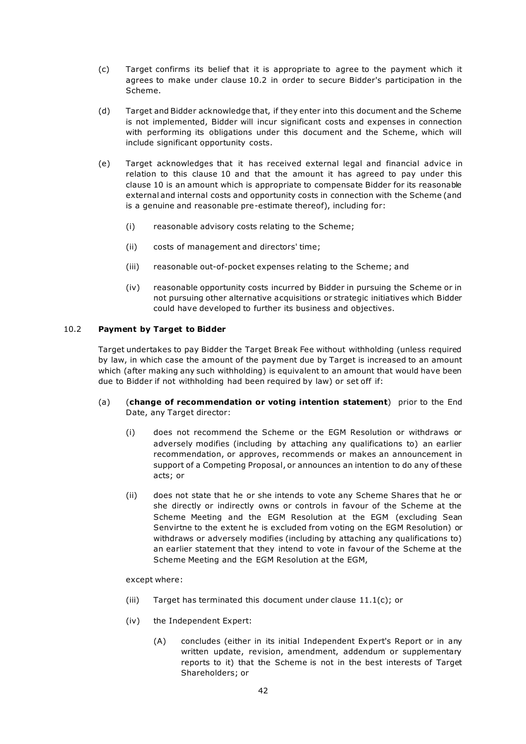- (c) Target confirms its belief that it is appropriate to agree to the payment which it agrees to make under clause 10.2 in order to secure Bidder's participation in the Scheme.
- (d) Target and Bidder acknowledge that, if they enter into this document and the Scheme is not implemented, Bidder will incur significant costs and expenses in connection with performing its obligations under this document and the Scheme, which will include significant opportunity costs.
- (e) Target acknowledges that it has received external legal and financial advice in relation to this clause 10 and that the amount it has agreed to pay under this clause 10 is an amount which is appropriate to compensate Bidder for its reasonable external and internal costs and opportunity costs in connection with the Scheme (and is a genuine and reasonable pre-estimate thereof), including for:
	- (i) reasonable advisory costs relating to the Scheme;
	- (ii) costs of management and directors' time;
	- (iii) reasonable out-of-pocket expenses relating to the Scheme; and
	- (iv) reasonable opportunity costs incurred by Bidder in pursuing the Scheme or in not pursuing other alternative acquisitions or strategic initiatives which Bidder could have developed to further its business and objectives.

# 10.2 Payment by Target to Bidder

Target undertakes to pay Bidder the Target Break Fee without withholding (unless required by law, in which case the amount of the payment due by Target is increased to an amount which (after making any such withholding) is equivalent to an amount that would have been due to Bidder if not withholding had been required by law) or set off if:

- (a) (change of recommendation or voting intention statement) prior to the End Date, any Target director:
	- (i) does not recommend the Scheme or the EGM Resolution or withdraws or adversely modifies (including by attaching any qualifications to) an earlier recommendation, or approves, recommends or makes an announcement in support of a Competing Proposal, or announces an intention to do any of these acts; or
	- (ii) does not state that he or she intends to vote any Scheme Shares that he or she directly or indirectly owns or controls in favour of the Scheme at the Scheme Meeting and the EGM Resolution at the EGM (excluding Sean Senvirtne to the extent he is excluded from voting on the EGM Resolution) or withdraws or adversely modifies (including by attaching any qualifications to) an earlier statement that they intend to vote in favour of the Scheme at the Scheme Meeting and the EGM Resolution at the EGM,

except where:

- (iii) Target has terminated this document under clause 11.1(c); or
- (iv) the Independent Expert:
	- (A) concludes (either in its initial Independent Expert's Report or in any written update, revision, amendment, addendum or supplementary reports to it) that the Scheme is not in the best interests of Target Shareholders; or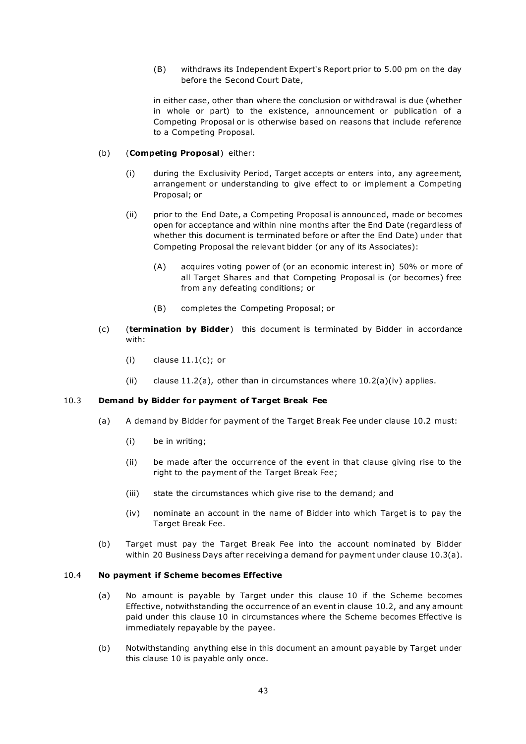(B) withdraws its Independent Expert's Report prior to 5.00 pm on the day before the Second Court Date,

in either case, other than where the conclusion or withdrawal is due (whether in whole or part) to the existence, announcement or publication of a Competing Proposal or is otherwise based on reasons that include reference to a Competing Proposal.

#### (b) (Competing Proposal) either:

- (i) during the Exclusivity Period, Target accepts or enters into, any agreement, arrangement or understanding to give effect to or implement a Competing Proposal; or
- (ii) prior to the End Date, a Competing Proposal is announced, made or becomes open for acceptance and within nine months after the End Date (regardless of whether this document is terminated before or after the End Date) under that Competing Proposal the relevant bidder (or any of its Associates):
	- (A) acquires voting power of (or an economic interest in) 50% or more of all Target Shares and that Competing Proposal is (or becomes) free from any defeating conditions; or
	- (B) completes the Competing Proposal; or
- (c) (termination by Bidder) this document is terminated by Bidder in accordance with:
	- $(i)$  clause  $11.1(c)$ ; or
	- (ii) clause  $11.2(a)$ , other than in circumstances where  $10.2(a)$  (iv) applies.

# 10.3 Demand by Bidder for payment of Target Break Fee

- (a) A demand by Bidder for payment of the Target Break Fee under clause 10.2 must:
	- (i) be in writing;
	- (ii) be made after the occurrence of the event in that clause giving rise to the right to the payment of the Target Break Fee;
	- (iii) state the circumstances which give rise to the demand; and
	- (iv) nominate an account in the name of Bidder into which Target is to pay the Target Break Fee.
- (b) Target must pay the Target Break Fee into the account nominated by Bidder within 20 Business Days after receiving a demand for payment under clause 10.3(a).

#### 10.4 No payment if Scheme becomes Effective

- (a) No amount is payable by Target under this clause 10 if the Scheme becomes Effective, notwithstanding the occurrence of an event in clause 10.2, and any amount paid under this clause 10 in circumstances where the Scheme becomes Effective is immediately repayable by the payee.
- (b) Notwithstanding anything else in this document an amount payable by Target under this clause 10 is payable only once.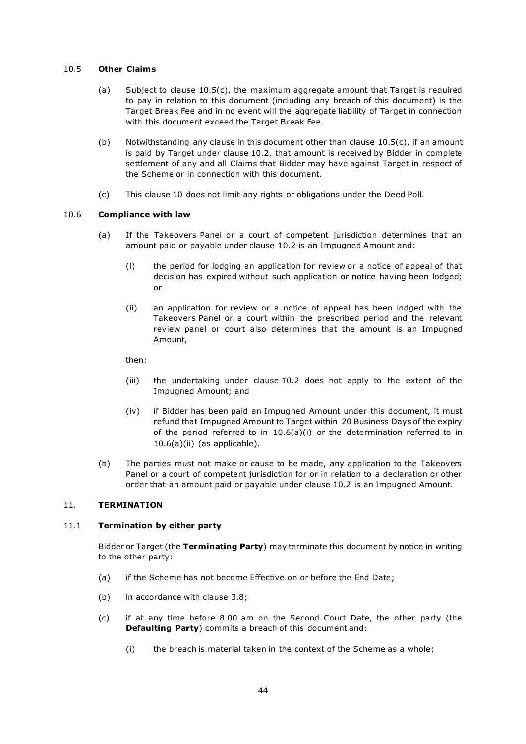#### 10.5 Other Claims

- (a) Subject to clause 10.5(c), the maximum aggregate amount that Target is required to pay in relation to this document (including any breach of this document) is the Target Break Fee and in no event will the aggregate liability of Target in connection with this document exceed the Target Break Fee.
- (b) Notwithstanding any clause in this document other than clause 10.5(c), if an amount is paid by Target under clause 10.2, that amount is received by Bidder in complete settlement of any and all Claims that Bidder may have against Target in respect of the Scheme or in connection with this document.
- (c) This clause 10 does not limit any rights or obligations under the Deed Poll.

# 10.6 Compliance with law

- (a) If the Takeovers Panel or a court of competent jurisdiction determines that an amount paid or payable under clause 10.2 is an Impugned Amount and:
	- (i) the period for lodging an application for review or a notice of appeal of that decision has expired without such application or notice having been lodged; or
	- (ii) an application for review or a notice of appeal has been lodged with the Takeovers Panel or a court within the prescribed period and the relevant review panel or court also determines that the amount is an Impugned Amount,

then:

- (iii) the undertaking under clause 10.2 does not apply to the extent of the Impugned Amount; and
- (iv) if Bidder has been paid an Impugned Amount under this document, it must refund that Impugned Amount to Target within 20 Business Days of the expiry of the period referred to in 10.6(a)(i) or the determination referred to in 10.6(a)(ii) (as applicable).
- (b) The parties must not make or cause to be made, any application to the Takeovers Panel or a court of competent jurisdiction for or in relation to a declaration or other order that an amount paid or payable under clause 10.2 is an Impugned Amount.

#### 11. TERMINATION

#### 11.1 Termination by either party

Bidder or Target (the Terminating Party) may terminate this document by notice in writing to the other party:

- (a) if the Scheme has not become Effective on or before the End Date;
- (b) in accordance with clause 3.8;
- (c) if at any time before 8.00 am on the Second Court Date, the other party (the Defaulting Party) commits a breach of this document and:
	- (i) the breach is material taken in the context of the Scheme as a whole;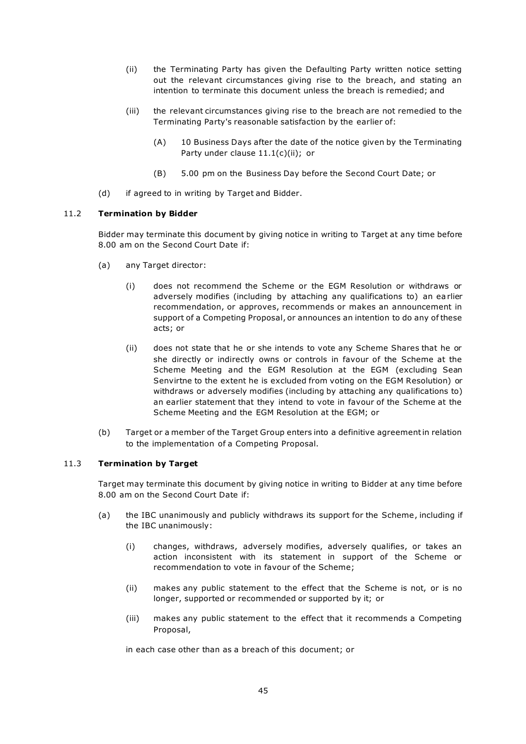- (ii) the Terminating Party has given the Defaulting Party written notice setting out the relevant circumstances giving rise to the breach, and stating an intention to terminate this document unless the breach is remedied; and
- (iii) the relevant circumstances giving rise to the breach are not remedied to the Terminating Party's reasonable satisfaction by the earlier of:
	- (A) 10 Business Days after the date of the notice given by the Terminating Party under clause 11.1(c)(ii); or
	- (B) 5.00 pm on the Business Day before the Second Court Date; or
- (d) if agreed to in writing by Target and Bidder.

#### 11.2 Termination by Bidder

Bidder may terminate this document by giving notice in writing to Target at any time before 8.00 am on the Second Court Date if:

- (a) any Target director:
	- (i) does not recommend the Scheme or the EGM Resolution or withdraws or adversely modifies (including by attaching any qualifications to) an ea rlier recommendation, or approves, recommends or makes an announcement in support of a Competing Proposal, or announces an intention to do any of these acts; or
	- (ii) does not state that he or she intends to vote any Scheme Shares that he or she directly or indirectly owns or controls in favour of the Scheme at the Scheme Meeting and the EGM Resolution at the EGM (excluding Sean Senvirtne to the extent he is excluded from voting on the EGM Resolution) or withdraws or adversely modifies (including by attaching any qualifications to) an earlier statement that they intend to vote in favour of the Scheme at the Scheme Meeting and the EGM Resolution at the EGM; or
- (b) Target or a member of the Target Group enters into a definitive agreement in relation to the implementation of a Competing Proposal.

# 11.3 Termination by Target

Target may terminate this document by giving notice in writing to Bidder at any time before 8.00 am on the Second Court Date if:

- (a) the IBC unanimously and publicly withdraws its support for the Scheme, including if the IBC unanimously:
	- (i) changes, withdraws, adversely modifies, adversely qualifies, or takes an action inconsistent with its statement in support of the Scheme or recommendation to vote in favour of the Scheme;
	- (ii) makes any public statement to the effect that the Scheme is not, or is no longer, supported or recommended or supported by it; or
	- (iii) makes any public statement to the effect that it recommends a Competing Proposal,

in each case other than as a breach of this document; or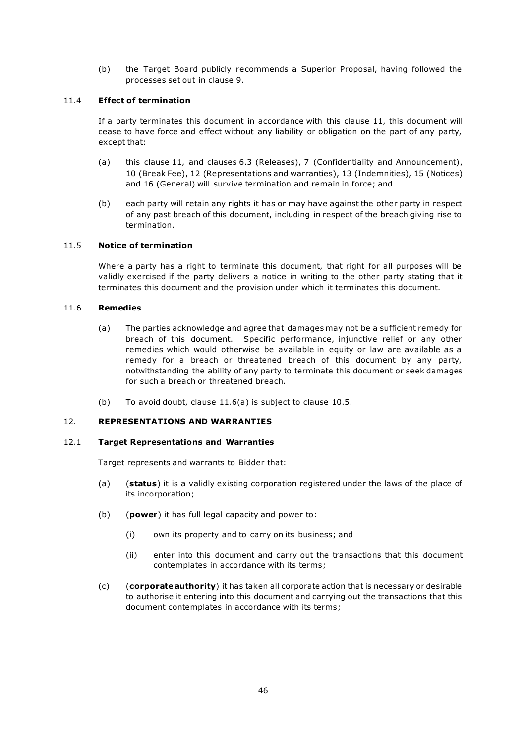(b) the Target Board publicly recommends a Superior Proposal, having followed the processes set out in clause 9.

# 11.4 Effect of termination

If a party terminates this document in accordance with this clause 11, this document will cease to have force and effect without any liability or obligation on the part of any party, except that:

- (a) this clause 11, and clauses 6.3 (Releases), 7 (Confidentiality and Announcement), 10 (Break Fee), 12 (Representations and warranties), 13 (Indemnities), 15 (Notices) and 16 (General) will survive termination and remain in force; and
- (b) each party will retain any rights it has or may have against the other party in respect of any past breach of this document, including in respect of the breach giving rise to termination.

#### 11.5 Notice of termination

Where a party has a right to terminate this document, that right for all purposes will be validly exercised if the party delivers a notice in writing to the other party stating that it terminates this document and the provision under which it terminates this document.

#### 11.6 Remedies

- (a) The parties acknowledge and agree that damages may not be a sufficient remedy for breach of this document. Specific performance, injunctive relief or any other remedies which would otherwise be available in equity or law are available as a remedy for a breach or threatened breach of this document by any party, notwithstanding the ability of any party to terminate this document or seek damages for such a breach or threatened breach.
- (b) To avoid doubt, clause 11.6(a) is subject to clause 10.5.

#### 12. REPRESENTATIONS AND WARRANTIES

#### 12.1 Target Representations and Warranties

Target represents and warrants to Bidder that:

- (a) (status) it is a validly existing corporation registered under the laws of the place of its incorporation;
- (b)  $(power)$  it has full legal capacity and power to:
	- (i) own its property and to carry on its business; and
	- (ii) enter into this document and carry out the transactions that this document contemplates in accordance with its terms;
- (c) (corporate authority) it has taken all corporate action that is necessary or desirable to authorise it entering into this document and carrying out the transactions that this document contemplates in accordance with its terms;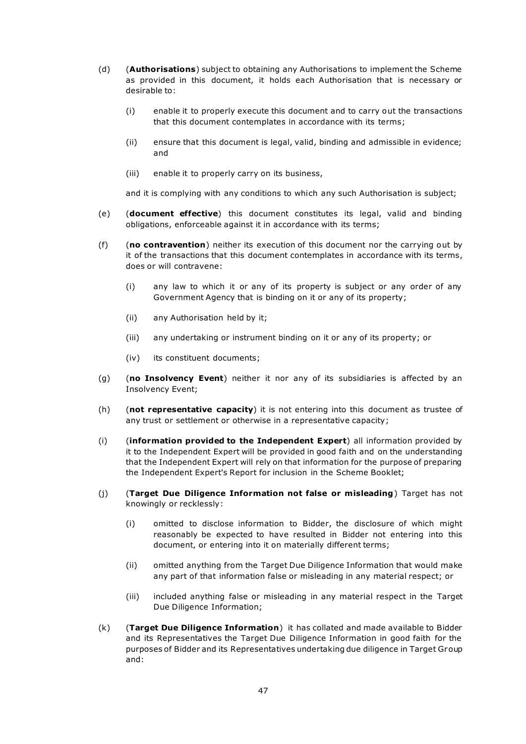- (d) **(Authorisations)** subject to obtaining any Authorisations to implement the Scheme as provided in this document, it holds each Authorisation that is necessary or desirable to:
	- (i) enable it to properly execute this document and to carry out the transactions that this document contemplates in accordance with its terms;
	- (ii) ensure that this document is legal, valid, binding and admissible in evidence; and
	- (iii) enable it to properly carry on its business,

and it is complying with any conditions to which any such Authorisation is subject;

- (e) (document effective) this document constitutes its legal, valid and binding obligations, enforceable against it in accordance with its terms;
- (f) (no contravention) neither its execution of this document nor the carrying out by it of the transactions that this document contemplates in accordance with its terms, does or will contravene:
	- (i) any law to which it or any of its property is subject or any order of any Government Agency that is binding on it or any of its property;
	- (ii) any Authorisation held by it;
	- (iii) any undertaking or instrument binding on it or any of its property; or
	- (iv) its constituent documents;
- (g) (no Insolvency Event) neither it nor any of its subsidiaries is affected by an Insolvency Event;
- (h) (not representative capacity) it is not entering into this document as trustee of any trust or settlement or otherwise in a representative capacity;
- (i) (information provided to the Independent Expert) all information provided by it to the Independent Expert will be provided in good faith and on the understanding that the Independent Expert will rely on that information for the purpose of preparing the Independent Expert's Report for inclusion in the Scheme Booklet;
- (j) (Target Due Diligence Information not false or misleading) Target has not knowingly or recklessly:
	- (i) omitted to disclose information to Bidder, the disclosure of which might reasonably be expected to have resulted in Bidder not entering into this document, or entering into it on materially different terms;
	- (ii) omitted anything from the Target Due Diligence Information that would make any part of that information false or misleading in any material respect; or
	- (iii) included anything false or misleading in any material respect in the Target Due Diligence Information;
- (k) (Target Due Diligence Information) it has collated and made available to Bidder and its Representatives the Target Due Diligence Information in good faith for the purposes of Bidder and its Representatives undertaking due diligence in Target Group and: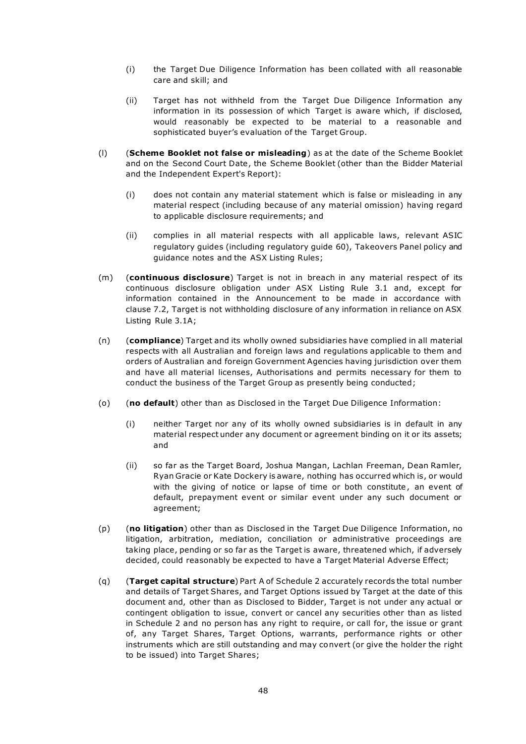- (i) the Target Due Diligence Information has been collated with all reasonable care and skill; and
- (ii) Target has not withheld from the Target Due Diligence Information any information in its possession of which Target is aware which, if disclosed, would reasonably be expected to be material to a reasonable and sophisticated buyer's evaluation of the Target Group.
- (I) (Scheme Booklet not false or misleading) as at the date of the Scheme Booklet and on the Second Court Date, the Scheme Booklet (other than the Bidder Material and the Independent Expert's Report):
	- (i) does not contain any material statement which is false or misleading in any material respect (including because of any material omission) having regard to applicable disclosure requirements; and
	- (ii) complies in all material respects with all applicable laws, relevant ASIC regulatory guides (including regulatory guide 60), Takeovers Panel policy and guidance notes and the ASX Listing Rules;
- (m) (continuous disclosure) Target is not in breach in any material respect of its continuous disclosure obligation under ASX Listing Rule 3.1 and, except for information contained in the Announcement to be made in accordance with clause 7.2, Target is not withholding disclosure of any information in reliance on ASX Listing Rule 3.1A;
- (n) (compliance) Target and its wholly owned subsidiaries have complied in all material respects with all Australian and foreign laws and regulations applicable to them and orders of Australian and foreign Government Agencies having jurisdiction over them and have all material licenses, Authorisations and permits necessary for them to conduct the business of the Target Group as presently being conducted;
- (o) (no default) other than as Disclosed in the Target Due Diligence Information:
	- (i) neither Target nor any of its wholly owned subsidiaries is in default in any material respect under any document or agreement binding on it or its assets; and
	- (ii) so far as the Target Board, Joshua Mangan, Lachlan Freeman, Dean Ramler, Ryan Gracie or Kate Dockery is aware, nothing has occurred which is, or would with the giving of notice or lapse of time or both constitute, an event of default, prepayment event or similar event under any such document or agreement;
- (p) (no litigation) other than as Disclosed in the Target Due Diligence Information, no litigation, arbitration, mediation, conciliation or administrative proceedings are taking place, pending or so far as the Target is aware, threatened which, if adversely decided, could reasonably be expected to have a Target Material Adverse Effect;
- (q) (Target capital structure) Part A of Schedule 2 accurately records the total number and details of Target Shares, and Target Options issued by Target at the date of this document and, other than as Disclosed to Bidder, Target is not under any actual or contingent obligation to issue, convert or cancel any securities other than as listed in Schedule 2 and no person has any right to require, or call for, the issue or grant of, any Target Shares, Target Options, warrants, performance rights or other instruments which are still outstanding and may convert (or give the holder the right to be issued) into Target Shares;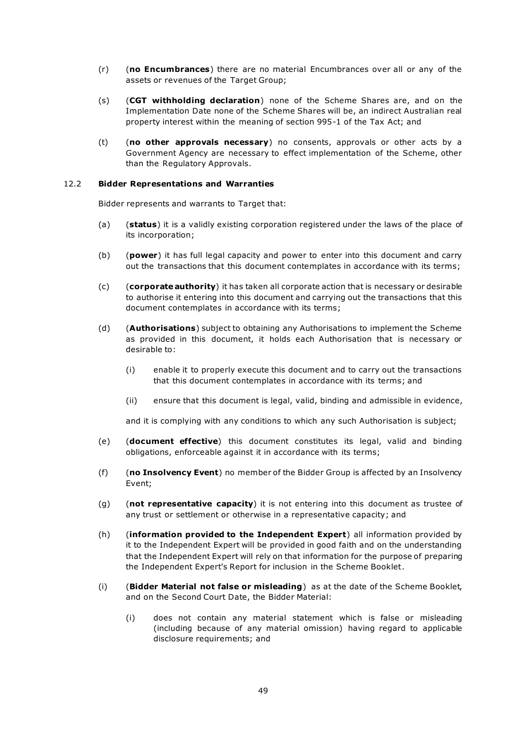- $(r)$  (no Encumbrances) there are no material Encumbrances over all or any of the assets or revenues of the Target Group;
- (s) (CGT withholding declaration) none of the Scheme Shares are, and on the Implementation Date none of the Scheme Shares will be, an indirect Australian real property interest within the meaning of section 995-1 of the Tax Act; and
- (t) (no other approvals necessary) no consents, approvals or other acts by a Government Agency are necessary to effect implementation of the Scheme, other than the Regulatory Approvals.

#### 12.2 Bidder Representations and Warranties

Bidder represents and warrants to Target that:

- (a) (status) it is a validly existing corporation registered under the laws of the place of its incorporation;
- (b) (power) it has full legal capacity and power to enter into this document and carry out the transactions that this document contemplates in accordance with its terms;
- (c) (corporate authority) it has taken all corporate action that is necessary or desirable to authorise it entering into this document and carrying out the transactions that this document contemplates in accordance with its terms;
- (d) (Authorisations) subject to obtaining any Authorisations to implement the Scheme as provided in this document, it holds each Authorisation that is necessary or desirable to:
	- (i) enable it to properly execute this document and to carry out the transactions that this document contemplates in accordance with its terms; and
	- (ii) ensure that this document is legal, valid, binding and admissible in evidence,

and it is complying with any conditions to which any such Authorisation is subject;

- (e) (document effective) this document constitutes its legal, valid and binding obligations, enforceable against it in accordance with its terms;
- (f) (no Insolvency Event) no member of the Bidder Group is affected by an Insolvency Event;
- (g) (not representative capacity) it is not entering into this document as trustee of any trust or settlement or otherwise in a representative capacity; and
- (h) (information provided to the Independent Expert) all information provided by it to the Independent Expert will be provided in good faith and on the understanding that the Independent Expert will rely on that information for the purpose of preparing the Independent Expert's Report for inclusion in the Scheme Booklet.
- (i) (Bidder Material not false or misleading) as at the date of the Scheme Booklet, and on the Second Court Date, the Bidder Material:
	- (i) does not contain any material statement which is false or misleading (including because of any material omission) having regard to applicable disclosure requirements; and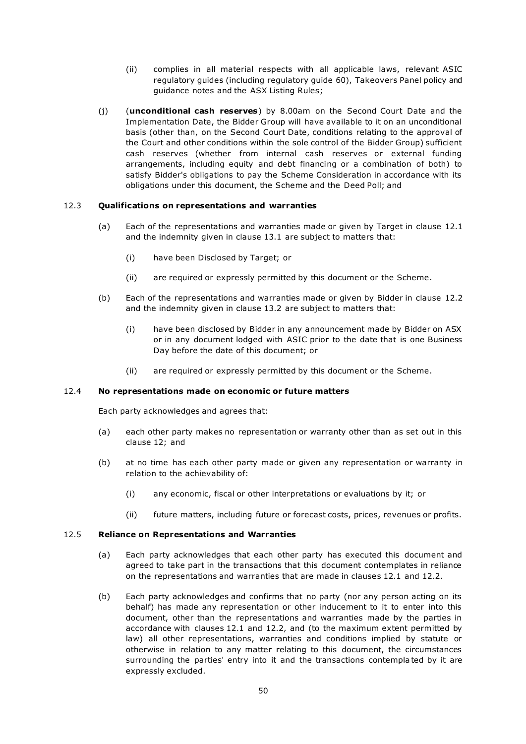- (ii) complies in all material respects with all applicable laws, relevant ASIC regulatory guides (including regulatory guide 60), Takeovers Panel policy and guidance notes and the ASX Listing Rules;
- (j) (unconditional cash reserves) by 8.00am on the Second Court Date and the Implementation Date, the Bidder Group will have available to it on an unconditional basis (other than, on the Second Court Date, conditions relating to the approval of the Court and other conditions within the sole control of the Bidder Group) sufficient cash reserves (whether from internal cash reserves or external funding arrangements, including equity and debt financing or a combination of both) to satisfy Bidder's obligations to pay the Scheme Consideration in accordance with its obligations under this document, the Scheme and the Deed Poll; and

#### 12.3 Qualifications on representations and warranties

- (a) Each of the representations and warranties made or given by Target in clause 12.1 and the indemnity given in clause 13.1 are subject to matters that:
	- (i) have been Disclosed by Target; or
	- (ii) are required or expressly permitted by this document or the Scheme.
- (b) Each of the representations and warranties made or given by Bidder in clause 12.2 and the indemnity given in clause 13.2 are subject to matters that:
	- (i) have been disclosed by Bidder in any announcement made by Bidder on ASX or in any document lodged with ASIC prior to the date that is one Business Day before the date of this document; or
	- (ii) are required or expressly permitted by this document or the Scheme.

#### 12.4 No representations made on economic or future matters

Each party acknowledges and agrees that:

- (a) each other party makes no representation or warranty other than as set out in this clause 12; and
- (b) at no time has each other party made or given any representation or warranty in relation to the achievability of:
	- (i) any economic, fiscal or other interpretations or evaluations by it; or
	- (ii) future matters, including future or forecast costs, prices, revenues or profits.

#### 12.5 Reliance on Representations and Warranties

- (a) Each party acknowledges that each other party has executed this document and agreed to take part in the transactions that this document contemplates in reliance on the representations and warranties that are made in clauses 12.1 and 12.2.
- (b) Each party acknowledges and confirms that no party (nor any person acting on its behalf) has made any representation or other inducement to it to enter into this document, other than the representations and warranties made by the parties in accordance with clauses 12.1 and 12.2, and (to the maximum extent permitted by law) all other representations, warranties and conditions implied by statute or otherwise in relation to any matter relating to this document, the circumstances surrounding the parties' entry into it and the transactions contempla ted by it are expressly excluded.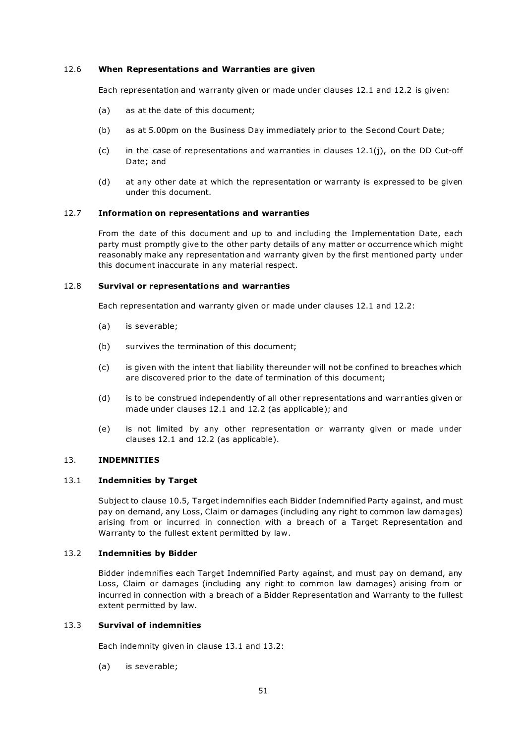#### 12.6 When Representations and Warranties are given

Each representation and warranty given or made under clauses 12.1 and 12.2 is given:

- (a) as at the date of this document;
- (b) as at 5.00pm on the Business Day immediately prior to the Second Court Date;
- (c) in the case of representations and warranties in clauses 12.1(j), on the DD Cut-off Date; and
- (d) at any other date at which the representation or warranty is expressed to be given under this document.

#### 12.7 Information on representations and warranties

From the date of this document and up to and including the Implementation Date, each party must promptly give to the other party details of any matter or occurrence which might reasonably make any representation and warranty given by the first mentioned party under this document inaccurate in any material respect.

#### 12.8 Survival or representations and warranties

Each representation and warranty given or made under clauses 12.1 and 12.2:

- (a) is severable;
- (b) survives the termination of this document;
- (c) is given with the intent that liability thereunder will not be confined to breaches which are discovered prior to the date of termination of this document;
- (d) is to be construed independently of all other representations and warr anties given or made under clauses 12.1 and 12.2 (as applicable); and
- (e) is not limited by any other representation or warranty given or made under clauses 12.1 and 12.2 (as applicable).

# 13. INDEMNITIES

#### 13.1 Indemnities by Target

Subject to clause 10.5, Target indemnifies each Bidder Indemnified Party against, and must pay on demand, any Loss, Claim or damages (including any right to common law damages) arising from or incurred in connection with a breach of a Target Representation and Warranty to the fullest extent permitted by law.

#### 13.2 Indemnities by Bidder

Bidder indemnifies each Target Indemnified Party against, and must pay on demand, any Loss, Claim or damages (including any right to common law damages) arising from or incurred in connection with a breach of a Bidder Representation and Warranty to the fullest extent permitted by law.

#### 13.3 Survival of indemnities

Each indemnity given in clause 13.1 and 13.2:

(a) is severable;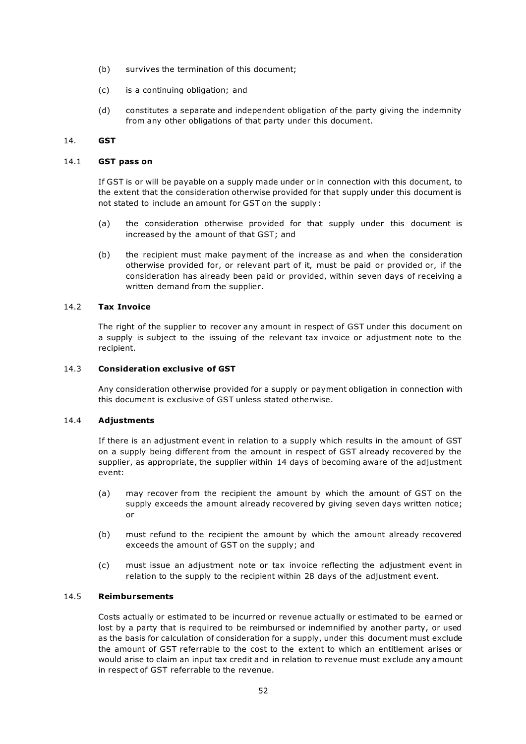- (b) survives the termination of this document;
- (c) is a continuing obligation; and
- (d) constitutes a separate and independent obligation of the party giving the indemnity from any other obligations of that party under this document.

#### 14. GST

#### 14.1 GST pass on

If GST is or will be payable on a supply made under or in connection with this document, to the extent that the consideration otherwise provided for that supply under this document is not stated to include an amount for GST on the supply :

- (a) the consideration otherwise provided for that supply under this document is increased by the amount of that GST; and
- (b) the recipient must make payment of the increase as and when the consideration otherwise provided for, or relevant part of it, must be paid or provided or, if the consideration has already been paid or provided, within seven days of receiving a written demand from the supplier.

# 14.2 Tax Invoice

The right of the supplier to recover any amount in respect of GST under this document on a supply is subject to the issuing of the relevant tax invoice or adjustment note to the recipient.

#### 14.3 Consideration exclusive of GST

Any consideration otherwise provided for a supply or payment obligation in connection with this document is exclusive of GST unless stated otherwise.

#### 14.4 Adjustments

If there is an adjustment event in relation to a supply which results in the amount of GST on a supply being different from the amount in respect of GST already recovered by the supplier, as appropriate, the supplier within 14 days of becoming aware of the adjustment event:

- (a) may recover from the recipient the amount by which the amount of GST on the supply exceeds the amount already recovered by giving seven days written notice; or
- (b) must refund to the recipient the amount by which the amount already recovered exceeds the amount of GST on the supply; and
- (c) must issue an adjustment note or tax invoice reflecting the adjustment event in relation to the supply to the recipient within 28 days of the adjustment event.

# 14.5 Reimbursements

Costs actually or estimated to be incurred or revenue actually or estimated to be earned or lost by a party that is required to be reimbursed or indemnified by another party, or used as the basis for calculation of consideration for a supply, under this document must exclude the amount of GST referrable to the cost to the extent to which an entitlement arises or would arise to claim an input tax credit and in relation to revenue must exclude any amount in respect of GST referrable to the revenue.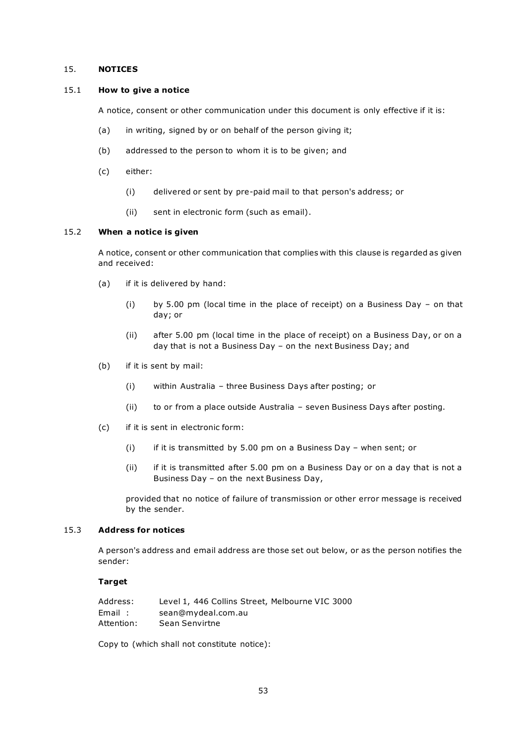#### 15. NOTICES

#### 15.1 How to give a notice

A notice, consent or other communication under this document is only effective if it is:

- (a) in writing, signed by or on behalf of the person giving it;
- (b) addressed to the person to whom it is to be given; and
- (c) either:
	- (i) delivered or sent by pre-paid mail to that person's address; or
	- (ii) sent in electronic form (such as email).

#### 15.2 When a notice is given

A notice, consent or other communication that complies with this clause is regarded as given and received:

- (a) if it is delivered by hand:
	- (i) by 5.00 pm (local time in the place of receipt) on a Business Day on that day; or
	- (ii) after 5.00 pm (local time in the place of receipt) on a Business Day, or on a day that is not a Business Day – on the next Business Day; and
- (b) if it is sent by mail:
	- (i) within Australia three Business Days after posting; or
	- (ii) to or from a place outside Australia seven Business Days after posting.
- (c) if it is sent in electronic form:
	- (i) if it is transmitted by 5.00 pm on a Business Day when sent; or
	- (ii) if it is transmitted after 5.00 pm on a Business Day or on a day that is not a Business Day – on the next Business Day,

provided that no notice of failure of transmission or other error message is received by the sender.

#### 15.3 Address for notices

A person's address and email address are those set out below, or as the person notifies the sender:

#### **Target**

| Address:   | Level 1, 446 Collins Street, Melbourne VIC 3000 |
|------------|-------------------------------------------------|
| Email:     | sean@mydeal.com.au                              |
| Attention: | Sean Senvirtne                                  |

Copy to (which shall not constitute notice):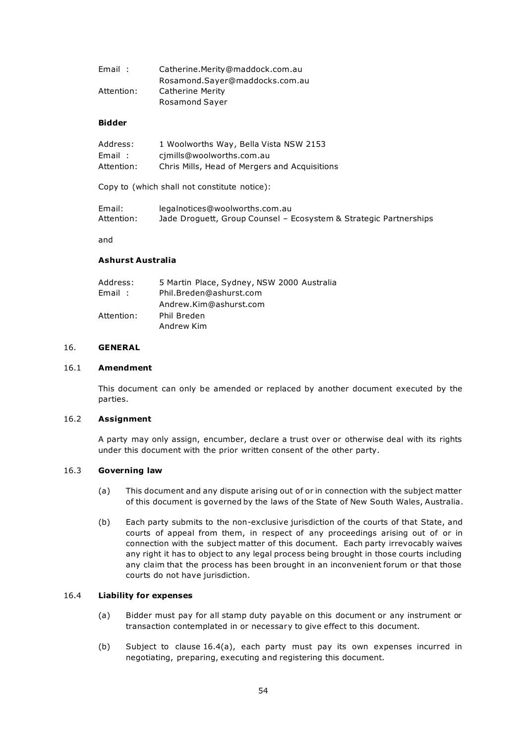| Email:     | Catherine.Merity@maddock.com.au |
|------------|---------------------------------|
|            | Rosamond.Sayer@maddocks.com.au  |
| Attention: | Catherine Merity                |
|            | <b>Rosamond Sayer</b>           |

#### Bidder

| Address:   | 1 Woolworths Way, Bella Vista NSW 2153        |
|------------|-----------------------------------------------|
| Email:     | cimills@woolworths.com.au                     |
| Attention: | Chris Mills, Head of Mergers and Acquisitions |

Copy to (which shall not constitute notice):

| Email:     | legalnotices@woolworths.com.au                                    |
|------------|-------------------------------------------------------------------|
| Attention: | Jade Droguett, Group Counsel - Ecosystem & Strategic Partnerships |

and

#### Ashurst Australia

| Address:   | 5 Martin Place, Sydney, NSW 2000 Australia |
|------------|--------------------------------------------|
| Email:     | Phil.Breden@ashurst.com                    |
|            | Andrew.Kim@ashurst.com                     |
| Attention: | Phil Breden                                |
|            | Andrew Kim                                 |

# 16. GENERAL

#### 16.1 Amendment

This document can only be amended or replaced by another document executed by the parties.

#### 16.2 Assignment

A party may only assign, encumber, declare a trust over or otherwise deal with its rights under this document with the prior written consent of the other party.

#### 16.3 Governing law

- (a) This document and any dispute arising out of or in connection with the subject matter of this document is governed by the laws of the State of New South Wales, Australia.
- (b) Each party submits to the non-exclusive jurisdiction of the courts of that State, and courts of appeal from them, in respect of any proceedings arising out of or in connection with the subject matter of this document. Each party irrevocably waives any right it has to object to any legal process being brought in those courts including any claim that the process has been brought in an inconvenient forum or that those courts do not have jurisdiction.

#### 16.4 Liability for expenses

- (a) Bidder must pay for all stamp duty payable on this document or any instrument or transaction contemplated in or necessary to give effect to this document.
- (b) Subject to clause 16.4(a), each party must pay its own expenses incurred in negotiating, preparing, executing and registering this document.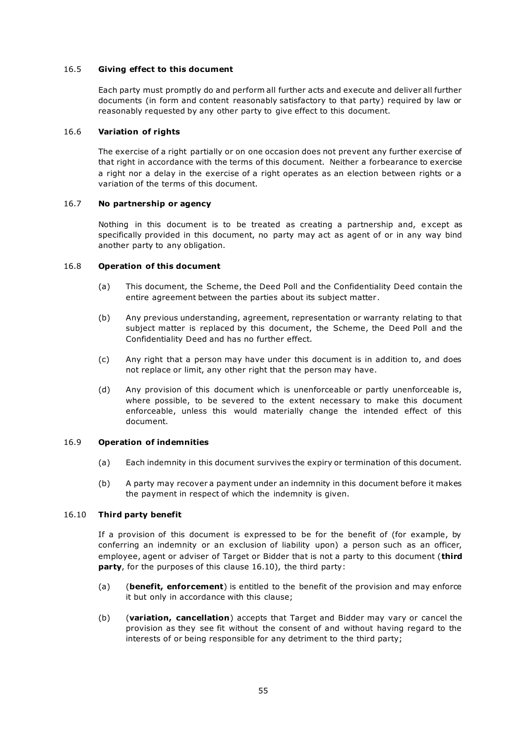#### 16.5 Giving effect to this document

Each party must promptly do and perform all further acts and execute and deliver all further documents (in form and content reasonably satisfactory to that party) required by law or reasonably requested by any other party to give effect to this document.

#### 16.6 Variation of rights

The exercise of a right partially or on one occasion does not prevent any further exercise of that right in accordance with the terms of this document. Neither a forbearance to exercise a right nor a delay in the exercise of a right operates as an election between rights or a variation of the terms of this document.

#### 16.7 No partnership or agency

Nothing in this document is to be treated as creating a partnership and, e xcept as specifically provided in this document, no party may act as agent of or in any way bind another party to any obligation.

# 16.8 Operation of this document

- (a) This document, the Scheme, the Deed Poll and the Confidentiality Deed contain the entire agreement between the parties about its subject matter .
- (b) Any previous understanding, agreement, representation or warranty relating to that subject matter is replaced by this document, the Scheme, the Deed Poll and the Confidentiality Deed and has no further effect.
- (c) Any right that a person may have under this document is in addition to, and does not replace or limit, any other right that the person may have.
- (d) Any provision of this document which is unenforceable or partly unenforceable is, where possible, to be severed to the extent necessary to make this document enforceable, unless this would materially change the intended effect of this document.

#### 16.9 Operation of indemnities

- (a) Each indemnity in this document survives the expiry or termination of this document.
- (b) A party may recover a payment under an indemnity in this document before it makes the payment in respect of which the indemnity is given.

#### 16.10 Third party benefit

If a provision of this document is expressed to be for the benefit of (for example, by conferring an indemnity or an exclusion of liability upon) a person such as an officer, employee, agent or adviser of Target or Bidder that is not a party to this document (third party, for the purposes of this clause 16.10), the third party:

- (a) (benefit, enforcement) is entitled to the benefit of the provision and may enforce it but only in accordance with this clause;
- (b) (variation, cancellation) accepts that Target and Bidder may vary or cancel the provision as they see fit without the consent of and without having regard to the interests of or being responsible for any detriment to the third party;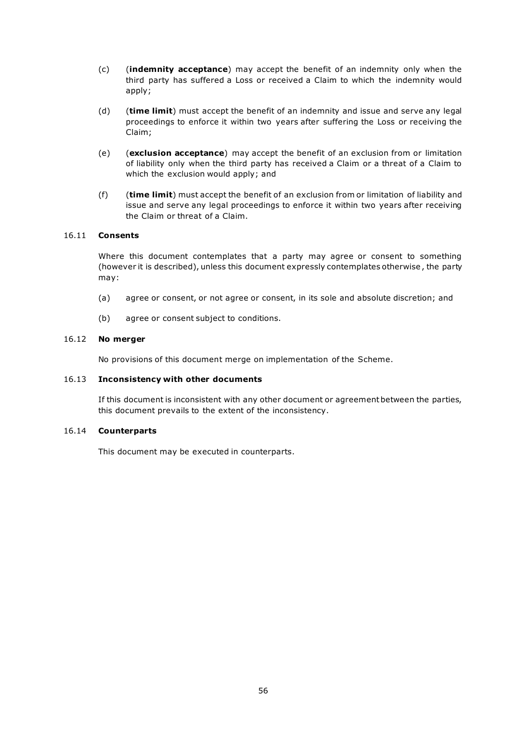- (c) (indemnity acceptance) may accept the benefit of an indemnity only when the third party has suffered a Loss or received a Claim to which the indemnity would apply;
- (d) (time limit) must accept the benefit of an indemnity and issue and serve any legal proceedings to enforce it within two years after suffering the Loss or receiving the Claim;
- (e) (exclusion acceptance) may accept the benefit of an exclusion from or limitation of liability only when the third party has received a Claim or a threat of a Claim to which the exclusion would apply; and
- (f) (time limit) must accept the benefit of an exclusion from or limitation of liability and issue and serve any legal proceedings to enforce it within two years after receiving the Claim or threat of a Claim.

#### 16.11 Consents

Where this document contemplates that a party may agree or consent to something (however it is described), unless this document expressly contemplates otherwise , the party may:

- (a) agree or consent, or not agree or consent, in its sole and absolute discretion; and
- (b) agree or consent subject to conditions.

#### 16.12 No merger

No provisions of this document merge on implementation of the Scheme.

#### 16.13 Inconsistency with other documents

If this document is inconsistent with any other document or agreement between the parties, this document prevails to the extent of the inconsistency.

#### 16.14 Counterparts

This document may be executed in counterparts.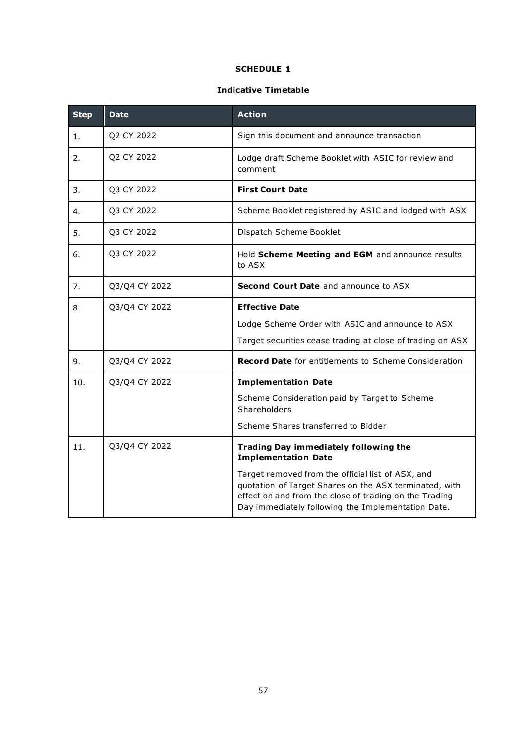# SCHEDULE 1

# Indicative Timetable

| <b>Step</b> | <b>Date</b>   | <b>Action</b>                                                                                                                                                                                                               |  |
|-------------|---------------|-----------------------------------------------------------------------------------------------------------------------------------------------------------------------------------------------------------------------------|--|
| 1.          | Q2 CY 2022    | Sign this document and announce transaction                                                                                                                                                                                 |  |
| 2.          | Q2 CY 2022    | Lodge draft Scheme Booklet with ASIC for review and<br>comment                                                                                                                                                              |  |
| 3.          | Q3 CY 2022    | <b>First Court Date</b>                                                                                                                                                                                                     |  |
| 4.          | Q3 CY 2022    | Scheme Booklet registered by ASIC and lodged with ASX                                                                                                                                                                       |  |
| 5.          | Q3 CY 2022    | Dispatch Scheme Booklet                                                                                                                                                                                                     |  |
| 6.          | Q3 CY 2022    | Hold Scheme Meeting and EGM and announce results<br>to ASX                                                                                                                                                                  |  |
| 7.          | Q3/Q4 CY 2022 | <b>Second Court Date</b> and announce to ASX                                                                                                                                                                                |  |
| 8.          | Q3/Q4 CY 2022 | <b>Effective Date</b>                                                                                                                                                                                                       |  |
|             |               | Lodge Scheme Order with ASIC and announce to ASX                                                                                                                                                                            |  |
|             |               | Target securities cease trading at close of trading on ASX                                                                                                                                                                  |  |
| 9.          | Q3/Q4 CY 2022 | <b>Record Date</b> for entitlements to Scheme Consideration                                                                                                                                                                 |  |
| 10.         | Q3/Q4 CY 2022 | <b>Implementation Date</b>                                                                                                                                                                                                  |  |
|             |               | Scheme Consideration paid by Target to Scheme<br>Shareholders                                                                                                                                                               |  |
|             |               | Scheme Shares transferred to Bidder                                                                                                                                                                                         |  |
| 11.         | Q3/Q4 CY 2022 | <b>Trading Day immediately following the</b><br><b>Implementation Date</b>                                                                                                                                                  |  |
|             |               | Target removed from the official list of ASX, and<br>quotation of Target Shares on the ASX terminated, with<br>effect on and from the close of trading on the Trading<br>Day immediately following the Implementation Date. |  |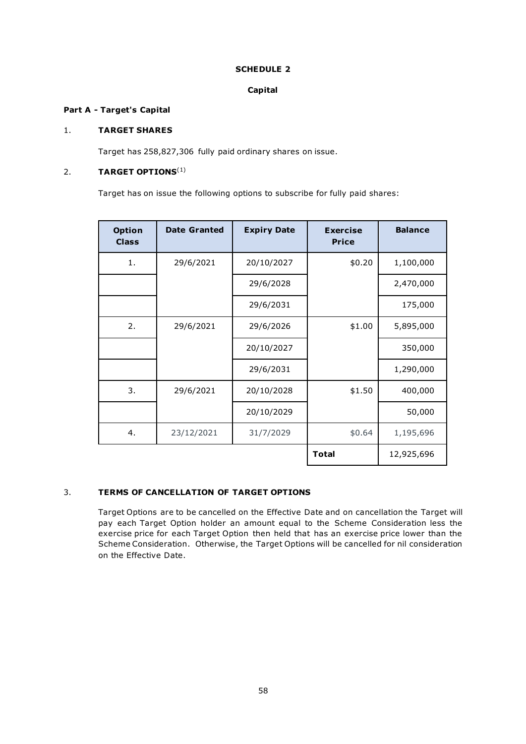# SCHEDULE 2

# Capital

# Part A - Target's Capital

# 1. TARGET SHARES

Target has 258,827,306 fully paid ordinary shares on issue.

# 2. TARGET OPTIONS $<sup>(1)</sup>$ </sup>

Target has on issue the following options to subscribe for fully paid shares:

| <b>Option</b><br><b>Class</b> | <b>Date Granted</b> | <b>Expiry Date</b> | <b>Exercise</b><br><b>Price</b> | <b>Balance</b> |
|-------------------------------|---------------------|--------------------|---------------------------------|----------------|
| 1.                            | 29/6/2021           | 20/10/2027         | \$0.20                          | 1,100,000      |
|                               |                     | 29/6/2028          |                                 | 2,470,000      |
|                               |                     | 29/6/2031          |                                 | 175,000        |
| 2.                            | 29/6/2021           | 29/6/2026          | \$1.00                          | 5,895,000      |
|                               |                     | 20/10/2027         |                                 | 350,000        |
|                               |                     | 29/6/2031          |                                 | 1,290,000      |
| 3.                            | 29/6/2021           | 20/10/2028         | \$1.50                          | 400,000        |
|                               |                     | 20/10/2029         |                                 | 50,000         |
| 4.                            | 23/12/2021          | 31/7/2029          | \$0.64                          | 1,195,696      |
|                               |                     |                    | <b>Total</b>                    | 12,925,696     |

# 3. TERMS OF CANCELLATION OF TARGET OPTIONS

Target Options are to be cancelled on the Effective Date and on cancellation the Target will pay each Target Option holder an amount equal to the Scheme Consideration less the exercise price for each Target Option then held that has an exercise price lower than the Scheme Consideration. Otherwise, the Target Options will be cancelled for nil consideration on the Effective Date.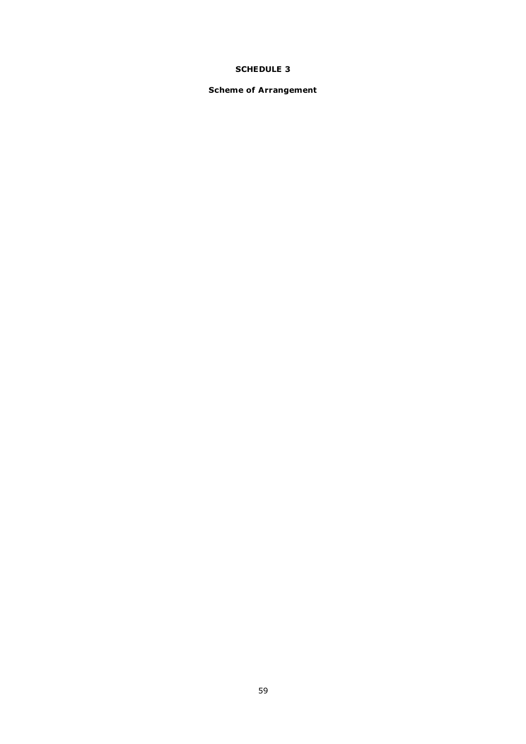# SCHEDULE 3

# Scheme of Arrangement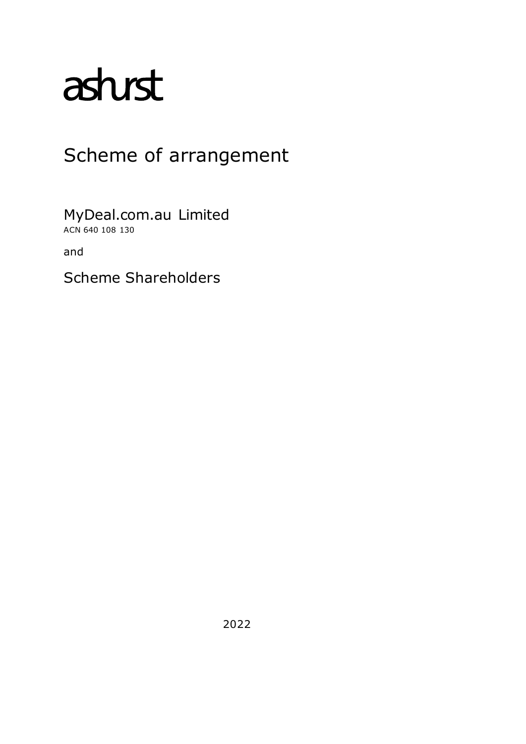# asturst

# Scheme of arrangement

MyDeal.com.au Limited ACN 640 108 130

and

Scheme Shareholders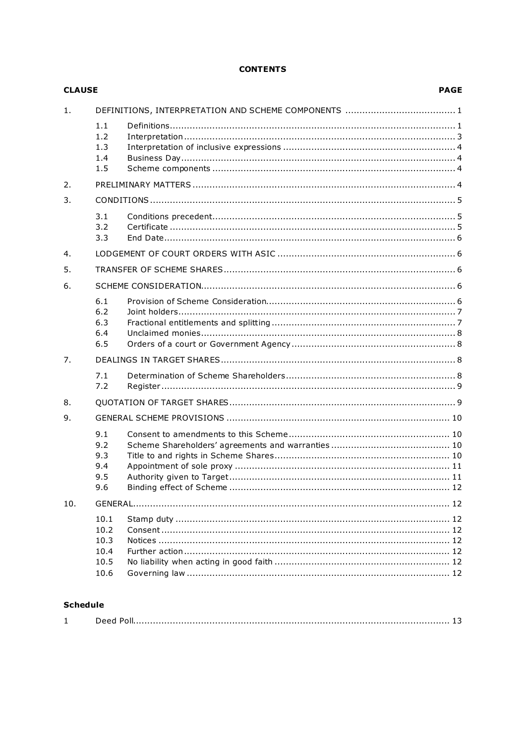# **CONTENTS**

| <b>CLAUSE</b> |                                              |  | <b>PAGE</b> |
|---------------|----------------------------------------------|--|-------------|
| 1.            |                                              |  |             |
|               | 1.1<br>1.2<br>1.3<br>1.4<br>1.5              |  |             |
| 2.            |                                              |  |             |
| 3.            |                                              |  |             |
|               | 3.1<br>3.2<br>3.3                            |  |             |
| 4.            |                                              |  |             |
| 5.            |                                              |  |             |
| 6.            |                                              |  |             |
|               | 6.1<br>6.2<br>6.3<br>6.4<br>6.5              |  |             |
| 7.            |                                              |  |             |
|               | 7.1<br>7.2                                   |  |             |
| 8.            |                                              |  |             |
| 9.            |                                              |  |             |
|               | 9.1<br>9.2<br>9.3<br>9.4<br>9.5<br>9.6       |  |             |
| 10.           |                                              |  |             |
|               | 10.1<br>10.2<br>10.3<br>10.4<br>10.5<br>10.6 |  |             |
|               |                                              |  |             |

# **Schedule**

|--|--|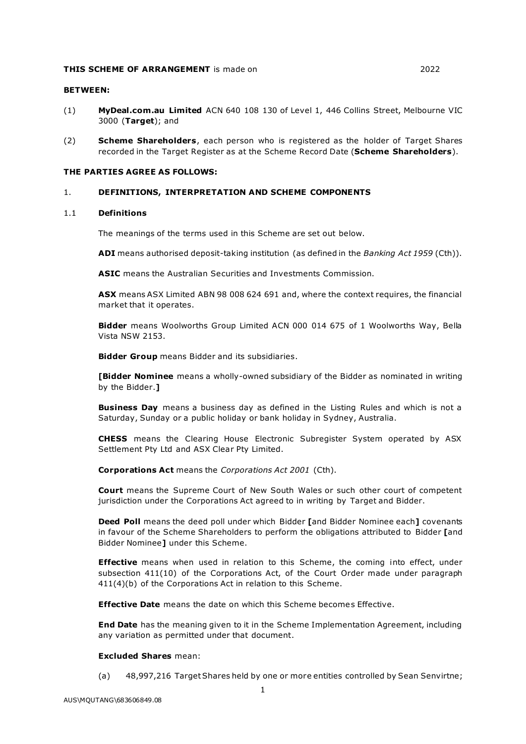#### THIS SCHEME OF ARRANGEMENT is made on 2022 2022

#### BETWEEN:

- (1) MyDeal.com.au Limited ACN 640 108 130 of Level 1, 446 Collins Street, Melbourne VIC 3000 (Target); and
- (2) **Scheme Shareholders**, each person who is registered as the holder of Target Shares recorded in the Target Register as at the Scheme Record Date (Scheme Shareholders).

#### THE PARTIES AGREE AS FOLLOWS:

#### 1. DEFINITIONS, INTERPRETATION AND SCHEME COMPONENTS

#### 1.1 Definitions

The meanings of the terms used in this Scheme are set out below.

ADI means authorised deposit-taking institution (as defined in the Banking Act 1959 (Cth)).

ASIC means the Australian Securities and Investments Commission.

ASX means ASX Limited ABN 98 008 624 691 and, where the context requires, the financial market that it operates.

Bidder means Woolworths Group Limited ACN 000 014 675 of 1 Woolworths Way, Bella Vista NSW 2153.

Bidder Group means Bidder and its subsidiaries.

**[Bidder Nominee** means a wholly-owned subsidiary of the Bidder as nominated in writing by the Bidder.]

**Business Day** means a business day as defined in the Listing Rules and which is not a Saturday, Sunday or a public holiday or bank holiday in Sydney, Australia.

CHESS means the Clearing House Electronic Subregister System operated by ASX Settlement Pty Ltd and ASX Clear Pty Limited.

Corporations Act means the Corporations Act 2001 (Cth).

Court means the Supreme Court of New South Wales or such other court of competent jurisdiction under the Corporations Act agreed to in writing by Target and Bidder.

**Deed Poll** means the deed poll under which Bidder **Fand Bidder Nominee each Lovenants** in favour of the Scheme Shareholders to perform the obligations attributed to Bidder [and Bidder Nominee] under this Scheme.

**Effective** means when used in relation to this Scheme, the coming into effect, under subsection 411(10) of the Corporations Act, of the Court Order made under paragraph 411(4)(b) of the Corporations Act in relation to this Scheme.

**Effective Date** means the date on which this Scheme becomes Effective.

**End Date** has the meaning given to it in the Scheme Implementation Agreement, including any variation as permitted under that document.

#### Excluded Shares mean:

(a) 48,997,216 Target Shares held by one or more entities controlled by Sean Senvirtne;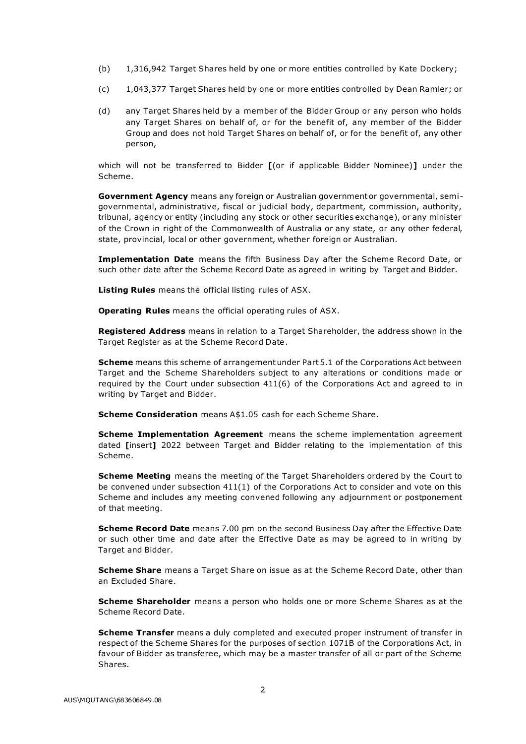- (b) 1,316,942 Target Shares held by one or more entities controlled by Kate Dockery;
- (c) 1,043,377 Target Shares held by one or more entities controlled by Dean Ramler; or
- (d) any Target Shares held by a member of the Bidder Group or any person who holds any Target Shares on behalf of, or for the benefit of, any member of the Bidder Group and does not hold Target Shares on behalf of, or for the benefit of, any other person,

which will not be transferred to Bidder [(or if applicable Bidder Nominee)] under the Scheme.

Government Agency means any foreign or Australian government or governmental, semigovernmental, administrative, fiscal or judicial body, department, commission, authority, tribunal, agency or entity (including any stock or other securities exchange), or any minister of the Crown in right of the Commonwealth of Australia or any state, or any other federal, state, provincial, local or other government, whether foreign or Australian.

Implementation Date means the fifth Business Day after the Scheme Record Date, or such other date after the Scheme Record Date as agreed in writing by Target and Bidder.

Listing Rules means the official listing rules of ASX.

Operating Rules means the official operating rules of ASX.

Registered Address means in relation to a Target Shareholder, the address shown in the Target Register as at the Scheme Record Date .

Scheme means this scheme of arrangement under Part 5.1 of the Corporations Act between Target and the Scheme Shareholders subject to any alterations or conditions made or required by the Court under subsection 411(6) of the Corporations Act and agreed to in writing by Target and Bidder.

**Scheme Consideration** means A\$1.05 cash for each Scheme Share.

**Scheme Implementation Agreement** means the scheme implementation agreement dated [insert] 2022 between Target and Bidder relating to the implementation of this Scheme.

**Scheme Meeting** means the meeting of the Target Shareholders ordered by the Court to be convened under subsection 411(1) of the Corporations Act to consider and vote on this Scheme and includes any meeting convened following any adjournment or postponement of that meeting.

**Scheme Record Date** means 7.00 pm on the second Business Day after the Effective Date or such other time and date after the Effective Date as may be agreed to in writing by Target and Bidder.

Scheme Share means a Target Share on issue as at the Scheme Record Date, other than an Excluded Share.

**Scheme Shareholder** means a person who holds one or more Scheme Shares as at the Scheme Record Date.

Scheme Transfer means a duly completed and executed proper instrument of transfer in respect of the Scheme Shares for the purposes of section 1071B of the Corporations Act, in favour of Bidder as transferee, which may be a master transfer of all or part of the Scheme Shares.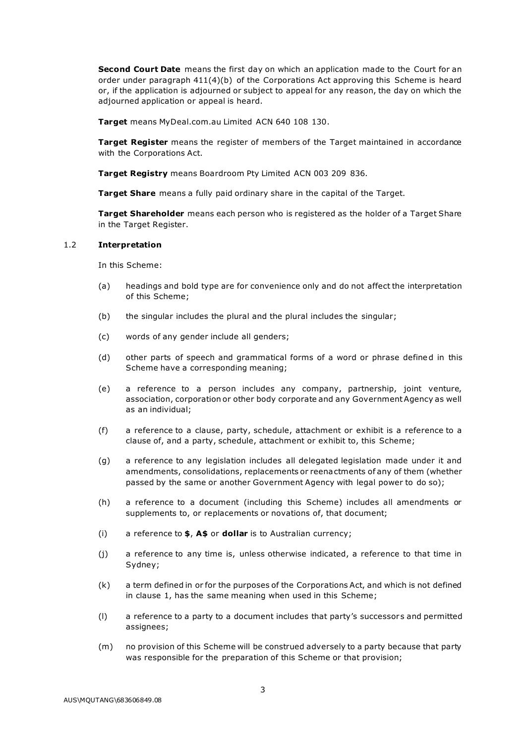**Second Court Date** means the first day on which an application made to the Court for an order under paragraph 411(4)(b) of the Corporations Act approving this Scheme is heard or, if the application is adjourned or subject to appeal for any reason, the day on which the adjourned application or appeal is heard.

Target means MyDeal.com.au Limited ACN 640 108 130.

**Target Register** means the register of members of the Target maintained in accordance with the Corporations Act.

Target Registry means Boardroom Pty Limited ACN 003 209 836.

**Target Share** means a fully paid ordinary share in the capital of the Target.

Target Shareholder means each person who is registered as the holder of a Target Share in the Target Register.

#### 1.2 Interpretation

In this Scheme:

- (a) headings and bold type are for convenience only and do not affect the interpretation of this Scheme;
- (b) the singular includes the plural and the plural includes the singular;
- (c) words of any gender include all genders;
- (d) other parts of speech and grammatical forms of a word or phrase defined in this Scheme have a corresponding meaning;
- (e) a reference to a person includes any company, partnership, joint venture, association, corporation or other body corporate and any Government Agency as well as an individual;
- (f) a reference to a clause, party, schedule, attachment or exhibit is a reference to a clause of, and a party, schedule, attachment or exhibit to, this Scheme;
- (g) a reference to any legislation includes all delegated legislation made under it and amendments, consolidations, replacements or reena ctments of any of them (whether passed by the same or another Government Agency with legal power to do so);
- (h) a reference to a document (including this Scheme) includes all amendments or supplements to, or replacements or novations of, that document;
- (i) a reference to  $\oint$ , A $\oint$  or dollar is to Australian currency;
- (j) a reference to any time is, unless otherwise indicated, a reference to that time in Sydney;
- (k) a term defined in or for the purposes of the Corporations Act, and which is not defined in clause 1, has the same meaning when used in this Scheme;
- (l) a reference to a party to a document includes that party's successor s and permitted assignees;
- (m) no provision of this Scheme will be construed adversely to a party because that party was responsible for the preparation of this Scheme or that provision;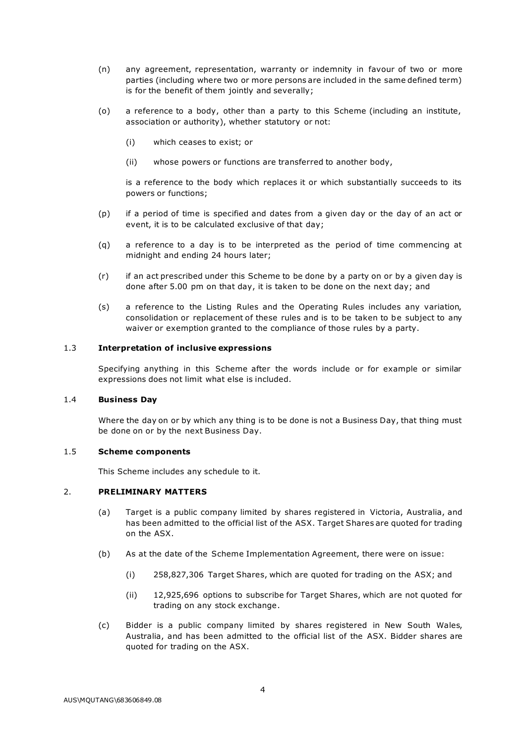- (n) any agreement, representation, warranty or indemnity in favour of two or more parties (including where two or more persons are included in the same defined term) is for the benefit of them jointly and severally;
- (o) a reference to a body, other than a party to this Scheme (including an institute, association or authority), whether statutory or not:
	- (i) which ceases to exist; or
	- (ii) whose powers or functions are transferred to another body,

is a reference to the body which replaces it or which substantially succeeds to its powers or functions;

- (p) if a period of time is specified and dates from a given day or the day of an act or event, it is to be calculated exclusive of that day;
- (q) a reference to a day is to be interpreted as the period of time commencing at midnight and ending 24 hours later;
- (r) if an act prescribed under this Scheme to be done by a party on or by a given day is done after 5.00 pm on that day, it is taken to be done on the next day; and
- (s) a reference to the Listing Rules and the Operating Rules includes any variation, consolidation or replacement of these rules and is to be taken to be subject to any waiver or exemption granted to the compliance of those rules by a party.

#### 1.3 Interpretation of inclusive expressions

Specifying anything in this Scheme after the words include or for example or similar expressions does not limit what else is included.

#### 1.4 Business Day

Where the day on or by which any thing is to be done is not a Business Day, that thing must be done on or by the next Business Day.

#### 1.5 Scheme components

This Scheme includes any schedule to it.

#### 2. PRELIMINARY MATTERS

- (a) Target is a public company limited by shares registered in Victoria, Australia, and has been admitted to the official list of the ASX. Target Shares are quoted for trading on the ASX.
- (b) As at the date of the Scheme Implementation Agreement, there were on issue:
	- (i) 258,827,306 Target Shares, which are quoted for trading on the ASX; and
	- (ii) 12,925,696 options to subscribe for Target Shares, which are not quoted for trading on any stock exchange .
- (c) Bidder is a public company limited by shares registered in New South Wales, Australia, and has been admitted to the official list of the ASX. Bidder shares are quoted for trading on the ASX.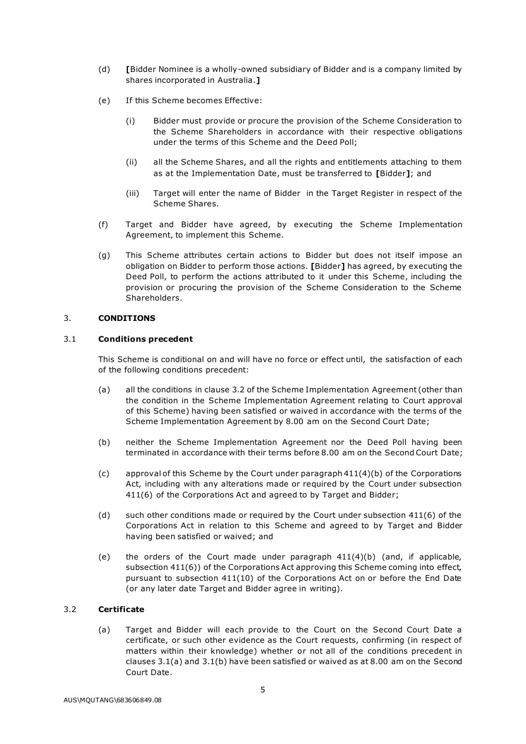- (d) [Bidder Nominee is a wholly-owned subsidiary of Bidder and is a company limited by shares incorporated in Australia.]
- (e) If this Scheme becomes Effective:
	- (i) Bidder must provide or procure the provision of the Scheme Consideration to the Scheme Shareholders in accordance with their respective obligations under the terms of this Scheme and the Deed Poll;
	- (ii) all the Scheme Shares, and all the rights and entitlements attaching to them as at the Implementation Date, must be transferred to [Bidder]; and
	- (iii) Target will enter the name of Bidder in the Target Register in respect of the Scheme Shares.
- (f) Target and Bidder have agreed, by executing the Scheme Implementation Agreement, to implement this Scheme.
- (g) This Scheme attributes certain actions to Bidder but does not itself impose an obligation on Bidder to perform those actions. [Bidder] has agreed, by executing the Deed Poll, to perform the actions attributed to it under this Scheme, including the provision or procuring the provision of the Scheme Consideration to the Scheme Shareholders.

#### 3. CONDITIONS

#### 3.1 Conditions precedent

This Scheme is conditional on and will have no force or effect until, the satisfaction of each of the following conditions precedent:

- (a) all the conditions in clause 3.2 of the Scheme Implementation Agreement (other than the condition in the Scheme Implementation Agreement relating to Court approval of this Scheme) having been satisfied or waived in accordance with the terms of the Scheme Implementation Agreement by 8.00 am on the Second Court Date;
- (b) neither the Scheme Implementation Agreement nor the Deed Poll having been terminated in accordance with their terms before 8.00 am on the Second Court Date;
- $(c)$  approval of this Scheme by the Court under paragraph  $411(4)(b)$  of the Corporations Act, including with any alterations made or required by the Court under subsection 411(6) of the Corporations Act and agreed to by Target and Bidder;
- (d) such other conditions made or required by the Court under subsection 411(6) of the Corporations Act in relation to this Scheme and agreed to by Target and Bidder having been satisfied or waived; and
- (e) the orders of the Court made under paragraph  $411(4)(b)$  (and, if applicable, subsection 411(6)) of the Corporations Act approving this Scheme coming into effect, pursuant to subsection 411(10) of the Corporations Act on or before the End Date (or any later date Target and Bidder agree in writing).

# 3.2 Certificate

(a) Target and Bidder will each provide to the Court on the Second Court Date a certificate, or such other evidence as the Court requests, confirming (in respect of matters within their knowledge) whether or not all of the conditions precedent in clauses 3.1(a) and 3.1(b) have been satisfied or waived as at 8.00 am on the Second Court Date.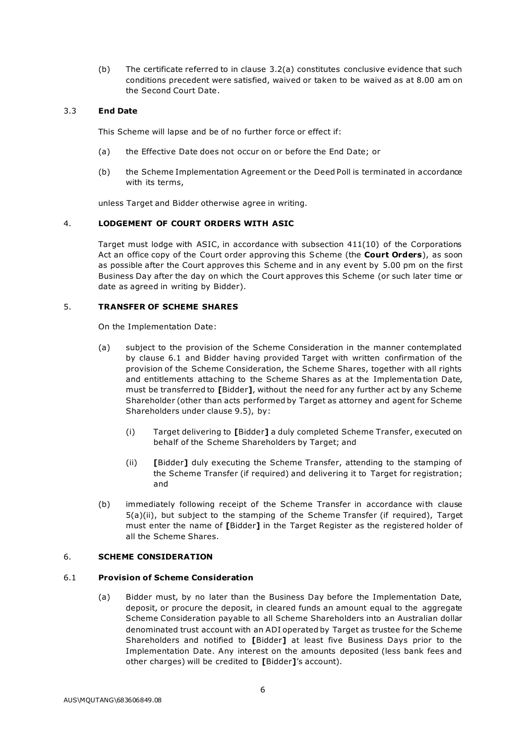(b) The certificate referred to in clause 3.2(a) constitutes conclusive evidence that such conditions precedent were satisfied, waived or taken to be waived as at 8.00 am on the Second Court Date.

# 3.3 End Date

This Scheme will lapse and be of no further force or effect if:

- (a) the Effective Date does not occur on or before the End Date; or
- (b) the Scheme Implementation Agreement or the Deed Poll is terminated in accordance with its terms,

unless Target and Bidder otherwise agree in writing.

# 4. LODGEMENT OF COURT ORDERS WITH ASIC

Target must lodge with ASIC, in accordance with subsection 411(10) of the Corporations Act an office copy of the Court order approving this Scheme (the **Court Orders**), as soon as possible after the Court approves this Scheme and in any event by 5.00 pm on the first Business Day after the day on which the Court approves this Scheme (or such later time or date as agreed in writing by Bidder).

# 5. TRANSFER OF SCHEME SHARES

On the Implementation Date:

- (a) subject to the provision of the Scheme Consideration in the manner contemplated by clause 6.1 and Bidder having provided Target with written confirmation of the provision of the Scheme Consideration, the Scheme Shares, together with all rights and entitlements attaching to the Scheme Shares as at the Implementa tion Date, must be transferred to [Bidder], without the need for any further act by any Scheme Shareholder (other than acts performed by Target as attorney and agent for Scheme Shareholders under clause 9.5), by:
	- (i) Target delivering to [Bidder] a duly completed Scheme Transfer, executed on behalf of the Scheme Shareholders by Target; and
	- (ii) [Bidder] duly executing the Scheme Transfer, attending to the stamping of the Scheme Transfer (if required) and delivering it to Target for registration; and
- (b) immediately following receipt of the Scheme Transfer in accordance with clause 5(a)(ii), but subject to the stamping of the Scheme Transfer (if required), Target must enter the name of [Bidder] in the Target Register as the registered holder of all the Scheme Shares.

# 6. SCHEME CONSIDERATION

# 6.1 Provision of Scheme Consideration

(a) Bidder must, by no later than the Business Day before the Implementation Date, deposit, or procure the deposit, in cleared funds an amount equal to the aggregate Scheme Consideration payable to all Scheme Shareholders into an Australian dollar denominated trust account with an ADI operated by Target as trustee for the Scheme Shareholders and notified to [Bidder] at least five Business Days prior to the Implementation Date. Any interest on the amounts deposited (less bank fees and other charges) will be credited to [Bidder]'s account).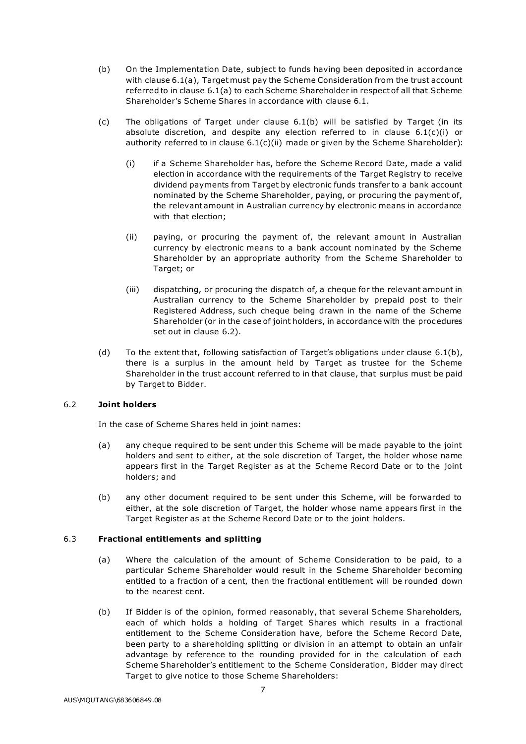- (b) On the Implementation Date, subject to funds having been deposited in accordance with clause 6.1(a), Target must pay the Scheme Consideration from the trust account referred to in clause 6.1(a) to each Scheme Shareholder in respect of all that Scheme Shareholder's Scheme Shares in accordance with clause 6.1.
- (c) The obligations of Target under clause 6.1(b) will be satisfied by Target (in its absolute discretion, and despite any election referred to in clause  $6.1(c)(i)$  or authority referred to in clause  $6.1(c)(ii)$  made or given by the Scheme Shareholder):
	- (i) if a Scheme Shareholder has, before the Scheme Record Date, made a valid election in accordance with the requirements of the Target Registry to receive dividend payments from Target by electronic funds transfer to a bank account nominated by the Scheme Shareholder, paying, or procuring the payment of, the relevant amount in Australian currency by electronic means in accordance with that election;
	- (ii) paying, or procuring the payment of, the relevant amount in Australian currency by electronic means to a bank account nominated by the Scheme Shareholder by an appropriate authority from the Scheme Shareholder to Target; or
	- (iii) dispatching, or procuring the dispatch of, a cheque for the relevant amount in Australian currency to the Scheme Shareholder by prepaid post to their Registered Address, such cheque being drawn in the name of the Scheme Shareholder (or in the case of joint holders, in accordance with the procedures set out in clause 6.2).
- (d) To the extent that, following satisfaction of Target's obligations under clause 6.1(b), there is a surplus in the amount held by Target as trustee for the Scheme Shareholder in the trust account referred to in that clause, that surplus must be paid by Target to Bidder.

# 6.2 Joint holders

In the case of Scheme Shares held in joint names:

- (a) any cheque required to be sent under this Scheme will be made payable to the joint holders and sent to either, at the sole discretion of Target, the holder whose name appears first in the Target Register as at the Scheme Record Date or to the joint holders; and
- (b) any other document required to be sent under this Scheme, will be forwarded to either, at the sole discretion of Target, the holder whose name appears first in the Target Register as at the Scheme Record Date or to the joint holders.

# 6.3 Fractional entitlements and splitting

- (a) Where the calculation of the amount of Scheme Consideration to be paid, to a particular Scheme Shareholder would result in the Scheme Shareholder becoming entitled to a fraction of a cent, then the fractional entitlement will be rounded down to the nearest cent.
- (b) If Bidder is of the opinion, formed reasonably, that several Scheme Shareholders, each of which holds a holding of Target Shares which results in a fractional entitlement to the Scheme Consideration have, before the Scheme Record Date, been party to a shareholding splitting or division in an attempt to obtain an unfair advantage by reference to the rounding provided for in the calculation of each Scheme Shareholder's entitlement to the Scheme Consideration, Bidder may direct Target to give notice to those Scheme Shareholders: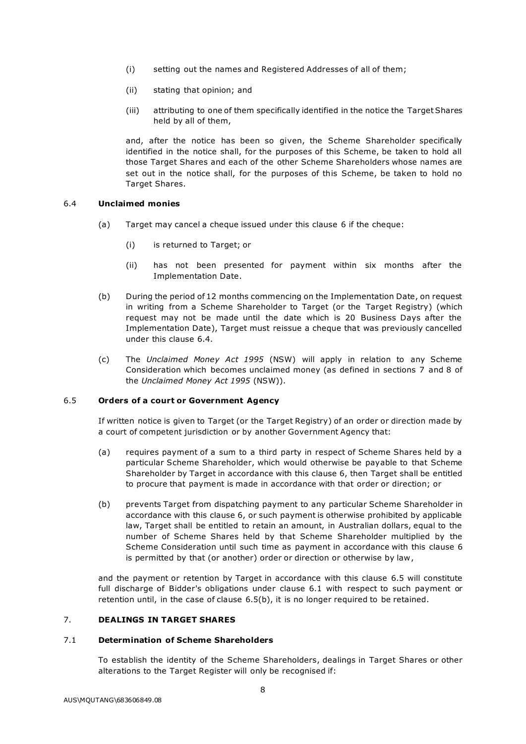- (i) setting out the names and Registered Addresses of all of them;
- (ii) stating that opinion; and
- (iii) attributing to one of them specifically identified in the notice the Target Shares held by all of them,

and, after the notice has been so given, the Scheme Shareholder specifically identified in the notice shall, for the purposes of this Scheme, be taken to hold all those Target Shares and each of the other Scheme Shareholders whose names are set out in the notice shall, for the purposes of this Scheme, be taken to hold no Target Shares.

# 6.4 Unclaimed monies

- (a) Target may cancel a cheque issued under this clause 6 if the cheque:
	- (i) is returned to Target; or
	- (ii) has not been presented for payment within six months after the Implementation Date.
- (b) During the period of 12 months commencing on the Implementation Date, on request in writing from a Scheme Shareholder to Target (or the Target Registry) (which request may not be made until the date which is 20 Business Days after the Implementation Date), Target must reissue a cheque that was previously cancelled under this clause 6.4.
- (c) The Unclaimed Money Act 1995 (NSW) will apply in relation to any Scheme Consideration which becomes unclaimed money (as defined in sections 7 and 8 of the Unclaimed Money Act 1995 (NSW)).

# 6.5 Orders of a court or Government Agency

If written notice is given to Target (or the Target Registry) of an order or direction made by a court of competent jurisdiction or by another Government Agency that:

- (a) requires payment of a sum to a third party in respect of Scheme Shares held by a particular Scheme Shareholder, which would otherwise be payable to that Scheme Shareholder by Target in accordance with this clause 6, then Target shall be entitled to procure that payment is made in accordance with that order or direction; or
- (b) prevents Target from dispatching payment to any particular Scheme Shareholder in accordance with this clause 6, or such payment is otherwise prohibited by applicable law, Target shall be entitled to retain an amount, in Australian dollars, equal to the number of Scheme Shares held by that Scheme Shareholder multiplied by the Scheme Consideration until such time as payment in accordance with this clause 6 is permitted by that (or another) order or direction or otherwise by law ,

and the payment or retention by Target in accordance with this clause 6.5 will constitute full discharge of Bidder's obligations under clause 6.1 with respect to such payment or retention until, in the case of clause 6.5(b), it is no longer required to be retained.

# 7. DEALINGS IN TARGET SHARES

#### 7.1 Determination of Scheme Shareholders

To establish the identity of the Scheme Shareholders, dealings in Target Shares or other alterations to the Target Register will only be recognised if: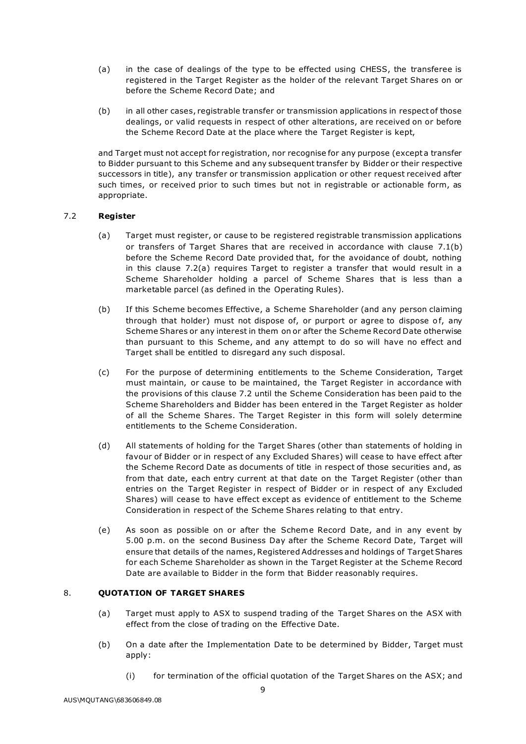- (a) in the case of dealings of the type to be effected using CHESS, the transferee is registered in the Target Register as the holder of the relevant Target Shares on or before the Scheme Record Date; and
- (b) in all other cases, registrable transfer or transmission applications in respect of those dealings, or valid requests in respect of other alterations, are received on or before the Scheme Record Date at the place where the Target Register is kept,

and Target must not accept for registration, nor recognise for any purpose (except a transfer to Bidder pursuant to this Scheme and any subsequent transfer by Bidder or their respective successors in title), any transfer or transmission application or other request received after such times, or received prior to such times but not in registrable or actionable form, as appropriate.

# 7.2 Register

- (a) Target must register, or cause to be registered registrable transmission applications or transfers of Target Shares that are received in accordance with clause 7.1(b) before the Scheme Record Date provided that, for the avoidance of doubt, nothing in this clause 7.2(a) requires Target to register a transfer that would result in a Scheme Shareholder holding a parcel of Scheme Shares that is less than a marketable parcel (as defined in the Operating Rules).
- (b) If this Scheme becomes Effective, a Scheme Shareholder (and any person claiming through that holder) must not dispose of, or purport or agree to dispose of, any Scheme Shares or any interest in them on or after the Scheme Record Date otherwise than pursuant to this Scheme, and any attempt to do so will have no effect and Target shall be entitled to disregard any such disposal.
- (c) For the purpose of determining entitlements to the Scheme Consideration, Target must maintain, or cause to be maintained, the Target Register in accordance with the provisions of this clause 7.2 until the Scheme Consideration has been paid to the Scheme Shareholders and Bidder has been entered in the Target Register as holder of all the Scheme Shares. The Target Register in this form will solely determine entitlements to the Scheme Consideration.
- (d) All statements of holding for the Target Shares (other than statements of holding in favour of Bidder or in respect of any Excluded Shares) will cease to have effect after the Scheme Record Date as documents of title in respect of those securities and, as from that date, each entry current at that date on the Target Register (other than entries on the Target Register in respect of Bidder or in respect of any Excluded Shares) will cease to have effect except as evidence of entitlement to the Scheme Consideration in respect of the Scheme Shares relating to that entry.
- (e) As soon as possible on or after the Scheme Record Date, and in any event by 5.00 p.m. on the second Business Day after the Scheme Record Date, Target will ensure that details of the names, Registered Addresses and holdings of Target Shares for each Scheme Shareholder as shown in the Target Register at the Scheme Record Date are available to Bidder in the form that Bidder reasonably requires.

# 8. **OUOTATION OF TARGET SHARES**

- (a) Target must apply to ASX to suspend trading of the Target Shares on the ASX with effect from the close of trading on the Effective Date.
- (b) On a date after the Implementation Date to be determined by Bidder, Target must apply:
	- (i) for termination of the official quotation of the Target Shares on the ASX; and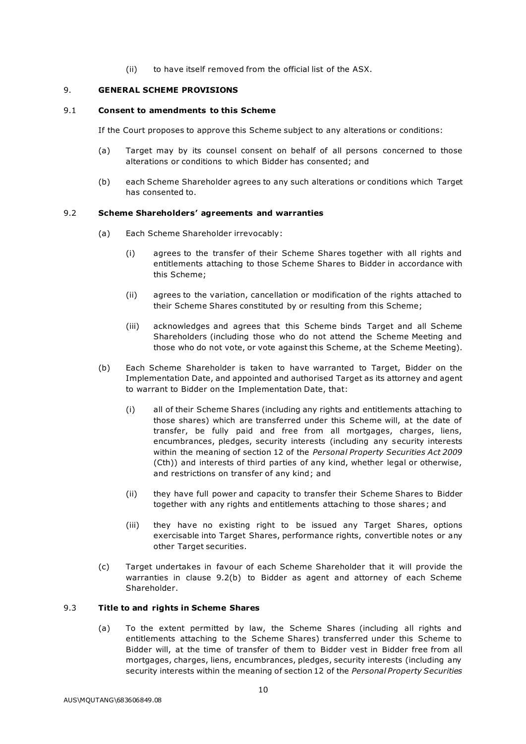(ii) to have itself removed from the official list of the ASX.

#### 9. GENERAL SCHEME PROVISIONS

#### 9.1 Consent to amendments to this Scheme

If the Court proposes to approve this Scheme subject to any alterations or conditions:

- (a) Target may by its counsel consent on behalf of all persons concerned to those alterations or conditions to which Bidder has consented; and
- (b) each Scheme Shareholder agrees to any such alterations or conditions which Target has consented to.

#### 9.2 Scheme Shareholders' agreements and warranties

- (a) Each Scheme Shareholder irrevocably:
	- (i) agrees to the transfer of their Scheme Shares together with all rights and entitlements attaching to those Scheme Shares to Bidder in accordance with this Scheme;
	- (ii) agrees to the variation, cancellation or modification of the rights attached to their Scheme Shares constituted by or resulting from this Scheme;
	- (iii) acknowledges and agrees that this Scheme binds Target and all Scheme Shareholders (including those who do not attend the Scheme Meeting and those who do not vote, or vote against this Scheme, at the Scheme Meeting).
- (b) Each Scheme Shareholder is taken to have warranted to Target, Bidder on the Implementation Date, and appointed and authorised Target as its attorney and agent to warrant to Bidder on the Implementation Date, that:
	- (i) all of their Scheme Shares (including any rights and entitlements attaching to those shares) which are transferred under this Scheme will, at the date of transfer, be fully paid and free from all mortgages, charges, liens, encumbrances, pledges, security interests (including any security interests within the meaning of section 12 of the Personal Property Securities Act 2009 (Cth)) and interests of third parties of any kind, whether legal or otherwise, and restrictions on transfer of any kind; and
	- (ii) they have full power and capacity to transfer their Scheme Shares to Bidder together with any rights and entitlements attaching to those shares ; and
	- (iii) they have no existing right to be issued any Target Shares, options exercisable into Target Shares, performance rights, convertible notes or any other Target securities.
- (c) Target undertakes in favour of each Scheme Shareholder that it will provide the warranties in clause 9.2(b) to Bidder as agent and attorney of each Scheme Shareholder.

# 9.3 Title to and rights in Scheme Shares

(a) To the extent permitted by law, the Scheme Shares (including all rights and entitlements attaching to the Scheme Shares) transferred under this Scheme to Bidder will, at the time of transfer of them to Bidder vest in Bidder free from all mortgages, charges, liens, encumbrances, pledges, security interests (including any security interests within the meaning of section 12 of the Personal Property Securities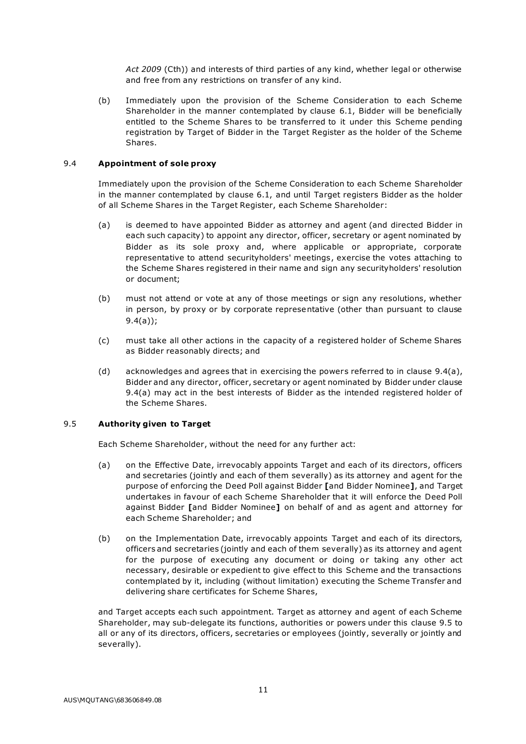Act 2009 (Cth)) and interests of third parties of any kind, whether legal or otherwise and free from any restrictions on transfer of any kind.

(b) Immediately upon the provision of the Scheme Consider ation to each Scheme Shareholder in the manner contemplated by clause 6.1, Bidder will be beneficially entitled to the Scheme Shares to be transferred to it under this Scheme pending registration by Target of Bidder in the Target Register as the holder of the Scheme Shares.

# 9.4 Appointment of sole proxy

Immediately upon the provision of the Scheme Consideration to each Scheme Shareholder in the manner contemplated by clause 6.1, and until Target registers Bidder as the holder of all Scheme Shares in the Target Register, each Scheme Shareholder:

- (a) is deemed to have appointed Bidder as attorney and agent (and directed Bidder in each such capacity) to appoint any director, officer, secretary or agent nominated by Bidder as its sole proxy and, where applicable or appropriate, corporate representative to attend securityholders' meetings , exercise the votes attaching to the Scheme Shares registered in their name and sign any securityholders' resolution or document;
- (b) must not attend or vote at any of those meetings or sign any resolutions, whether in person, by proxy or by corporate representative (other than pursuant to clause 9.4(a));
- (c) must take all other actions in the capacity of a registered holder of Scheme Shares as Bidder reasonably directs; and
- (d) acknowledges and agrees that in exercising the powers referred to in clause  $9.4(a)$ , Bidder and any director, officer, secretary or agent nominated by Bidder under clause 9.4(a) may act in the best interests of Bidder as the intended registered holder of the Scheme Shares.

# 9.5 Authority given to Target

Each Scheme Shareholder, without the need for any further act:

- (a) on the Effective Date, irrevocably appoints Target and each of its directors, officers and secretaries (jointly and each of them severally) as its attorney and agent for the purpose of enforcing the Deed Poll against Bidder [and Bidder Nominee], and Target undertakes in favour of each Scheme Shareholder that it will enforce the Deed Poll against Bidder [and Bidder Nominee] on behalf of and as agent and attorney for each Scheme Shareholder; and
- (b) on the Implementation Date, irrevocably appoints Target and each of its directors, officers and secretaries (jointly and each of them severally) as its attorney and agent for the purpose of executing any document or doing or taking any other act necessary, desirable or expedient to give effect to this Scheme and the transactions contemplated by it, including (without limitation) executing the Scheme Transfer and delivering share certificates for Scheme Shares,

and Target accepts each such appointment. Target as attorney and agent of each Scheme Shareholder, may sub-delegate its functions, authorities or powers under this clause 9.5 to all or any of its directors, officers, secretaries or employees (jointly, severally or jointly and severally).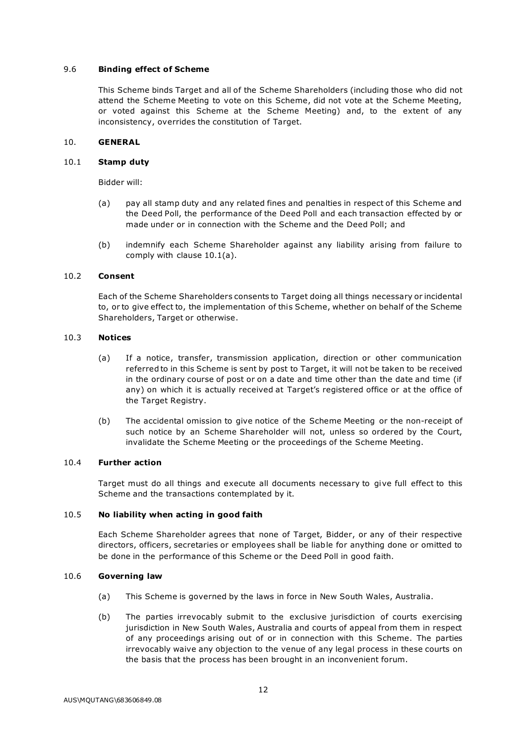# 9.6 Binding effect of Scheme

This Scheme binds Target and all of the Scheme Shareholders (including those who did not attend the Scheme Meeting to vote on this Scheme, did not vote at the Scheme Meeting, or voted against this Scheme at the Scheme Meeting) and, to the extent of any inconsistency, overrides the constitution of Target.

# 10. GENERAL

#### 10.1 Stamp duty

Bidder will:

- (a) pay all stamp duty and any related fines and penalties in respect of this Scheme and the Deed Poll, the performance of the Deed Poll and each transaction effected by or made under or in connection with the Scheme and the Deed Poll; and
- (b) indemnify each Scheme Shareholder against any liability arising from failure to comply with clause 10.1(a).

# 10.2 Consent

Each of the Scheme Shareholders consents to Target doing all things necessary or incidental to, or to give effect to, the implementation of this Scheme, whether on behalf of the Scheme Shareholders, Target or otherwise.

#### 10.3 Notices

- (a) If a notice, transfer, transmission application, direction or other communication referred to in this Scheme is sent by post to Target, it will not be taken to be received in the ordinary course of post or on a date and time other than the date and time (if any) on which it is actually received at Target's registered office or at the office of the Target Registry.
- (b) The accidental omission to give notice of the Scheme Meeting or the non-receipt of such notice by an Scheme Shareholder will not, unless so ordered by the Court, invalidate the Scheme Meeting or the proceedings of the Scheme Meeting.

# 10.4 Further action

Target must do all things and execute all documents necessary to give full effect to this Scheme and the transactions contemplated by it.

#### 10.5 No liability when acting in good faith

Each Scheme Shareholder agrees that none of Target, Bidder, or any of their respective directors, officers, secretaries or employees shall be liable for anything done or omitted to be done in the performance of this Scheme or the Deed Poll in good faith.

#### 10.6 Governing law

- (a) This Scheme is governed by the laws in force in New South Wales, Australia.
- (b) The parties irrevocably submit to the exclusive jurisdiction of courts exercising jurisdiction in New South Wales, Australia and courts of appeal from them in respect of any proceedings arising out of or in connection with this Scheme. The parties irrevocably waive any objection to the venue of any legal process in these courts on the basis that the process has been brought in an inconvenient forum.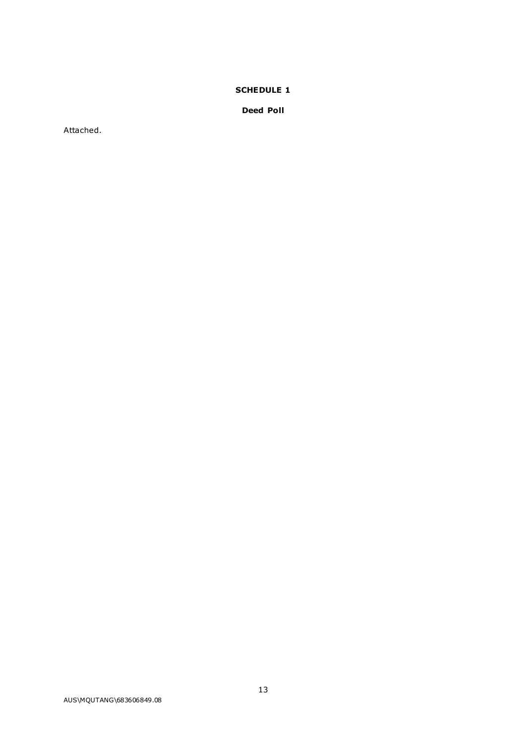# SCHEDULE 1

Deed Poll

Attached.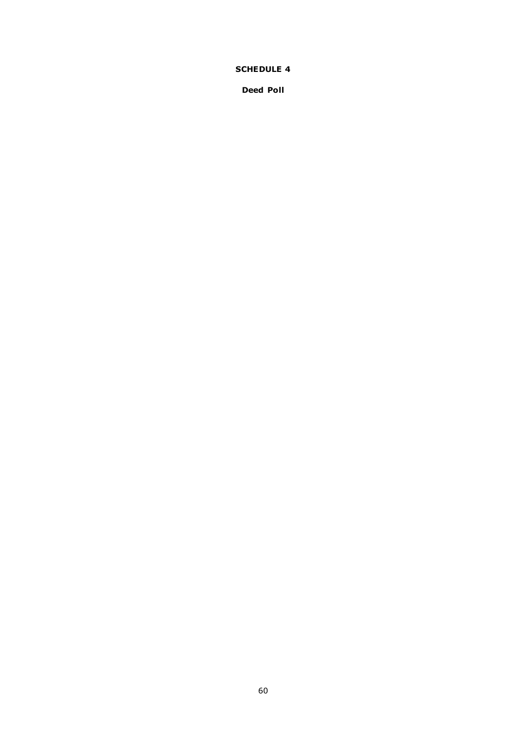# SCHEDULE 4

Deed Poll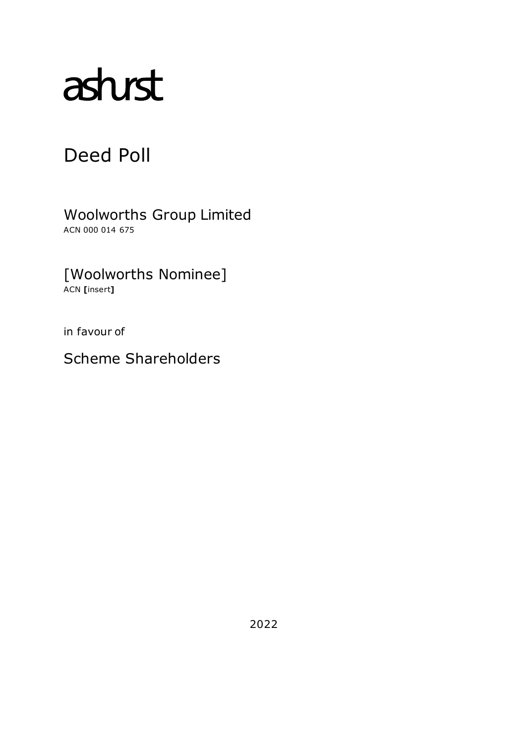# asturst

# Deed Poll

Woolworths Group Limited ACN 000 014 675

[Woolworths Nominee] ACN [insert]

in favour of

Scheme Shareholders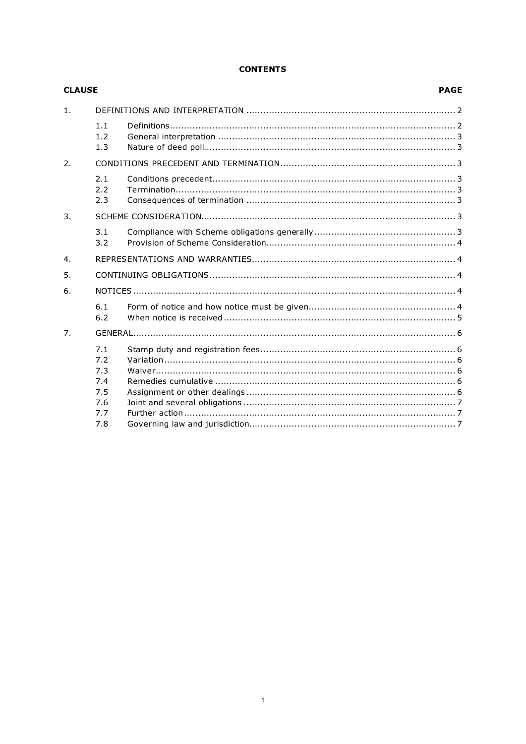# **CONTENTS**

| <b>CLAUSE</b>  |                                                      |  |  |
|----------------|------------------------------------------------------|--|--|
| 1 <sub>1</sub> |                                                      |  |  |
|                | 1.1<br>1.2<br>1.3                                    |  |  |
| 2.             |                                                      |  |  |
|                | 2.1<br>2.2<br>2.3                                    |  |  |
| 3.             |                                                      |  |  |
|                | 3.1<br>3.2                                           |  |  |
| 4.             |                                                      |  |  |
| 5.             |                                                      |  |  |
| 6.             |                                                      |  |  |
|                | 6.1<br>6.2                                           |  |  |
| 7.             |                                                      |  |  |
|                | 7.1<br>7.2<br>7.3<br>7.4<br>7.5<br>7.6<br>7.7<br>7.8 |  |  |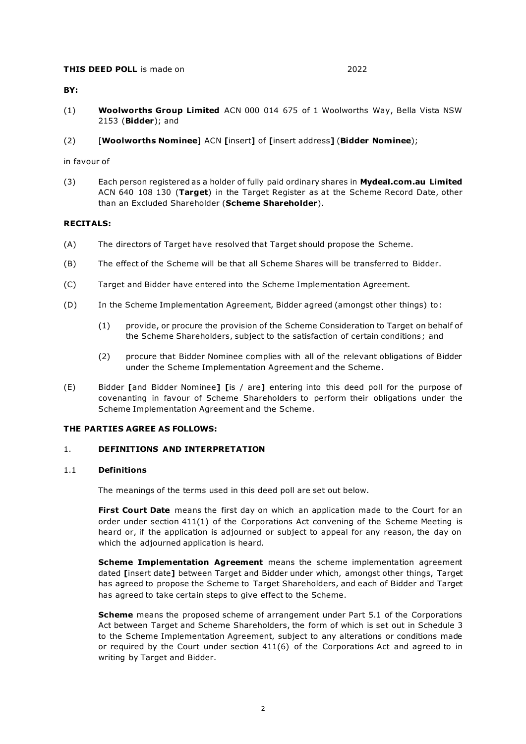#### **THIS DEED POLL** is made on 2022

#### BY:

- (1) Woolworths Group Limited ACN 000 014 675 of 1 Woolworths Way, Bella Vista NSW 2153 (Bidder); and
- (2) [Woolworths Nominee] ACN [insert] of [insert address] (Bidder Nominee);

#### in favour of

(3) Each person registered as a holder of fully paid ordinary shares in Mydeal.com.au Limited ACN 640 108 130 (Target) in the Target Register as at the Scheme Record Date, other than an Excluded Shareholder (Scheme Shareholder).

# RECITALS:

- (A) The directors of Target have resolved that Target should propose the Scheme.
- (B) The effect of the Scheme will be that all Scheme Shares will be transferred to Bidder.
- (C) Target and Bidder have entered into the Scheme Implementation Agreement.
- (D) In the Scheme Implementation Agreement, Bidder agreed (amongst other things) to:
	- (1) provide, or procure the provision of the Scheme Consideration to Target on behalf of the Scheme Shareholders, subject to the satisfaction of certain conditions; and
	- (2) procure that Bidder Nominee complies with all of the relevant obligations of Bidder under the Scheme Implementation Agreement and the Scheme .
- (E) Bidder [and Bidder Nominee] [is / are] entering into this deed poll for the purpose of covenanting in favour of Scheme Shareholders to perform their obligations under the Scheme Implementation Agreement and the Scheme.

#### THE PARTIES AGREE AS FOLLOWS:

# 1. DEFINITIONS AND INTERPRETATION

#### 1.1 Definitions

The meanings of the terms used in this deed poll are set out below.

**First Court Date** means the first day on which an application made to the Court for an order under section 411(1) of the Corporations Act convening of the Scheme Meeting is heard or, if the application is adjourned or subject to appeal for any reason, the day on which the adjourned application is heard.

Scheme Implementation Agreement means the scheme implementation agreement dated [insert date] between Target and Bidder under which, amongst other things, Target has agreed to propose the Scheme to Target Shareholders, and each of Bidder and Target has agreed to take certain steps to give effect to the Scheme.

**Scheme** means the proposed scheme of arrangement under Part 5.1 of the Corporations Act between Target and Scheme Shareholders, the form of which is set out in Schedule 3 to the Scheme Implementation Agreement, subject to any alterations or conditions made or required by the Court under section 411(6) of the Corporations Act and agreed to in writing by Target and Bidder.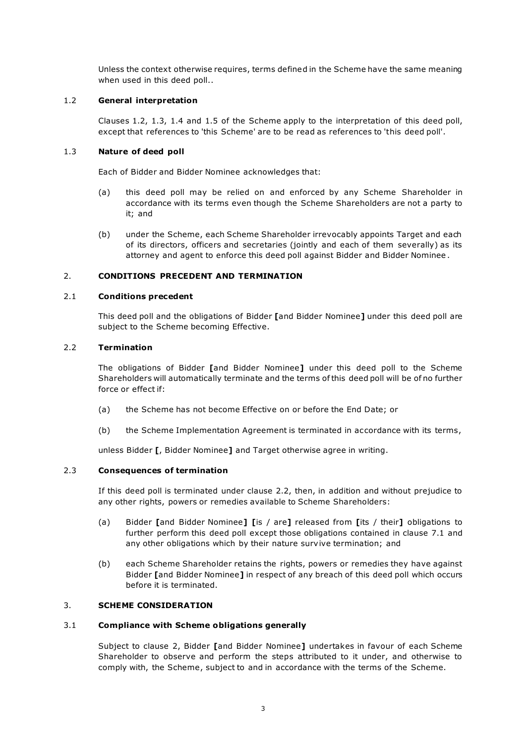Unless the context otherwise requires, terms defined in the Scheme have the same meaning when used in this deed poll..

# 1.2 General interpretation

Clauses 1.2, 1.3, 1.4 and 1.5 of the Scheme apply to the interpretation of this deed poll, except that references to 'this Scheme' are to be read as references to 'this deed poll'.

# 1.3 Nature of deed poll

Each of Bidder and Bidder Nominee acknowledges that:

- (a) this deed poll may be relied on and enforced by any Scheme Shareholder in accordance with its terms even though the Scheme Shareholders are not a party to it; and
- (b) under the Scheme, each Scheme Shareholder irrevocably appoints Target and each of its directors, officers and secretaries (jointly and each of them severally) as its attorney and agent to enforce this deed poll against Bidder and Bidder Nominee .

# 2. CONDITIONS PRECEDENT AND TERMINATION

# 2.1 Conditions precedent

This deed poll and the obligations of Bidder [and Bidder Nominee] under this deed poll are subject to the Scheme becoming Effective.

# 2.2 Termination

The obligations of Bidder [and Bidder Nominee] under this deed poll to the Scheme Shareholders will automatically terminate and the terms of this deed poll will be of no further force or effect if:

- (a) the Scheme has not become Effective on or before the End Date; or
- (b) the Scheme Implementation Agreement is terminated in ac cordance with its terms,

unless Bidder [, Bidder Nominee] and Target otherwise agree in writing.

# 2.3 Consequences of termination

If this deed poll is terminated under clause 2.2, then, in addition and without prejudice to any other rights, powers or remedies available to Scheme Shareholders:

- (a) Bidder [and Bidder Nominee] [is / are] released from [its / their] obligations to further perform this deed poll except those obligations contained in clause 7.1 and any other obligations which by their nature survive termination; and
- (b) each Scheme Shareholder retains the rights, powers or remedies they have against Bidder [and Bidder Nominee] in respect of any breach of this deed poll which occurs before it is terminated.

# 3. SCHEME CONSIDERATION

# 3.1 Compliance with Scheme obligations generally

Subject to clause 2, Bidder [and Bidder Nominee] undertakes in favour of each Scheme Shareholder to observe and perform the steps attributed to it under, and otherwise to comply with, the Scheme, subject to and in accordance with the terms of the Scheme.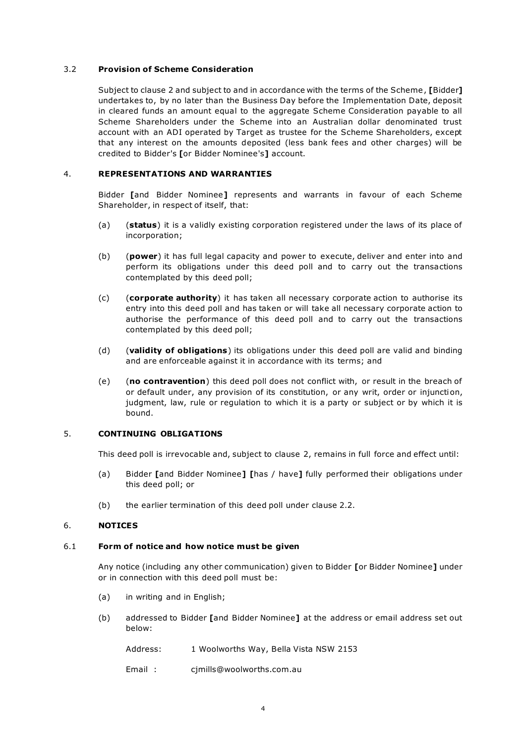# 3.2 Provision of Scheme Consideration

Subject to clause 2 and subject to and in accordance with the terms of the Scheme , [Bidder] undertakes to, by no later than the Business Day before the Implementation Date, deposit in cleared funds an amount equal to the aggregate Scheme Consideration payable to all Scheme Shareholders under the Scheme into an Australian dollar denominated trust account with an ADI operated by Target as trustee for the Scheme Shareholders, except that any interest on the amounts deposited (less bank fees and other charges) will be credited to Bidder's [or Bidder Nominee's] account.

#### 4. REPRESENTATIONS AND WARRANTIES

Bidder [and Bidder Nominee] represents and warrants in favour of each Scheme Shareholder, in respect of itself, that:

- (a) (status) it is a validly existing corporation registered under the laws of its place of incorporation;
- (b) (power) it has full legal capacity and power to execute, deliver and enter into and perform its obligations under this deed poll and to carry out the transactions contemplated by this deed poll;
- $(c)$  (corporate authority) it has taken all necessary corporate action to authorise its entry into this deed poll and has taken or will take all necessary corporate action to authorise the performance of this deed poll and to carry out the transactions contemplated by this deed poll;
- (d) (validity of obligations) its obligations under this deed poll are valid and binding and are enforceable against it in accordance with its terms; and
- (e) (no contravention) this deed poll does not conflict with, or result in the breach of or default under, any provision of its constitution, or any writ, order or injunction, judgment, law, rule or regulation to which it is a party or subject or by which it is bound.

# 5. CONTINUING OBLIGATIONS

This deed poll is irrevocable and, subject to clause 2, remains in full force and effect until:

- (a) Bidder [and Bidder Nominee] [has / have] fully performed their obligations under this deed poll; or
- (b) the earlier termination of this deed poll under clause 2.2.

#### 6. NOTICES

# 6.1 Form of notice and how notice must be given

Any notice (including any other communication) given to Bidder [or Bidder Nominee] under or in connection with this deed poll must be:

- (a) in writing and in English;
- (b) addressed to Bidder [and Bidder Nominee] at the address or email address set out below:
	- Address: 1 Woolworths Way, Bella Vista NSW 2153
	- Email : cjmills@woolworths.com.au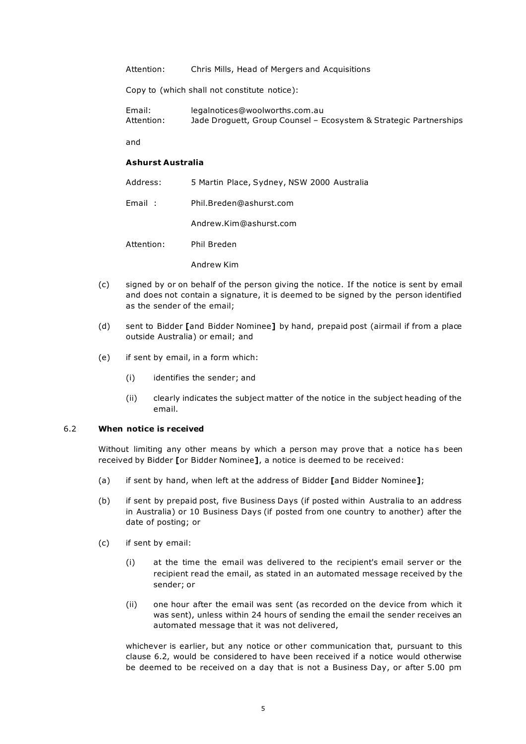Attention: Chris Mills, Head of Mergers and Acquisitions

Copy to (which shall not constitute notice):

Email: legalnotices@woolworths.com.au Attention: Jade Droguett, Group Counsel – Ecosystem & Strategic Partnerships

and

#### Ashurst Australia

| Address:   | 5 Martin Place, Sydney, NSW 2000 Australia |
|------------|--------------------------------------------|
| Email:     | Phil.Breden@ashurst.com                    |
|            | Andrew.Kim@ashurst.com                     |
| Attention: | Phil Breden                                |
|            | Andrew Kim                                 |

- (c) signed by or on behalf of the person giving the notice. If the notice is sent by email and does not contain a signature, it is deemed to be signed by the person identified as the sender of the email;
- (d) sent to Bidder [and Bidder Nominee] by hand, prepaid post (airmail if from a place outside Australia) or email; and
- (e) if sent by email, in a form which:
	- (i) identifies the sender; and
	- (ii) clearly indicates the subject matter of the notice in the subject heading of the email.

#### 6.2 When notice is received

Without limiting any other means by which a person may prove that a notice has been received by Bidder [or Bidder Nominee], a notice is deemed to be received:

- (a) if sent by hand, when left at the address of Bidder [and Bidder Nominee];
- (b) if sent by prepaid post, five Business Days (if posted within Australia to an address in Australia) or 10 Business Days (if posted from one country to another) after the date of posting; or
- (c) if sent by email:
	- (i) at the time the email was delivered to the recipient's email server or the recipient read the email, as stated in an automated message received by the sender; or
	- (ii) one hour after the email was sent (as recorded on the device from which it was sent), unless within 24 hours of sending the email the sender receives an automated message that it was not delivered,

whichever is earlier, but any notice or other communication that, pursuant to this clause 6.2, would be considered to have been received if a notice would otherwise be deemed to be received on a day that is not a Business Day, or after 5.00 pm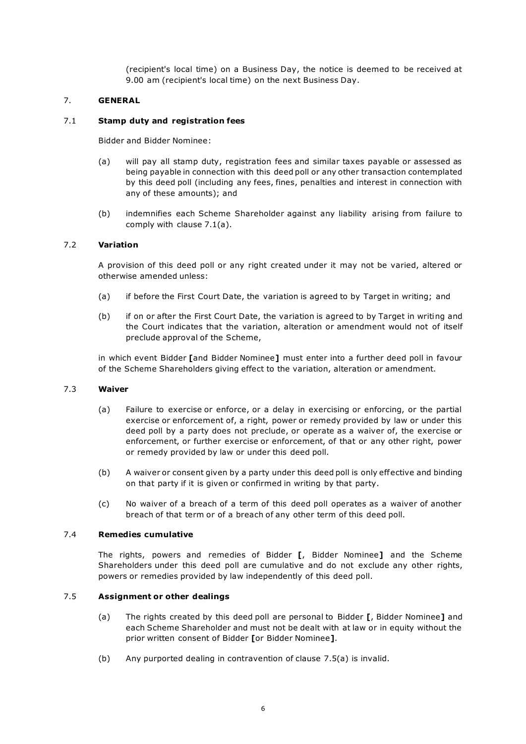(recipient's local time) on a Business Day, the notice is deemed to be received at 9.00 am (recipient's local time) on the next Business Day.

# 7. GENERAL

# 7.1 Stamp duty and registration fees

Bidder and Bidder Nominee:

- (a) will pay all stamp duty, registration fees and similar taxes payable or assessed as being payable in connection with this deed poll or any other transaction contemplated by this deed poll (including any fees, fines, penalties and interest in connection with any of these amounts); and
- (b) indemnifies each Scheme Shareholder against any liability arising from failure to comply with clause 7.1(a).

#### 7.2 Variation

A provision of this deed poll or any right created under it may not be varied, altered or otherwise amended unless:

- (a) if before the First Court Date, the variation is agreed to by Target in writing; and
- (b) if on or after the First Court Date, the variation is agreed to by Target in writing and the Court indicates that the variation, alteration or amendment would not of itself preclude approval of the Scheme,

in which event Bidder [and Bidder Nominee] must enter into a further deed poll in favour of the Scheme Shareholders giving effect to the variation, alteration or amendment.

#### 7.3 Waiver

- (a) Failure to exercise or enforce, or a delay in exercising or enforcing, or the partial exercise or enforcement of, a right, power or remedy provided by law or under this deed poll by a party does not preclude, or operate as a waiver of, the exercise or enforcement, or further exercise or enforcement, of that or any other right, power or remedy provided by law or under this deed poll.
- (b) A waiver or consent given by a party under this deed poll is only effective and binding on that party if it is given or confirmed in writing by that party.
- (c) No waiver of a breach of a term of this deed poll operates as a waiver of another breach of that term or of a breach of any other term of this deed poll.

#### 7.4 Remedies cumulative

The rights, powers and remedies of Bidder [, Bidder Nominee] and the Scheme Shareholders under this deed poll are cumulative and do not exclude any other rights, powers or remedies provided by law independently of this deed poll.

# 7.5 Assignment or other dealings

- (a) The rights created by this deed poll are personal to Bidder [, Bidder Nominee] and each Scheme Shareholder and must not be dealt with at law or in equity without the prior written consent of Bidder [or Bidder Nominee].
- (b) Any purported dealing in contravention of clause 7.5(a) is invalid.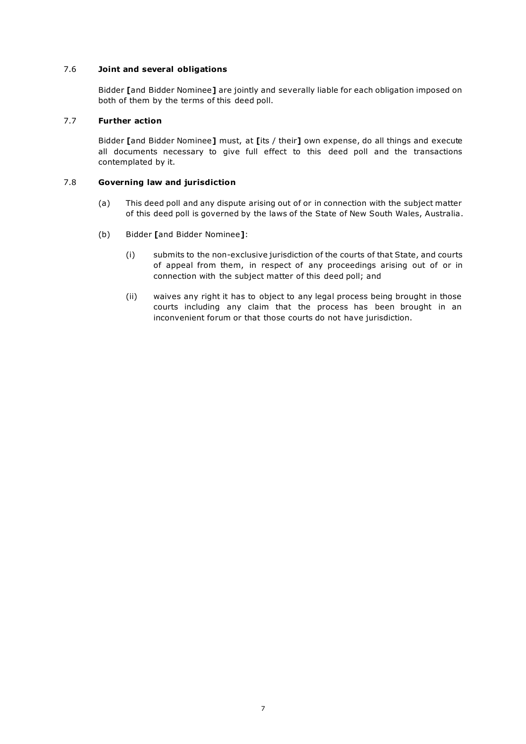# 7.6 Joint and several obligations

Bidder [and Bidder Nominee] are jointly and severally liable for each obligation imposed on both of them by the terms of this deed poll.

# 7.7 Further action

Bidder [and Bidder Nominee] must, at [its / their] own expense, do all things and execute all documents necessary to give full effect to this deed poll and the transactions contemplated by it.

# 7.8 Governing law and jurisdiction

- (a) This deed poll and any dispute arising out of or in connection with the subject matter of this deed poll is governed by the laws of the State of New South Wales, Australia.
- (b) Bidder [and Bidder Nominee]:
	- (i) submits to the non-exclusive jurisdiction of the courts of that State, and courts of appeal from them, in respect of any proceedings arising out of or in connection with the subject matter of this deed poll; and
	- (ii) waives any right it has to object to any legal process being brought in those courts including any claim that the process has been brought in an inconvenient forum or that those courts do not have jurisdiction.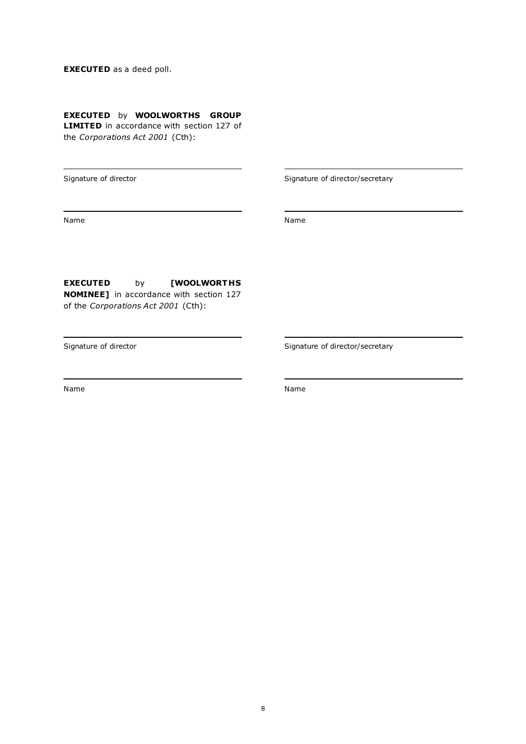# EXECUTED as a deed poll.

# EXECUTED by WOOLWORTHS GROUP

**LIMITED** in accordance with section 127 of the Corporations Act 2001 (Cth):

Signature of director and Signature of director/secretary

Name Name

EXECUTED by [WOOLWORTHS NOMINEE] in accordance with section 127 of the Corporations Act 2001 (Cth):

Name Name

Signature of director  $Signature$  of director/secretary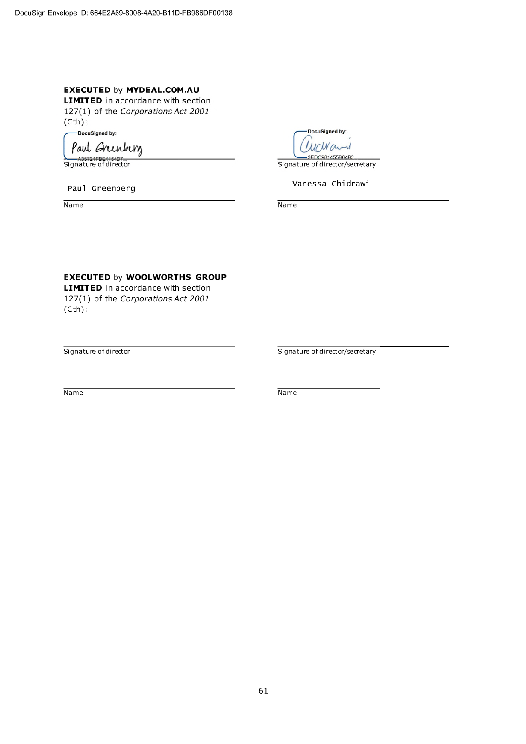# **EXECUTED by MYDEAL.COM.AU**

**LIMITED** in accordance with section 127(1) of the Corporations Act 2001  $(Cth)$ :

DocuSigned by:

Paul Greenberg

A35721FBE4154B7<br>Signature of director

Paul Greenberg

Name

**DocuSigned by: LUCWON**  $-3FDC981455R64R3$ 

Signature of director/secretary

Vanessa Chidrawi

Name

# **EXECUTED by WOOLWORTHS GROUP**

**LIMITED** in accordance with section 127(1) of the Corporations Act 2001  $(Cth)$ :

Signature of director

Signature of director/secretary

Name

Name